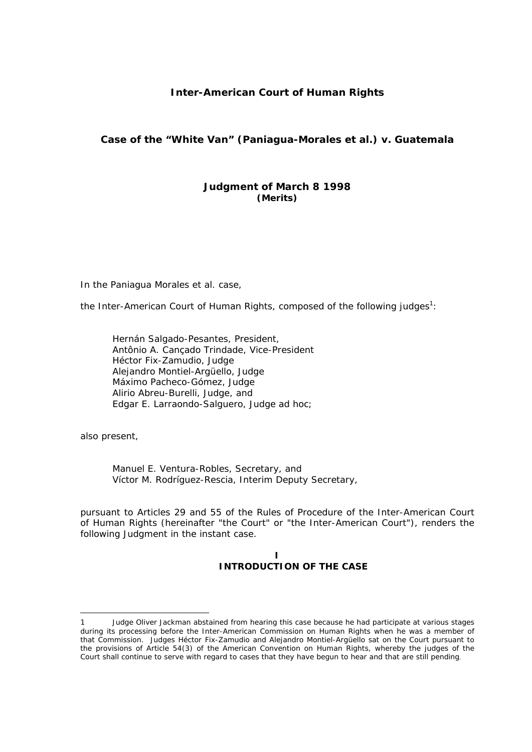# **Inter-American Court of Human Rights**

# **Case of the "White Van" (Paniagua-Morales** *et al.***)** *v.* **Guatemala**

# **Judgment of March 8 1998**  *(Merits)*

In the Paniagua Morales *et al.* case,

the Inter-American Court of Human Rights, composed of the following judges<sup>1</sup>:

Hernán Salgado-Pesantes, President, Antônio A. Cançado Trindade, Vice-President Héctor Fix-Zamudio, Judge Alejandro Montiel-Argüello, Judge Máximo Pacheco-Gómez, Judge Alirio Abreu-Burelli, Judge, and Edgar E. Larraondo-Salguero, Judge *ad hoc*;

also present,

1

Manuel E. Ventura-Robles, Secretary, and Víctor M. Rodríguez-Rescia, Interim Deputy Secretary,

pursuant to Articles 29 and 55 of the Rules of Procedure of the Inter-American Court of Human Rights (hereinafter "the Court" or "the Inter-American Court"), renders the following Judgment in the instant case.

## **I INTRODUCTION OF THE CASE**

<sup>1</sup> Judge Oliver Jackman abstained from hearing this case because he had participate at various stages during its processing before the Inter-American Commission on Human Rights when he was a member of that Commission. Judges Héctor Fix-Zamudio and Alejandro Montiel-Argüello sat on the Court pursuant to the provisions of Article 54(3) of the American Convention on Human Rights, whereby the judges of the Court shall continue to serve with regard to cases that they have begun to hear and that are still pending.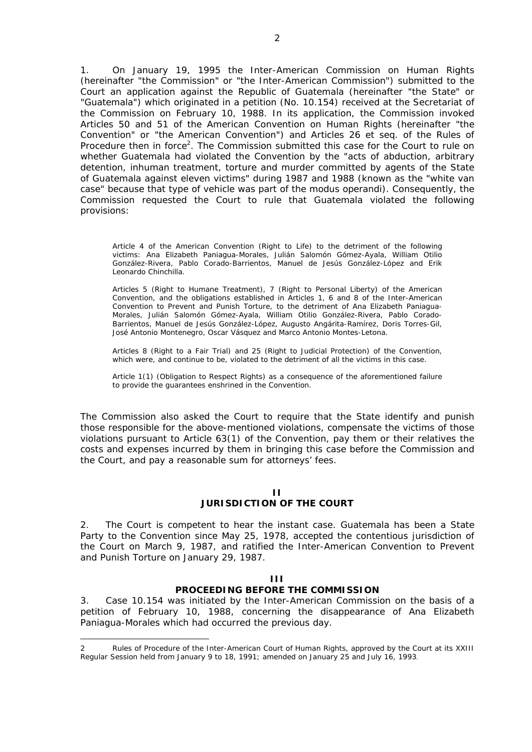1. On January 19, 1995 the Inter-American Commission on Human Rights (hereinafter "the Commission" or "the Inter-American Commission") submitted to the Court an application against the Republic of Guatemala (hereinafter "the State" or "Guatemala") which originated in a petition (No. 10.154) received at the Secretariat of the Commission on February 10, 1988. In its application, the Commission invoked Articles 50 and 51 of the American Convention on Human Rights (hereinafter "the Convention" or "the American Convention") and Articles 26 *et seq.* of the Rules of Procedure then in force<sup>2</sup>. The Commission submitted this case for the Court to rule on whether Guatemala had violated the Convention by the "*acts of abduction, arbitrary detention, inhuman treatment, torture and murder committed by agents of the State of Guatemala against eleven victims*" during 1987 and 1988 (known as the "*white van case*" because that type of vehicle was part of the *modus operandi).* Consequently, the Commission requested the Court to rule that Guatemala violated the following provisions:

Article 4 of the American Convention (Right to Life) to the detriment of the following victims: Ana Elizabeth Paniagua-Morales, Julián Salomón Gómez-Ayala, William Otilio González-Rivera, Pablo Corado-Barrientos, Manuel de Jesús González-López and Erik Leonardo Chinchilla.

Articles 5 (Right to Humane Treatment), 7 (Right to Personal Liberty) of the American Convention, and the obligations established in Articles 1, 6 and 8 of the Inter-American Convention to Prevent and Punish Torture, to the detriment of Ana Elizabeth Paniagua-Morales, Julián Salomón Gómez-Ayala, William Otilio González-Rivera, Pablo Corado-Barrientos, Manuel de Jesús González-López, Augusto Angárita-Ramírez, Doris Torres-Gil, José Antonio Montenegro, Oscar Vásquez and Marco Antonio Montes-Letona.

Articles 8 (Right to a Fair Trial) and 25 (Right to Judicial Protection) of the Convention, which were, and continue to be, violated to the detriment of all the victims in this case.

Article 1(1) (Obligation to Respect Rights) as a consequence of the aforementioned failure to provide the guarantees enshrined in the Convention.

The Commission also asked the Court to require that the State identify and punish those responsible for the above-mentioned violations, compensate the victims of those violations pursuant to Article 63(1) of the Convention, pay them or their relatives the costs and expenses incurred by them in bringing this case before the Commission and the Court, and pay a reasonable sum for attorneys' fees.

#### **II**

## **JURISDICTION OF THE COURT**

2. The Court is competent to hear the instant case. Guatemala has been a State Party to the Convention since May 25, 1978, accepted the contentious jurisdiction of the Court on March 9, 1987, and ratified the Inter-American Convention to Prevent and Punish Torture on January 29, 1987.

#### **III**

#### **PROCEEDING BEFORE THE COMMISSION**

3. Case 10.154 was initiated by the Inter-American Commission on the basis of a petition of February 10, 1988, concerning the disappearance of Ana Elizabeth Paniagua-Morales which had occurred the previous day.

<u>.</u>

<sup>2</sup> Rules of Procedure of the Inter-American Court of Human Rights, approved by the Court at its XXIII Regular Session held from January 9 to 18, 1991; amended on January 25 and July 16, 1993.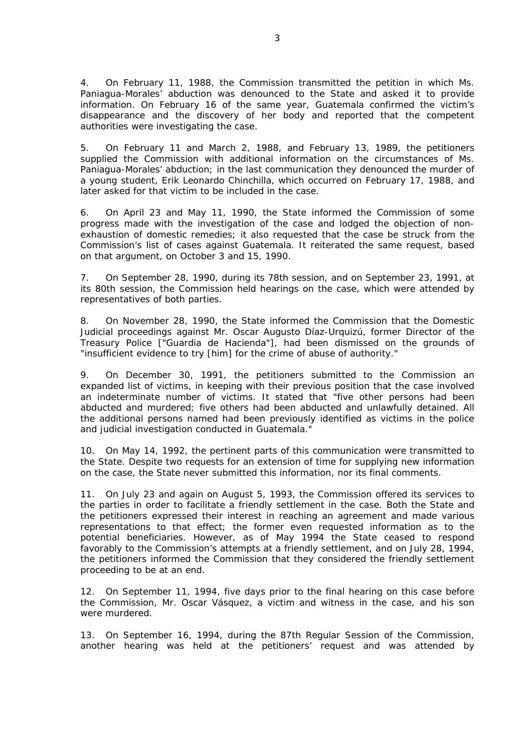4. On February 11, 1988, the Commission transmitted the petition in which Ms. Paniagua-Morales' abduction was denounced to the State and asked it to provide information. On February 16 of the same year, Guatemala confirmed the victim's disappearance and the discovery of her body and reported that the competent authorities were investigating the case.

5. On February 11 and March 2, 1988, and February 13, 1989, the petitioners supplied the Commission with additional information on the circumstances of Ms. Paniagua-Morales' abduction; in the last communication they denounced the murder of a young student, Erik Leonardo Chinchilla, which occurred on February 17, 1988, and later asked for that victim to be included in the case.

6. On April 23 and May 11, 1990, the State informed the Commission of some progress made with the investigation of the case and lodged the objection of nonexhaustion of domestic remedies; it also requested that the case be struck from the Commission's list of cases against Guatemala. It reiterated the same request, based on that argument, on October 3 and 15, 1990.

7. On September 28, 1990, during its 78th session, and on September 23, 1991, at its 80th session, the Commission held hearings on the case, which were attended by representatives of both parties.

8. On November 28, 1990, the State informed the Commission that the Domestic Judicial proceedings against Mr. Oscar Augusto Díaz-Urquizú, former Director of the Treasury Police ["Guardia de Hacienda"], had been dismissed on the grounds of "*insufficient evidence to try* [him] *for the crime of abuse of authority.*"

9. On December 30, 1991, the petitioners submitted to the Commission an expanded list of victims, in keeping with their previous position that the case involved an indeterminate number of victims. It stated that "*five other persons had been abducted and murdered; five others had been abducted and unlawfully detained. All the additional persons named had been previously identified as victims in the police and judicial investigation conducted in Guatemala.*"

10. On May 14, 1992, the pertinent parts of this communication were transmitted to the State. Despite two requests for an extension of time for supplying new information on the case, the State never submitted this information, nor its final comments.

11. On July 23 and again on August 5, 1993, the Commission offered its services to the parties in order to facilitate a friendly settlement in the case. Both the State and the petitioners expressed their interest in reaching an agreement and made various representations to that effect; the former even requested information as to the potential beneficiaries. However, as of May 1994 the State ceased to respond favorably to the Commission's attempts at a friendly settlement, and on July 28, 1994, the petitioners informed the Commission that they considered the friendly settlement proceeding to be at an end.

12. On September 11, 1994, five days prior to the final hearing on this case before the Commission, Mr. Oscar Vásquez, a victim and witness in the case, and his son were murdered.

13. On September 16, 1994, during the 87th Regular Session of the Commission, another hearing was held at the petitioners' request and was attended by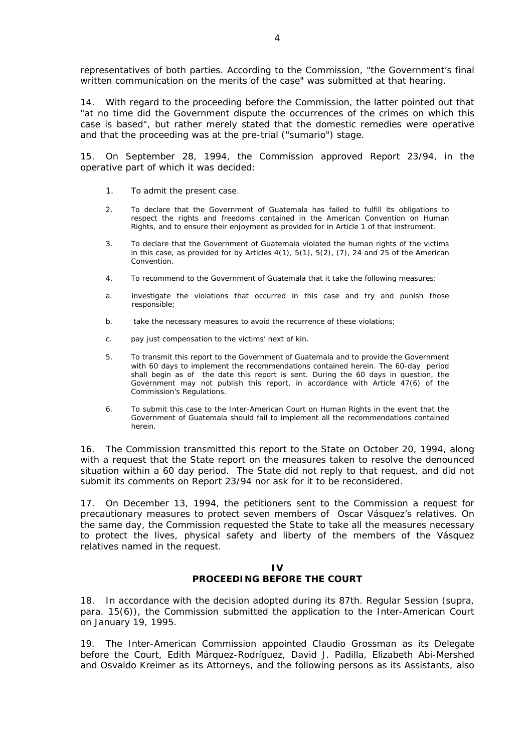representatives of both parties. According to the Commission, "*the Government's final written communication on the merits of the case*" was submitted at that hearing.

14. With regard to the proceeding before the Commission, the latter pointed out that "*at no time did the Government dispute the occurrences of the crimes on which this case is based*", but rather merely stated that the domestic remedies were operative and that the proceeding was at the pre-trial ("sumario") stage.

15. On September 28, 1994, the Commission approved Report 23/94, in the operative part of which it was decided:

- 1. To admit the present case.
- 2. To declare that the Government of Guatemala has failed to fulfill its obligations to respect the rights and freedoms contained in the American Convention on Human Rights, and to ensure their enjoyment as provided for in Article 1 of that instrument.
- 3. To declare that the Government of Guatemala violated the human rights of the victims in this case, as provided for by Articles  $4(1)$ ,  $5(1)$ ,  $5(2)$ ,  $(7)$ , 24 and 25 of the American Convention.
- 4. To recommend to the Government of Guatemala that it take the following measures:
- a. investigate the violations that occurred in this case and try and punish those responsible;
- b. take the necessary measures to avoid the recurrence of these violations;
- c. pay just compensation to the victims' next of kin.
- 5. To transmit this report to the Government of Guatemala and to provide the Government with 60 days to implement the recommendations contained herein. The 60-day period shall begin as of the date this report is sent. During the 60 days in question, the Government may not publish this report, in accordance with Article 47(6) of the Commission's Regulations.
- 6. To submit this case to the Inter-American Court on Human Rights in the event that the Government of Guatemala should fail to implement all the recommendations contained herein.

16. The Commission transmitted this report to the State on October 20, 1994, along with a request that the State report on the measures taken to resolve the denounced situation within a 60 day period. The State did not reply to that request, and did not submit its comments on Report 23/94 nor ask for it to be reconsidered.

17. On December 13, 1994, the petitioners sent to the Commission a request for precautionary measures to protect seven members of Oscar Vásquez's relatives. On the same day, the Commission requested the State to take all the measures necessary to protect the lives, physical safety and liberty of the members of the Vásquez relatives named in the request.

#### **IV PROCEEDING BEFORE THE COURT**

18. In accordance with the decision adopted during its 87th. Regular Session (*supra*, para. 15(6)), the Commission submitted the application to the Inter-American Court on January 19, 1995.

19. The Inter-American Commission appointed Claudio Grossman as its Delegate before the Court, Edith Márquez-Rodríguez, David J. Padilla, Elizabeth Abi-Mershed and Osvaldo Kreimer as its Attorneys, and the following persons as its Assistants, also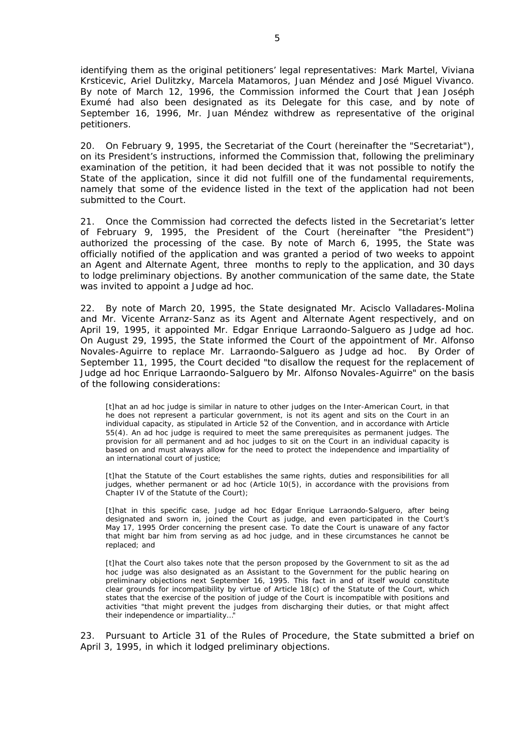identifying them as the original petitioners' legal representatives: Mark Martel, Viviana Krsticevic, Ariel Dulitzky, Marcela Matamoros, Juan Méndez and José Miguel Vivanco. By note of March 12, 1996, the Commission informed the Court that Jean Joséph Exumé had also been designated as its Delegate for this case, and by note of September 16, 1996, Mr. Juan Méndez withdrew as representative of the original petitioners.

20. On February 9, 1995, the Secretariat of the Court (hereinafter the "Secretariat"), on its President's instructions, informed the Commission that, following the preliminary examination of the petition, it had been decided that it was not possible to notify the State of the application, since it did not fulfill one of the fundamental requirements, namely that some of the evidence listed in the text of the application had not been submitted to the Court.

21. Once the Commission had corrected the defects listed in the Secretariat's letter of February 9, 1995, the President of the Court (hereinafter "the President") authorized the processing of the case. By note of March 6, 1995, the State was officially notified of the application and was granted a period of two weeks to appoint an Agent and Alternate Agent, three months to reply to the application, and 30 days to lodge preliminary objections. By another communication of the same date, the State was invited to appoint a Judge *ad hoc*.

22. By note of March 20, 1995, the State designated Mr. Acisclo Valladares-Molina and Mr. Vicente Arranz-Sanz as its Agent and Alternate Agent respectively, and on April 19, 1995, it appointed Mr. Edgar Enrique Larraondo-Salguero as Judge *ad hoc*. On August 29, 1995, the State informed the Court of the appointment of Mr. Alfonso Novales-Aguirre to replace Mr. Larraondo-Salguero as Judge *ad hoc*. By Order of September 11, 1995, the Court decided "*to disallow the request for the replacement of Judge* ad hoc *Enrique Larraondo-Salguero by Mr. Alfonso Novales-Aguirre*" on the basis of the following considerations:

[t]hat an *ad hoc* judge is similar in nature to other judges on the Inter-American Court, in that he does not represent a particular government, is not its agent and sits on the Court *in an individual capacity,* as stipulated in Article 52 of the Convention, and in accordance with Article 55(4). An *ad hoc* judge is required to meet the same prerequisites as permanent judges. The provision for all permanent and *ad hoc* judges to sit on the Court in an individual capacity is based on and must always allow for the need to protect the independence and impartiality of an international court of justice;

[t]hat the Statute of the Court establishes the same rights, duties and responsibilities for all judges, whether permanent or *ad hoc* (Article 10(5), in accordance with the provisions from Chapter IV of the Statute of the Court);

[t]hat in this specific case, Judge *ad hoc* Edgar Enrique Larraondo-Salguero, after being designated and sworn in, joined the Court as judge, and even participated in the Court's May 17, 1995 Order concerning the present case. To date the Court is unaware of any factor that might bar him from serving as *ad hoc* judge, and in these circumstances he cannot be replaced; and

[t]hat the Court also takes note that the person proposed by the Government to sit as the *ad hoc* judge was also designated as an Assistant to the Government for the public hearing on preliminary objections next September 16, 1995. This fact in and of itself would constitute clear grounds for incompatibility by virtue of Article 18(c) of the Statute of the Court, which states that the exercise of the position of judge of the Court is incompatible with positions and activities "*that might prevent the judges from discharging their duties, or that might affect their independence or impartiality…*"

23. Pursuant to Article 31 of the Rules of Procedure, the State submitted a brief on April 3, 1995, in which it lodged preliminary objections.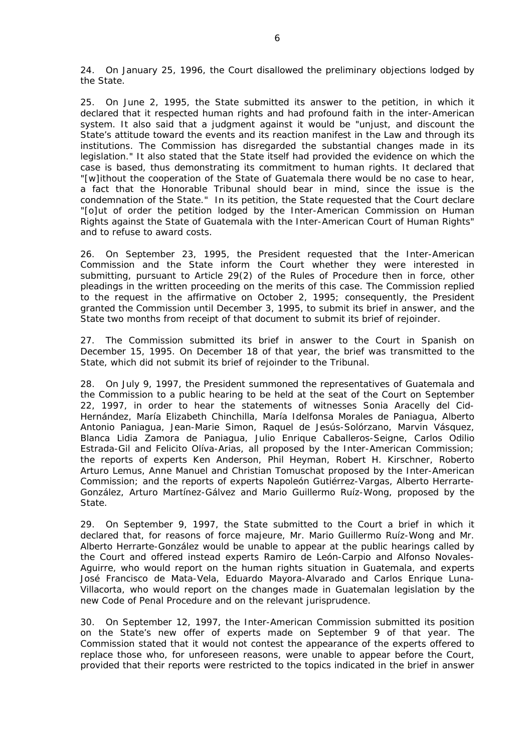24. On January 25, 1996, the Court disallowed the preliminary objections lodged by the State.

25. On June 2, 1995, the State submitted its answer to the petition, in which it declared that it respected human rights and had profound faith in the inter-American system. It also said that a judgment against it would be "*unjust, and discount the State's attitude toward the events and its reaction manifest in the Law and through its institutions. The Commission has disregarded the substantial changes made in its legislation.*" It also stated that the State itself had provided the evidence on which the case is based, thus demonstrating its commitment to human rights. It declared that "[w]*ithout the cooperation of the State of Guatemala there would be no case to hear, a fact that the Honorable Tribunal should bear in mind, since the issue is the condemnation of the State.*" In its petition, the State requested that the Court declare "[o]*ut of order the petition lodged by the Inter-American Commission on Human Rights against the State of Guatemala with the Inter-American Court of Human Rights*" and to refuse to award costs.

26. On September 23, 1995, the President requested that the Inter-American Commission and the State inform the Court whether they were interested in submitting, pursuant to Article 29(2) of the Rules of Procedure then in force, other pleadings in the written proceeding on the merits of this case. The Commission replied to the request in the affirmative on October 2, 1995; consequently, the President granted the Commission until December 3, 1995, to submit its brief in answer, and the State two months from receipt of that document to submit its brief of rejoinder.

27. The Commission submitted its brief in answer to the Court in Spanish on December 15, 1995. On December 18 of that year, the brief was transmitted to the State, which did not submit its brief of rejoinder to the Tribunal.

28. On July 9, 1997, the President summoned the representatives of Guatemala and the Commission to a public hearing to be held at the seat of the Court on September 22, 1997, in order to hear the statements of witnesses Sonia Aracelly del Cid-Hernández, María Elizabeth Chinchilla, María Idelfonsa Morales de Paniagua, Alberto Antonio Paniagua, Jean-Marie Simon, Raquel de Jesús-Solórzano, Marvin Vásquez, Blanca Lidia Zamora de Paniagua, Julio Enrique Caballeros-Seigne, Carlos Odilio Estrada-Gil and Felicito Olíva-Arias, all proposed by the Inter-American Commission; the reports of experts Ken Anderson, Phil Heyman, Robert H. Kirschner, Roberto Arturo Lemus, Anne Manuel and Christian Tomuschat proposed by the Inter-American Commission; and the reports of experts Napoleón Gutiérrez-Vargas, Alberto Herrarte-González, Arturo Martínez-Gálvez and Mario Guillermo Ruíz-Wong, proposed by the State.

29. On September 9, 1997, the State submitted to the Court a brief in which it declared that, for reasons of *force majeure*, Mr. Mario Guillermo Ruíz-Wong and Mr. Alberto Herrarte-González would be unable to appear at the public hearings called by the Court and offered instead experts Ramiro de León-Carpio and Alfonso Novales-Aguirre, who would report on the human rights situation in Guatemala, and experts José Francisco de Mata-Vela, Eduardo Mayora-Alvarado and Carlos Enrique Luna-Villacorta, who would report on the changes made in Guatemalan legislation by the new Code of Penal Procedure and on the relevant jurisprudence.

30. On September 12, 1997, the Inter-American Commission submitted its position on the State's new offer of experts made on September 9 of that year. The Commission stated that it would not contest the appearance of the experts offered to replace those who, for unforeseen reasons, were unable to appear before the Court, provided that their reports were restricted to the topics indicated in the brief in answer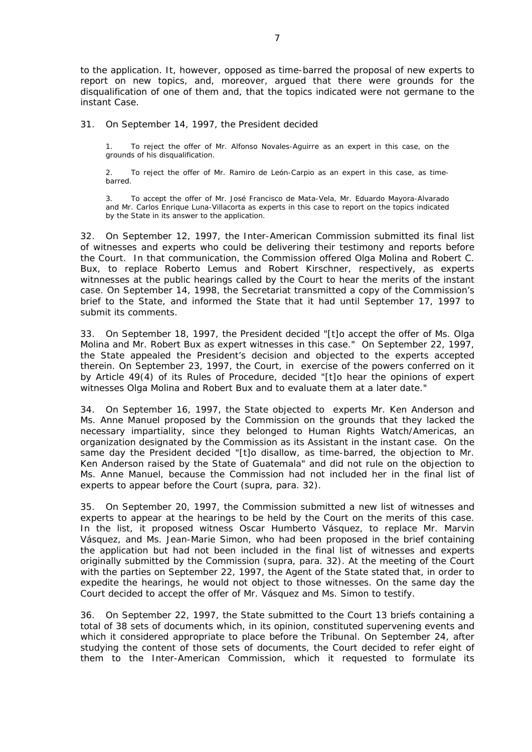to the application. It, however, opposed as time-barred the proposal of new experts to report on new topics, and, moreover, argued that there were grounds for the disqualification of one of them and, that the topics indicated were not germane to the instant Case.

## 31. On September 14, 1997, the President decided

1. To reject the offer of Mr. Alfonso Novales-Aguirre as an expert in this case, on the grounds of his disqualification.

2. To reject the offer of Mr. Ramiro de León-Carpio as an expert in this case, as timebarred.

3. To accept the offer of Mr. José Francisco de Mata-Vela, Mr. Eduardo Mayora-Alvarado and Mr. Carlos Enrique Luna-Villacorta as experts in this case to report on the topics indicated by the State in its answer to the application.

32. On September 12, 1997, the Inter-American Commission submitted its final list of witnesses and experts who could be delivering their testimony and reports before the Court. In that communication, the Commission offered Olga Molina and Robert C. Bux, to replace Roberto Lemus and Robert Kirschner, respectively, as experts witnnesses at the public hearings called by the Court to hear the merits of the instant case. On September 14, 1998, the Secretariat transmitted a copy of the Commission's brief to the State, and informed the State that it had until September 17, 1997 to submit its comments.

33. On September 18, 1997, the President decided "[t]*o accept the offer of Ms. Olga Molina and Mr. Robert Bux as expert witnesses in this case.*" On September 22, 1997, the State appealed the President's decision and objected to the experts accepted therein. On September 23, 1997, the Court, in exercise of the powers conferred on it by Article 49(4) of its Rules of Procedure, decided "[t]*o hear the opinions of expert witnesses Olga Molina and Robert Bux and to evaluate them at a later date.*"

34. On September 16, 1997, the State objected to experts Mr. Ken Anderson and Ms. Anne Manuel proposed by the Commission on the grounds that they lacked the necessary impartiality, since they belonged to Human Rights Watch/Americas, an organization designated by the Commission as its Assistant in the instant case. On the same day the President decided "[t]*o disallow, as time-barred, the objection to Mr. Ken Anderson raised by the State of Guatemala*" and did not rule on the objection to Ms. Anne Manuel, because the Commission had not included her in the final list of experts to appear before the Court (*supra*, para. 32).

35. On September 20, 1997, the Commission submitted a new list of witnesses and experts to appear at the hearings to be held by the Court on the merits of this case. In the list, it proposed witness Oscar Humberto Vásquez, to replace Mr. Marvin Vásquez, and Ms. Jean-Marie Simon, who had been proposed in the brief containing the application but had not been included in the final list of witnesses and experts originally submitted by the Commission (*supra*, para. 32). At the meeting of the Court with the parties on September 22, 1997, the Agent of the State stated that, in order to expedite the hearings, he would not object to those witnesses. On the same day the Court decided to accept the offer of Mr. Vásquez and Ms. Simon to testify.

36. On September 22, 1997, the State submitted to the Court 13 briefs containing a total of 38 sets of documents which, in its opinion, constituted supervening events and which it considered appropriate to place before the Tribunal. On September 24, after studying the content of those sets of documents, the Court decided to refer eight of them to the Inter-American Commission, which it requested to formulate its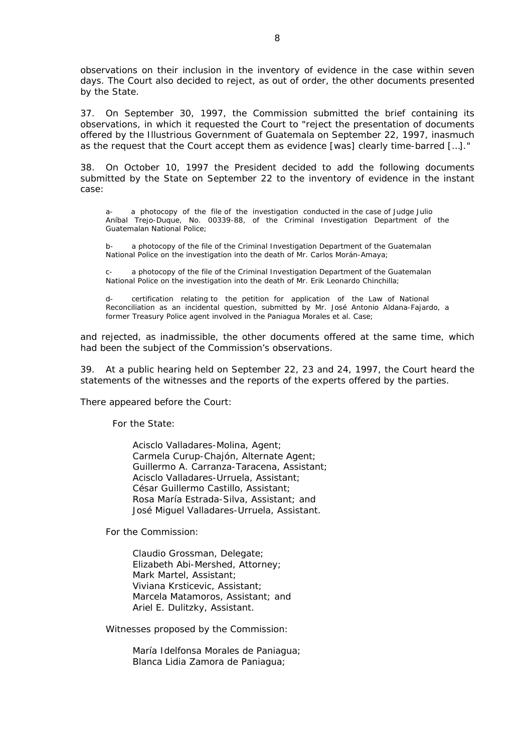observations on their inclusion in the inventory of evidence in the case within seven days. The Court also decided to reject, as out of order, the other documents presented by the State.

37. On September 30, 1997, the Commission submitted the brief containing its observations, in which it requested the Court to "*reject the presentation of documents offered by the Illustrious Government of Guatemala on September 22, 1997, inasmuch as the request that the Court accept them as evidence* [was] *clearly time-barred* […]."

38. On October 10, 1997 the President decided to add the following documents submitted by the State on September 22 to the inventory of evidence in the instant case:

a- a photocopy of the file of the investigation conducted in the case of Judge Julio Aníbal Trejo-Duque, No. 00339-88, of the Criminal Investigation Department of the Guatemalan National Police;

b- a photocopy of the file of the Criminal Investigation Department of the Guatemalan National Police on the investigation into the death of Mr. Carlos Morán-Amaya;

c- a photocopy of the file of the Criminal Investigation Department of the Guatemalan National Police on the investigation into the death of Mr. Erik Leonardo Chinchilla;

certification relating to the petition for application of the Law of National Reconciliation as an incidental question, submitted by Mr. José Antonio Aldana-Fajardo, a former Treasury Police agent involved in the Paniagua Morales *et al*. Case;

and rejected, as inadmissible, the other documents offered at the same time, which had been the subject of the Commission's observations.

39. At a public hearing held on September 22, 23 and 24, 1997, the Court heard the statements of the witnesses and the reports of the experts offered by the parties.

There appeared before the Court:

For the State:

Acisclo Valladares-Molina, Agent; Carmela Curup-Chajón, Alternate Agent; Guillermo A. Carranza-Taracena, Assistant; Acisclo Valladares-Urruela, Assistant; César Guillermo Castillo, Assistant; Rosa María Estrada-Silva, Assistant; and José Miguel Valladares-Urruela, Assistant.

For the Commission:

Claudio Grossman, Delegate; Elizabeth Abi-Mershed, Attorney; Mark Martel, Assistant; Viviana Krsticevic, Assistant; Marcela Matamoros, Assistant; and Ariel E. Dulitzky, Assistant.

Witnesses proposed by the Commission:

María Idelfonsa Morales de Paniagua; Blanca Lidia Zamora de Paniagua;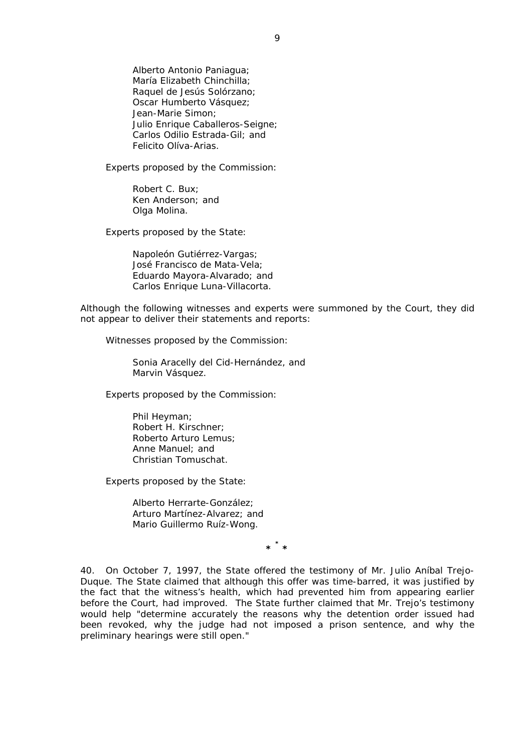Alberto Antonio Paniagua; María Elizabeth Chinchilla; Raquel de Jesús Solórzano; Oscar Humberto Vásquez; Jean-Marie Simon; Julio Enrique Caballeros-Seigne; Carlos Odilio Estrada-Gil; and Felicito Olíva-Arias.

Experts proposed by the Commission:

Robert C. Bux; Ken Anderson; and Olga Molina.

Experts proposed by the State:

Napoleón Gutiérrez-Vargas; José Francisco de Mata-Vela; Eduardo Mayora-Alvarado; and Carlos Enrique Luna-Villacorta.

Although the following witnesses and experts were summoned by the Court, they did not appear to deliver their statements and reports:

Witnesses proposed by the Commission:

Sonia Aracelly del Cid-Hernández, and Marvin Vásquez.

Experts proposed by the Commission:

Phil Heyman; Robert H. Kirschner; Roberto Arturo Lemus; Anne Manuel; and Christian Tomuschat.

Experts proposed by the State:

Alberto Herrarte-González; Arturo Martínez-Alvarez; and Mario Guillermo Ruíz-Wong.

**\* \* \*** 

40. On October 7, 1997, the State offered the testimony of Mr. Julio Aníbal Trejo-Duque. The State claimed that although this offer was time-barred, it was justified by the fact that the witness's health, which had prevented him from appearing earlier before the Court, had improved. The State further claimed that Mr. Trejo's testimony would help "*determine accurately the reasons why the detention order issued had*  been revoked, why the judge had not imposed a prison sentence, and why the *preliminary hearings were still open.*"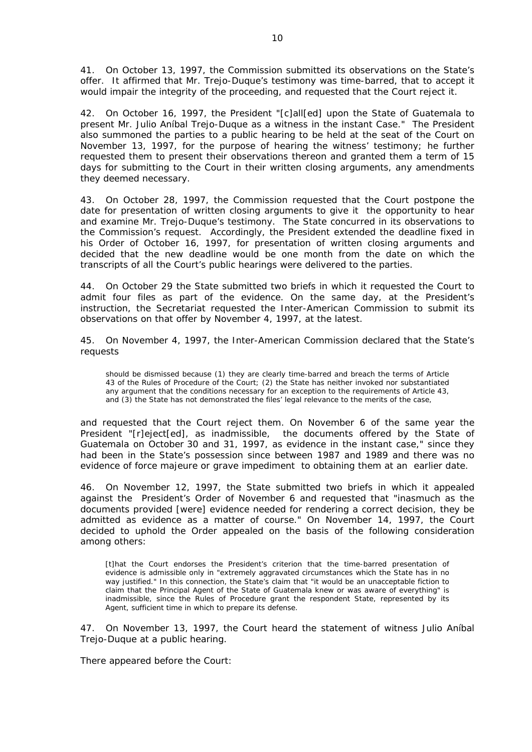41. On October 13, 1997, the Commission submitted its observations on the State's offer. It affirmed that Mr. Trejo-Duque's testimony was time-barred, that to accept it would impair the integrity of the proceeding, and requested that the Court reject it.

42. On October 16, 1997, the President "[c]*all*[ed] *upon the State of Guatemala to present Mr. Julio Aníbal Trejo-Duque as a witness in the instant Case.*" The President also summoned the parties to a public hearing to be held at the seat of the Court on November 13, 1997, for the purpose of hearing the witness' testimony; he further requested them to present their observations thereon and granted them a term of 15 days for submitting to the Court in their written closing arguments, any amendments they deemed necessary.

43. On October 28, 1997, the Commission requested that the Court postpone the date for presentation of written closing arguments to give it the opportunity to hear and examine Mr. Trejo-Duque's testimony. The State concurred in its observations to the Commission's request. Accordingly, the President extended the deadline fixed in his Order of October 16, 1997, for presentation of written closing arguments and decided that the new deadline would be one month from the date on which the transcripts of all the Court's public hearings were delivered to the parties.

44. On October 29 the State submitted two briefs in which it requested the Court to admit four files as part of the evidence. On the same day, at the President's instruction, the Secretariat requested the Inter-American Commission to submit its observations on that offer by November 4, 1997, at the latest.

45. On November 4, 1997, the Inter-American Commission declared that the State's requests

should be dismissed because (1) they are clearly time-barred and breach the terms of Article 43 of the Rules of Procedure of the Court; (2) the State has neither invoked nor substantiated any argument that the conditions necessary for an exception to the requirements of Article 43, and (3) the State has not demonstrated the files' legal relevance to the merits of the case,

and requested that the Court reject them. On November 6 of the same year the President "[r]*eject*[ed]*, as inadmissible, the documents offered by the State of Guatemala on October 30 and 31, 1997, as evidence in the instant case,*" since they had been in the State's possession since between 1987 and 1989 and there was no evidence of *force majeure* or grave impediment to obtaining them at an earlier date.

46. On November 12, 1997, the State submitted two briefs in which it appealed against the President's Order of November 6 and requested that "*inasmuch as the documents provided* [were] *evidence needed for rendering a correct decision, they be admitted as evidence as a matter of course.*" On November 14, 1997, the Court decided to uphold the Order appealed on the basis of the following consideration among others:

[t]hat the Court endorses the President's criterion that the time-barred presentation of evidence is admissible only in "*extremely aggravated circumstances which the State has in no way justified.*" In this connection, the State's claim that "*it would be an unacceptable fiction to claim that the Principal Agent of the State of Guatemala knew or was aware of everything*" is inadmissible, since the Rules of Procedure grant the respondent State, represented by its Agent, sufficient time in which to prepare its defense.

47. On November 13, 1997, the Court heard the statement of witness Julio Aníbal Trejo-Duque at a public hearing.

There appeared before the Court: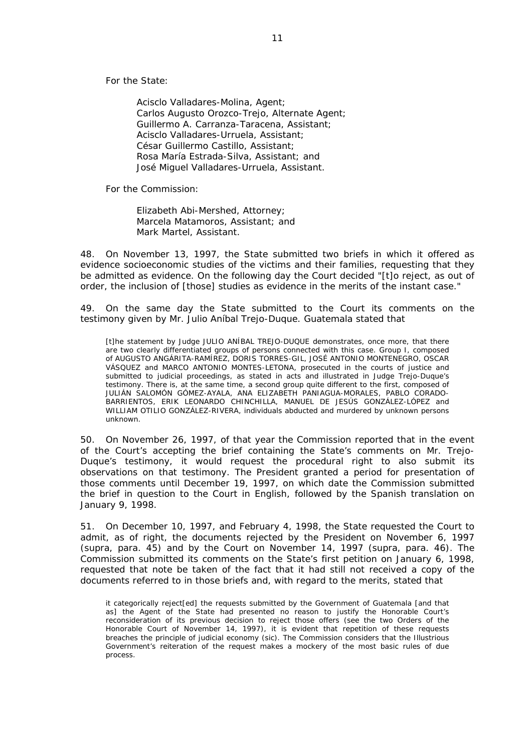For the State:

Acisclo Valladares-Molina, Agent; Carlos Augusto Orozco-Trejo, Alternate Agent; Guillermo A. Carranza-Taracena, Assistant; Acisclo Valladares-Urruela, Assistant; César Guillermo Castillo, Assistant; Rosa María Estrada-Silva, Assistant; and José Miguel Valladares-Urruela, Assistant.

For the Commission:

Elizabeth Abi-Mershed, Attorney; Marcela Matamoros, Assistant; and Mark Martel, Assistant.

48. On November 13, 1997, the State submitted two briefs in which it offered as evidence socioeconomic studies of the victims and their families, requesting that they be admitted as evidence. On the following day the Court decided "[t]*o reject, as out of order, the inclusion of* [those] *studies as evidence in the merits of the instant case.*"

49. On the same day the State submitted to the Court its comments on the testimony given by Mr. Julio Aníbal Trejo-Duque. Guatemala stated that

[t]he statement by Judge JULIO ANÍBAL TREJO-DUQUE demonstrates, once more, that there are two clearly differentiated groups of persons connected with this case. Group I, composed of AUGUSTO ANGÁRITA-RAMÍREZ, DORIS TORRES-GIL, JOSÉ ANTONIO MONTENEGRO, OSCAR VÁSQUEZ and MARCO ANTONIO MONTES-LETONA, prosecuted in the courts of justice and submitted to judicial proceedings, as stated in acts and illustrated in Judge Trejo-Duque's testimony. There is, at the same time, a second group quite different to the first, composed of JULIÁN SALOMÓN GÓMEZ-AYALA, ANA ELIZABETH PANIAGUA-MORALES, PABLO CORADO-BARRIENTOS, ERIK LEONARDO CHINCHILLA, MANUEL DE JESÚS GONZÁLEZ-LÓPEZ and WILLIAM OTILIO GONZÁLEZ-RIVERA, individuals abducted and murdered by unknown persons unknown.

50. On November 26, 1997, of that year the Commission reported that in the event of the Court's accepting the brief containing the State's comments on Mr. Trejo-Duque's testimony, it would request the procedural right to also submit its observations on that testimony. The President granted a period for presentation of those comments until December 19, 1997, on which date the Commission submitted the brief in question to the Court in English, followed by the Spanish translation on January 9, 1998.

51. On December 10, 1997, and February 4, 1998, the State requested the Court to admit, as of right, the documents rejected by the President on November 6, 1997 (*supra*, para. 45) and by the Court on November 14, 1997 (*supra*, para. 46). The Commission submitted its comments on the State's first petition on January 6, 1998, requested that note be taken of the fact that it had still not received a copy of the documents referred to in those briefs and, with regard to the merits, stated that

it categorically reject[ed] the requests submitted by the Government of Guatemala [and that as] the Agent of the State had presented no reason to justify the Honorable Court's reconsideration of its previous decision to reject those offers (*see* the two Orders of the Honorable Court of November 14, 1997), it is evident that repetition of these requests breaches the principle of judicial economy (sic). The Commission considers that the Illustrious Government's reiteration of the request makes a mockery of the most basic rules of due process.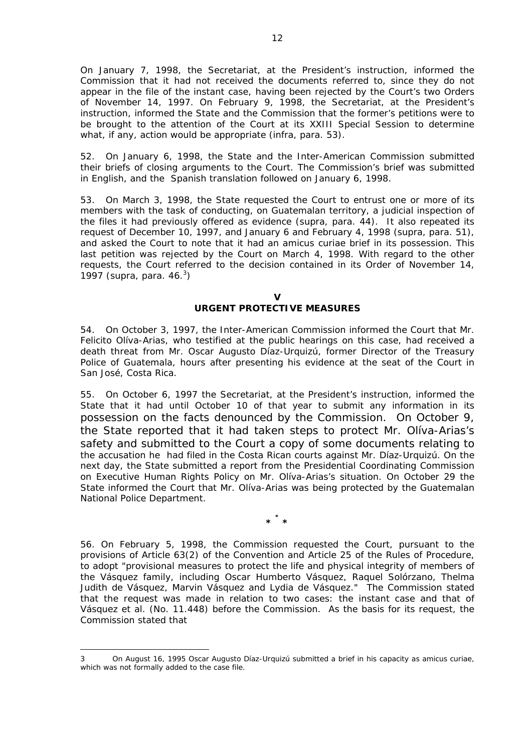On January 7, 1998, the Secretariat, at the President's instruction, informed the Commission that it had not received the documents referred to, since they do not appear in the file of the instant case, having been rejected by the Court's two Orders of November 14, 1997. On February 9, 1998, the Secretariat, at the President's instruction, informed the State and the Commission that the former's petitions were to be brought to the attention of the Court at its XXIII Special Session to determine what, if any, action would be appropriate (*infra*, para. 53).

52. On January 6, 1998, the State and the Inter-American Commission submitted their briefs of closing arguments to the Court. The Commission's brief was submitted in English, and the Spanish translation followed on January 6, 1998.

53. On March 3, 1998, the State requested the Court to entrust one or more of its members with the task of conducting, on Guatemalan territory, a judicial inspection of the files it had previously offered as evidence (*supra*, para. 44). It also repeated its request of December 10, 1997, and January 6 and February 4, 1998 (*supra*, para. 51), and asked the Court to note that it had an *amicus curiae* brief in its possession. This last petition was rejected by the Court on March 4, 1998. With regard to the other requests, the Court referred to the decision contained in its Order of November 14, 1997 (*supra*, para. 46.3 )

> **V URGENT PROTECTIVE MEASURES**

54. On October 3, 1997, the Inter-American Commission informed the Court that Mr. Felicito Olíva-Arias, who testified at the public hearings on this case, had received a death threat from Mr. Oscar Augusto Díaz-Urquizú, former Director of the Treasury Police of Guatemala, hours after presenting his evidence at the seat of the Court in San José, Costa Rica.

55. On October 6, 1997 the Secretariat, at the President's instruction, informed the State that it had until October 10 of that year to submit any information in its possession on the facts denounced by the Commission. On October 9, the State reported that it had taken steps to protect Mr. Olíva-Arias's safety and submitted to the Court a copy of some documents relating to the accusation he had filed in the Costa Rican courts against Mr. Díaz-Urquizú. On the next day, the State submitted a report from the Presidential Coordinating Commission on Executive Human Rights Policy on Mr. Olíva-Arias's situation. On October 29 the State informed the Court that Mr. Olíva-Arias was being protected by the Guatemalan National Police Department.

**\* \* \*** 

56. On February 5, 1998, the Commission requested the Court, pursuant to the provisions of Article 63(2) of the Convention and Article 25 of the Rules of Procedure, to adopt "*provisional measures to protect the life and physical integrity of members of the Vásquez family, including Oscar Humberto Vásquez, Raquel Solórzano, Thelma Judith de Vásquez, Marvin Vásquez and Lydia de Vásquez.*" The Commission stated that the request was made in relation to two cases: the instant case and that of Vásquez *et al.* (No. 11.448) before the Commission. As the basis for its request, the Commission stated that

<u>.</u>

<sup>3</sup> On August 16, 1995 Oscar Augusto Díaz-Urquizú submitted a brief in his capacity as *amicus curiae*, which was not formally added to the case file.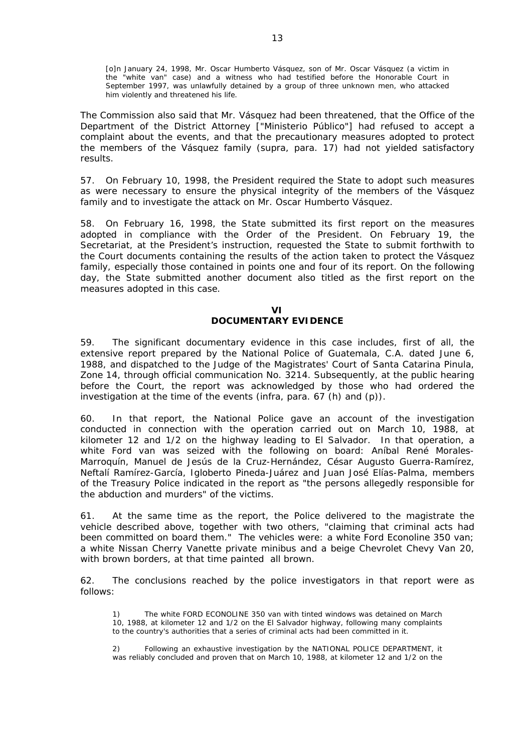[o]n January 24, 1998, Mr. Oscar Humberto Vásquez, son of Mr. Oscar Vásquez (a victim in the "white van" case) and a witness who had testified before the Honorable Court in September 1997, was unlawfully detained by a group of three unknown men, who attacked him violently and threatened his life.

The Commission also said that Mr. Vásquez had been threatened, that the Office of the Department of the District Attorney ["Ministerio Público"] had refused to accept a complaint about the events, and that the precautionary measures adopted to protect the members of the Vásquez family (*supra*, para. 17) had not yielded satisfactory results.

57. On February 10, 1998, the President required the State to adopt such measures as were necessary to ensure the physical integrity of the members of the Vásquez family and to investigate the attack on Mr. Oscar Humberto Vásquez.

58. On February 16, 1998, the State submitted its first report on the measures adopted in compliance with the Order of the President. On February 19, the Secretariat, at the President's instruction, requested the State to submit forthwith to the Court documents containing the results of the action taken to protect the Vásquez family, especially those contained in points one and four of its report. On the following day, the State submitted another document also titled as the first report on the measures adopted in this case.

#### **VI DOCUMENTARY EVIDENCE**

59. The significant documentary evidence in this case includes, first of all, the extensive report prepared by the *National Police of Guatemala, C.A.* dated June 6, 1988, and dispatched to the Judge of the Magistrates' Court of Santa Catarina Pinula, Zone 14, through official communication No. 3214. Subsequently, at the public hearing before the Court, the report was acknowledged by those who had ordered the investigation at the time of the events (*infra*, para. 67 (h) and (p)).

60. In that report, the National Police gave an account of the investigation conducted in connection with the operation carried out on March 10, 1988, at kilometer 12 and 1/2 on the highway leading to El Salvador. In that operation, a white Ford van was seized with the following on board: Aníbal René Morales-Marroquín, Manuel de Jesús de la Cruz-Hernández, César Augusto Guerra-Ramírez, Neftalí Ramírez-García, Igloberto Pineda-Juárez and Juan José Elías-Palma, members of the Treasury Police indicated in the report as "*the persons allegedly responsible for the abduction and murders*" of the victims.

61. At the same time as the report, the Police delivered to the magistrate the vehicle described above, together with two others, "*claiming that criminal acts had been committed on board them*." The vehicles were: a white Ford Econoline 350 van; a white Nissan Cherry Vanette private minibus and a beige Chevrolet Chevy Van 20, with brown borders, at that time painted all brown.

62. The conclusions reached by the police investigators in that report were as follows:

The white FORD ECONOLINE 350 van with tinted windows was detained on March 10, 1988, at kilometer 12 and 1/2 on the El Salvador highway, following many complaints to the country's authorities that a series of criminal acts had been committed in it.

2) Following an exhaustive investigation by the NATIONAL POLICE DEPARTMENT, it was reliably concluded and proven that on March 10, 1988, at kilometer 12 and 1/2 on the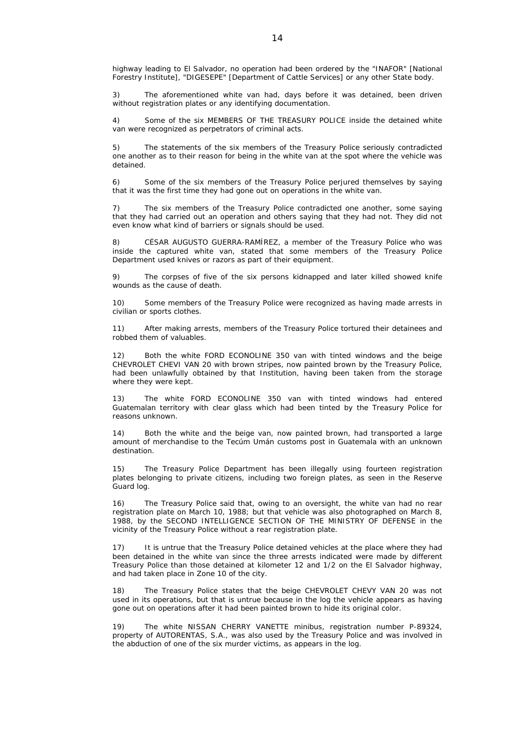highway leading to El Salvador, no operation had been ordered by the "INAFOR" [National Forestry Institute], "DIGESEPE" [Department of Cattle Services] or any other State body.

3) The aforementioned white van had, days before it was detained, been driven without registration plates or any identifying documentation.

4) Some of the six MEMBERS OF THE TREASURY POLICE inside the detained white van were recognized as perpetrators of criminal acts.

5) The statements of the six members of the Treasury Police seriously contradicted one another as to their reason for being in the white van at the spot where the vehicle was detained.

6) Some of the six members of the Treasury Police perjured themselves by saying that it was the first time they had gone out on operations in the white van.

7) The six members of the Treasury Police contradicted one another, some saying that they had carried out an operation and others saying that they had not. They did not even know what kind of barriers or signals should be used.

8) CÉSAR AUGUSTO GUERRA-RAMÍREZ, a member of the Treasury Police who was inside the captured white van, stated that some members of the Treasury Police Department used knives or razors as part of their equipment.

9) The corpses of five of the six persons kidnapped and later killed showed knife wounds as the cause of death.

10) Some members of the Treasury Police were recognized as having made arrests in civilian or sports clothes.

11) After making arrests, members of the Treasury Police tortured their detainees and robbed them of valuables.

Both the white FORD ECONOLINE 350 van with tinted windows and the beige CHEVROLET CHEVI VAN 20 with brown stripes, now painted brown by the Treasury Police, had been unlawfully obtained by that Institution, having been taken from the storage where they were kept.

13) The white FORD ECONOLINE 350 van with tinted windows had entered Guatemalan territory with clear glass which had been tinted by the Treasury Police for reasons unknown.

14) Both the white and the beige van, now painted brown, had transported a large amount of merchandise to the Tecúm Umán customs post in Guatemala with an unknown destination.

15) The Treasury Police Department has been illegally using fourteen registration plates belonging to private citizens, including two foreign plates, as seen in the Reserve Guard log.

16) The Treasury Police said that, owing to an oversight, the white van had no rear registration plate on March 10, 1988; but that vehicle was also photographed on March 8, 1988, by the SECOND INTELLIGENCE SECTION OF THE MINISTRY OF DEFENSE in the vicinity of the Treasury Police without a rear registration plate.

17) It is untrue that the Treasury Police detained vehicles at the place where they had been detained in the white van since the three arrests indicated were made by different Treasury Police than those detained at kilometer 12 and 1/2 on the El Salvador highway, and had taken place in Zone 10 of the city.

18) The Treasury Police states that the beige CHEVROLET CHEVY VAN 20 was not used in its operations, but that is untrue because in the log the vehicle appears as having gone out on operations after it had been painted brown to hide its original color.

19) The white NISSAN CHERRY VANETTE minibus, registration number P-89324, property of AUTORENTAS, S.A., was also used by the Treasury Police and was involved in the abduction of one of the six murder victims, as appears in the log.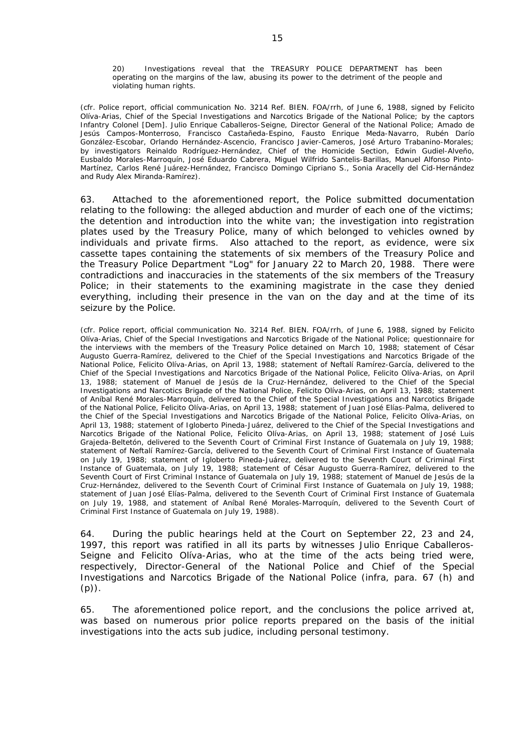20) Investigations reveal that the TREASURY POLICE DEPARTMENT has been operating on the margins of the law, abusing its power to the detriment of the people and violating human rights.

*(cfr. Police report, official communication No. 3214 Ref. BIEN. FOA/rrh, of June 6, 1988, signed by Felicito Olíva-Arias, Chief of the Special Investigations and Narcotics Brigade of the National Police; by the captors Infantry Colonel [Dem]. Julio Enrique Caballeros-Seigne, Director General of the National Police; Amado de Jesús Campos-Monterroso, Francisco Castañeda-Espino, Fausto Enrique Meda-Navarro, Rubén Darío González-Escobar, Orlando Hernández-Ascencio, Francisco Javier-Cameros, José Arturo Trabanino-Morales; by investigators Reinaldo Rodríguez-Hernández, Chief of the Homicide Section, Edwin Gudiel-Alveño, Eusbaldo Morales-Marroquín, José Eduardo Cabrera, Miguel Wilfrido Santelis-Barillas, Manuel Alfonso Pinto-Martínez, Carlos René Juárez-Hernández, Francisco Domingo Cipriano S., Sonia Aracelly del Cid-Hernández and Rudy Alex Miranda-Ramírez).*

63. Attached to the aforementioned report, the Police submitted documentation relating to the following: the alleged abduction and murder of each one of the victims; the detention and introduction into the white van; the investigation into registration plates used by the Treasury Police, many of which belonged to vehicles owned by individuals and private firms. Also attached to the report, as evidence, were six cassette tapes containing the statements of six members of the Treasury Police and the Treasury Police Department "Log" for January 22 to March 20, 1988. There were contradictions and inaccuracies in the statements of the six members of the Treasury Police; in their statements to the examining magistrate in the case they denied everything, including their presence in the van on the day and at the time of its seizure by the Police.

*(cfr. Police report, official communication No. 3214 Ref. BIEN. FOA/rrh, of June 6, 1988, signed by Felicito Olíva-Arias, Chief of the Special Investigations and Narcotics Brigade of the National Police; questionnaire for the interviews with the members of the Treasury Police detained on March 10, 1988; statement of César Augusto Guerra-Ramírez, delivered to the Chief of the Special Investigations and Narcotics Brigade of the National Police, Felicito Olíva-Arias, on April 13, 1988; statement of Neftalí Ramírez-García, delivered to the Chief of the Special Investigations and Narcotics Brigade of the National Police, Felicito Olíva-Arias, on April 13, 1988; statement of Manuel de Jesús de la Cruz-Hernández, delivered to the Chief of the Special Investigations and Narcotics Brigade of the National Police, Felicito Olíva-Arias, on April 13, 1988; statement of Aníbal René Morales-Marroquín, delivered to the Chief of the Special Investigations and Narcotics Brigade of the National Police, Felicito Olíva-Arias, on April 13, 1988; statement of Juan José Elías-Palma, delivered to the Chief of the Special Investigations and Narcotics Brigade of the National Police, Felicito Olíva-Arias, on April 13, 1988; statement of Igloberto Pineda-Juárez, delivered to the Chief of the Special Investigations and Narcotics Brigade of the National Police, Felicito Olíva-Arias, on April 13, 1988; statement of José Luis Grajeda-Beltetón, delivered to the Seventh Court of Criminal First Instance of Guatemala on July 19, 1988; statement of Neftalí Ramírez-García, delivered to the Seventh Court of Criminal First Instance of Guatemala on July 19, 1988; statement of Igloberto Pineda-Juárez, delivered to the Seventh Court of Criminal First Instance of Guatemala, on July 19, 1988; statement of César Augusto Guerra-Ramírez, delivered to the Seventh Court of First Criminal Instance of Guatemala on July 19, 1988; statement of Manuel de Jesús de la Cruz-Hernández, delivered to the Seventh Court of Criminal First Instance of Guatemala on July 19, 1988; statement of Juan José Elías-Palma, delivered to the Seventh Court of Criminal First Instance of Guatemala on July 19, 1988, and statement of Aníbal René Morales-Marroquín, delivered to the Seventh Court of Criminal First Instance of Guatemala on July 19, 1988).* 

64. During the public hearings held at the Court on September 22, 23 and 24, 1997, this report was ratified in all its parts by witnesses Julio Enrique Caballeros-Seigne and Felicito Olíva-Arias, who at the time of the acts being tried were, respectively, Director-General of the National Police and Chief of the Special Investigations and Narcotics Brigade of the National Police (*infra*, para. 67 (h) and  $(p)$ ).

65. The aforementioned police report, and the conclusions the police arrived at, was based on numerous prior police reports prepared on the basis of the initial investigations into the acts *sub judice*, including personal testimony.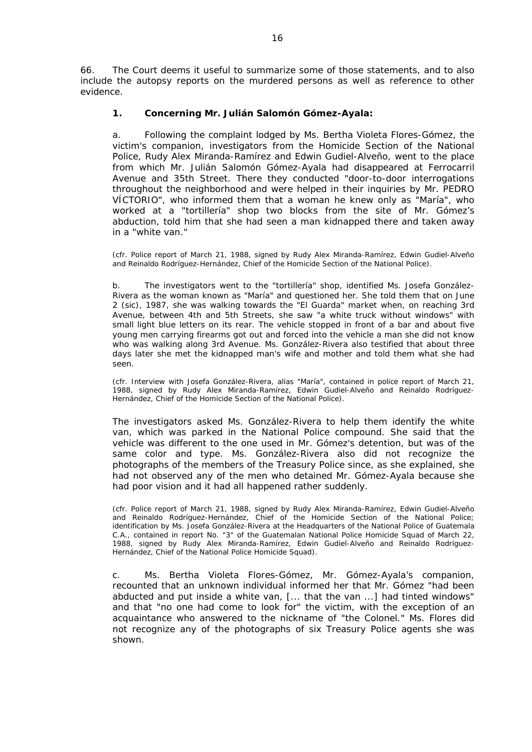66. The Court deems it useful to summarize some of those statements, and to also include the autopsy reports on the murdered persons as well as reference to other evidence.

# **1. Concerning Mr. Julián Salomón Gómez-Ayala:**

a. Following the complaint lodged by Ms. Bertha Violeta Flores-Gómez, the victim's companion, investigators from the Homicide Section of the National Police, Rudy Alex Miranda-Ramírez and Edwin Gudiel-Alveño, went to the place from which Mr. Julián Salomón Gómez-Ayala had disappeared at Ferrocarril Avenue and 35th Street. There they conducted "*door-to-door interrogations throughout the neighborhood and were helped in their inquiries by Mr. PEDRO VÍCTORIO*", who informed them that a woman he knew only as "María", who worked at a "tortillería" shop two blocks from the site of Mr. Gómez's abduction, told him that she had seen a man kidnapped there and taken away in a "*white van*."

*(cfr. Police report of March 21, 1988, signed by Rudy Alex Miranda-Ramírez, Edwin Gudiel-Alveño and Reinaldo Rodríguez-Hernández, Chief of the Homicide Section of the National Police).* 

b. The investigators went to the "tortillería" shop, identified Ms. Josefa González-Rivera as the woman known as "María" and questioned her. She told them that on June 2 (sic), 1987, she was walking towards the "El Guarda" market when, on reaching 3rd Avenue, between 4th and 5th Streets, she saw "*a white truck without windows*" with small light blue letters on its rear. The vehicle stopped in front of a bar and about five young men carrying firearms got out and forced into the vehicle a man she did not know who was walking along 3rd Avenue. Ms. González-Rivera also testified that about three days later she met the kidnapped man's wife and mother and told them what she had seen.

*(cfr. Interview with Josefa González-Rivera, alias "María", contained in police report of March 21, 1988, signed by Rudy Alex Miranda-Ramírez, Edwin Gudiel-Alveño and Reinaldo Rodríguez-Hernández, Chief of the Homicide Section of the National Police).*

The investigators asked Ms. González-Rivera to help them identify the white van, which was parked in the National Police compound. She said that the vehicle was different to the one used in Mr. Gómez's detention, but was of the same color and type. Ms. González-Rivera also did not recognize the photographs of the members of the Treasury Police since, as she explained, she had not observed any of the men who detained Mr. Gómez-Ayala because she had poor vision and it had all happened rather suddenly.

*(cfr. Police report of March 21, 1988, signed by Rudy Alex Miranda-Ramírez, Edwin Gudiel-Alveño and Reinaldo Rodríguez-Hernández, Chief of the Homicide Section of the National Police; identification by Ms. Josefa González-Rivera at the Headquarters of the National Police of Guatemala C.A., contained in report No. "3" of the Guatemalan National Police Homicide Squad of March 22, 1988, signed by Rudy Alex Miranda-Ramírez, Edwin Gudiel-Alveño and Reinaldo Rodríguez-Hernández, Chief of the National Police Homicide Squad).* 

c. Ms. Bertha Violeta Flores-Gómez, Mr. Gómez-Ayala's companion, recounted that an unknown individual informed her that Mr. Gómez "*had been abducted and put inside a white van,* [... that the van ...] *had tinted windows*" and that "*no one had come to look for*" the victim, with the exception of an acquaintance who answered to the nickname of "the Colonel." Ms. Flores did not recognize any of the photographs of six Treasury Police agents she was shown.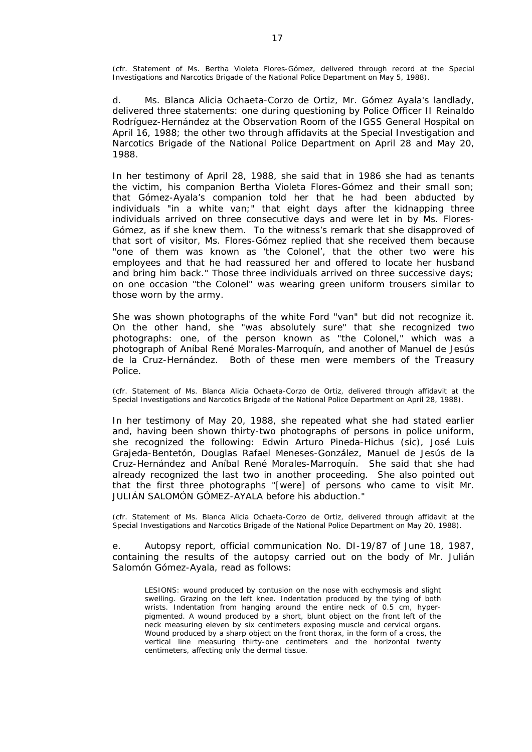*(cfr. Statement of Ms. Bertha Violeta Flores-Gómez, delivered through record at the Special Investigations and Narcotics Brigade of the National Police Department on May 5, 1988).* 

d. Ms. Blanca Alicia Ochaeta-Corzo de Ortiz, Mr. Gómez Ayala's landlady, delivered three statements: one during questioning by Police Officer II Reinaldo Rodríguez-Hernández at the Observation Room of the IGSS General Hospital on April 16, 1988; the other two through affidavits at the Special Investigation and Narcotics Brigade of the National Police Department on April 28 and May 20, 1988.

In her testimony of April 28, 1988, she said that in 1986 she had as tenants the victim, his companion Bertha Violeta Flores-Gómez and their small son; that Gómez-Ayala's companion told her that he had been abducted by individuals "*in a white van;*" that eight days after the kidnapping three individuals arrived on three consecutive days and were let in by Ms. Flores-Gómez, as if she knew them. To the witness's remark that she disapproved of that sort of visitor, Ms. Flores-Gómez replied that she received them because "*one of them was known as 'the Colonel', that the other two were his employees and that he had reassured her and offered to locate her husband and bring him back.*" Those three individuals arrived on three successive days; on one occasion "the Colonel" was wearing green uniform trousers similar to those worn by the army.

She was shown photographs of the white Ford "van" but did not recognize it. On the other hand, she "*was absolutely sure*" that she recognized two photographs: one, of the person known as "the Colonel," which was a photograph of Aníbal René Morales-Marroquín, and another of Manuel de Jesús de la Cruz-Hernández. Both of these men were members of the Treasury Police.

*(cfr. Statement of Ms. Blanca Alicia Ochaeta-Corzo de Ortiz, delivered through affidavit at the*  Special Investigations and Narcotics Brigade of the National Police Department on April 28, 1988).

In her testimony of May 20, 1988, she repeated what she had stated earlier and, having been shown thirty-two photographs of persons in police uniform, she recognized the following: Edwin Arturo Pineda-Hichus (sic), José Luis Grajeda-Bentetón, Douglas Rafael Meneses-González, Manuel de Jesús de la Cruz-Hernández and Aníbal René Morales-Marroquín. She said that she had already recognized the last two in another proceeding. She also pointed out that the first three photographs "[were] *of persons who came to visit Mr. JULIÁN SALOMÓN GÓMEZ-AYALA before his abduction.*"

*(cfr. Statement of Ms. Blanca Alicia Ochaeta-Corzo de Ortiz, delivered through affidavit at the*  Special Investigations and Narcotics Brigade of the National Police Department on May 20, 1988).

e. Autopsy report, official communication No. DI-19/87 of June 18, 1987, containing the results of the autopsy carried out on the body of Mr. Julián Salomón Gómez-Ayala, read as follows:

LESIONS: wound produced by contusion on the nose with ecchymosis and slight swelling. Grazing on the left knee. Indentation produced by the tying of both wrists. Indentation from hanging around the entire neck of 0.5 cm, hyperpigmented. A wound produced by a short, blunt object on the front left of the neck measuring eleven by six centimeters exposing muscle and cervical organs. Wound produced by a sharp object on the front thorax, in the form of a cross, the vertical line measuring thirty-one centimeters and the horizontal twenty centimeters, affecting only the dermal tissue.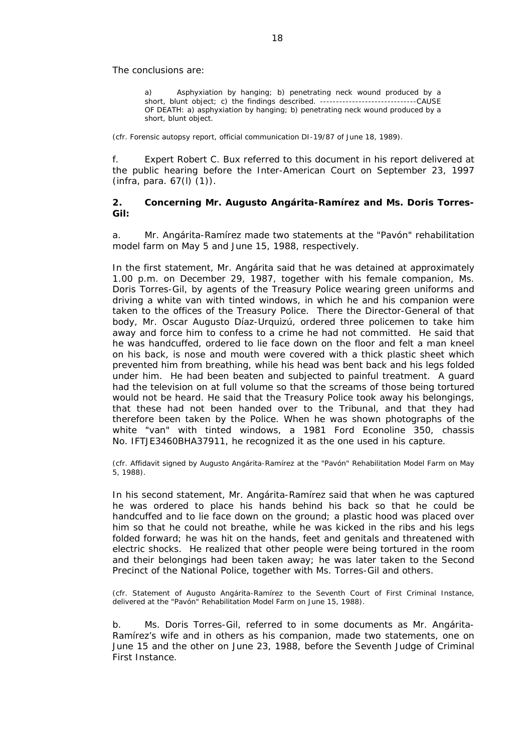The conclusions are:

Asphyxiation by hanging; b) penetrating neck wound produced by a short, blunt object; c) the findings described. ------------------------------CAUSE OF DEATH: a) asphyxiation by hanging; b) penetrating neck wound produced by a short, blunt object.

*(cfr. Forensic autopsy report, official communication DI-19/87 of June 18, 1989).* 

f. Expert Robert C. Bux referred to this document in his report delivered at the public hearing before the Inter-American Court on September 23, 1997 (*infra*, para. 67(l) (1)).

## **2. Concerning Mr. Augusto Angárita-Ramírez and Ms. Doris Torres-Gil:**

a. Mr. Angárita-Ramírez made two statements at the "Pavón" rehabilitation model farm on May 5 and June 15, 1988, respectively.

In the first statement, Mr. Angárita said that he was detained at approximately 1.00 p.m. on December 29, 1987, together with his female companion, Ms. Doris Torres-Gil, by agents of the Treasury Police wearing green uniforms and driving a white van with tinted windows, in which he and his companion were taken to the offices of the Treasury Police. There the Director-General of that body, Mr. Oscar Augusto Díaz-Urquizú, ordered three policemen to take him away and force him to confess to a crime he had not committed. He said that he was handcuffed, ordered to lie face down on the floor and felt a man kneel on his back, is nose and mouth were covered with a thick plastic sheet which prevented him from breathing, while his head was bent back and his legs folded under him. He had been beaten and subjected to painful treatment. A guard had the television on at full volume so that the screams of those being tortured would not be heard. He said that the Treasury Police took away his belongings, that these had not been handed over to the Tribunal, and that they had therefore been taken by the Police. When he was shown photographs of the white "van" with tinted windows, a 1981 Ford Econoline 350, chassis No. IFTJE3460BHA37911, he recognized it as the one used in his capture.

*(cfr. Affidavit signed by Augusto Angárita-Ramírez at the* "*Pavón*" *Rehabilitation Model Farm on May 5, 1988).* 

In his second statement, Mr. Angárita-Ramírez said that when he was captured he was ordered to place his hands behind his back so that he could be handcuffed and to lie face down on the ground; a plastic hood was placed over him so that he could not breathe, while he was kicked in the ribs and his legs folded forward; he was hit on the hands, feet and genitals and threatened with electric shocks. He realized that other people were being tortured in the room and their belongings had been taken away; he was later taken to the Second Precinct of the National Police, together with Ms. Torres-Gil and others.

*(cfr. Statement of Augusto Angárita-Ramírez to the Seventh Court of First Criminal Instance, delivered at the* "*Pavón*" *Rehabilitation Model Farm on June 15, 1988).* 

b. Ms. Doris Torres-Gil, referred to in some documents as Mr. Angárita-Ramírez's wife and in others as his companion, made two statements, one on June 15 and the other on June 23, 1988, before the Seventh Judge of Criminal First Instance.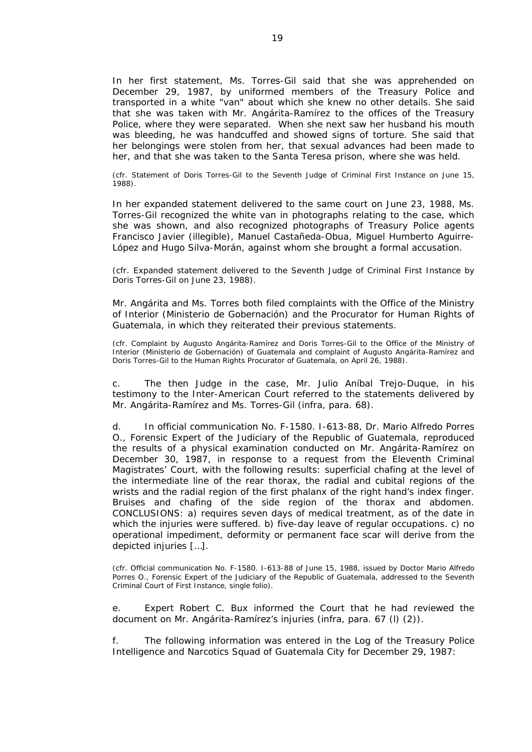In her first statement, Ms. Torres-Gil said that she was apprehended on December 29, 1987, by uniformed members of the Treasury Police and transported in a white "van" about which she knew no other details. She said that she was taken with Mr. Angárita-Ramírez to the offices of the Treasury Police, where they were separated. When she next saw her husband his mouth was bleeding, he was handcuffed and showed signs of torture. She said that her belongings were stolen from her, that sexual advances had been made to her, and that she was taken to the Santa Teresa prison, where she was held.

*(cfr. Statement of Doris Torres-Gil to the Seventh Judge of Criminal First Instance on June 15, 1988).*

In her expanded statement delivered to the same court on June 23, 1988, Ms. Torres-Gil recognized the white van in photographs relating to the case, which she was shown, and also recognized photographs of Treasury Police agents Francisco Javier (illegible), Manuel Castañeda-Obua, Miguel Humberto Aguirre-López and Hugo Silva-Morán, against whom she brought a formal accusation.

*(cfr. Expanded statement delivered to the Seventh Judge of Criminal First Instance by Doris Torres-Gil on June 23, 1988).* 

Mr. Angárita and Ms. Torres both filed complaints with the Office of the Ministry of Interior (Ministerio de Gobernación) and the Procurator for Human Rights of Guatemala, in which they reiterated their previous statements.

*(cfr. Complaint by Augusto Angárita-Ramírez and Doris Torres-Gil to the Office of the Ministry of Interior (Ministerio de Gobernación) of Guatemala and complaint of Augusto Angárita-Ramírez and Doris Torres-Gil to the Human Rights Procurator of Guatemala, on April 26, 1988).* 

c. The then Judge in the case, Mr. Julio Aníbal Trejo-Duque, in his testimony to the Inter-American Court referred to the statements delivered by Mr. Angárita-Ramírez and Ms. Torres-Gil (*infra*, para. 68).

d. In official communication No. F-1580. I-613-88, Dr. Mario Alfredo Porres O., Forensic Expert of the Judiciary of the Republic of Guatemala, reproduced the results of a physical examination conducted on Mr. Angárita-Ramírez on December 30, 1987, in response to a request from the Eleventh Criminal Magistrates' Court, with the following results: superficial chafing at the level of the intermediate line of the rear thorax, the radial and cubital regions of the wrists and the radial region of the first phalanx of the right hand's index finger. Bruises and chafing of the side region of the thorax and abdomen. CONCLUSIONS: a) requires seven days of medical treatment, as of the date in which the injuries were suffered. b) five-day leave of regular occupations. c) no operational impediment, deformity or permanent face scar will derive from the depicted injuries […].

*(cfr. Official communication No. F-1580. I-613-88 of June 15, 1988, issued by Doctor Mario Alfredo*  Porres O., Forensic Expert of the Judiciary of the Republic of Guatemala, addressed to the Seventh *Criminal Court of First Instance, single folio).* 

e. Expert Robert C. Bux informed the Court that he had reviewed the document on Mr. Angárita-Ramírez's injuries (*infra*, para. 67 (l) (2)).

The following information was entered in the Log of the Treasury Police Intelligence and Narcotics Squad of Guatemala City for December 29, 1987: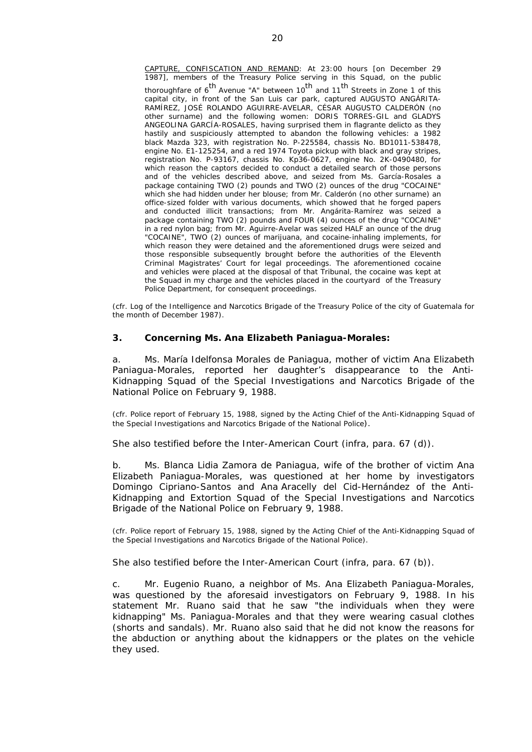CAPTURE, CONFISCATION AND REMAND: At 23:00 hours [on December 29 1987], members of the Treasury Police serving in this Squad, on the public thoroughfare of  $6<sup>th</sup>$  Avenue "A" between  $10<sup>th</sup>$  and  $11<sup>th</sup>$  Streets in Zone 1 of this capital city, in front of the San Luis car park, captured AUGUSTO ANGÁRITA-RAMÍREZ, JOSÉ ROLANDO AGUIRRE-AVELAR, CÉSAR AUGUSTO CALDERÓN (no other surname) and the following women: DORIS TORRES-GIL and GLADYS ANGEOLINA GARCÍA-ROSALES, having surprised them in *flagrante delicto* as they hastily and suspiciously attempted to abandon the following vehicles: a 1982 black Mazda 323, with registration No. P-225584, chassis No. BD1011-538478, engine No. E1-125254, and a red 1974 Toyota pickup with black and gray stripes, registration No. P-93167, chassis No. Kp36-0627, engine No. 2K-0490480, for which reason the captors decided to conduct a detailed search of those persons and of the vehicles described above, and seized from Ms. García-Rosales a package containing TWO (2) pounds and TWO (2) ounces of the drug "COCAINE" which she had hidden under her blouse; from Mr. Calderón (no other surname) an office-sized folder with various documents, which showed that he forged papers and conducted illicit transactions; from Mr. Angárita-Ramírez was seized a package containing TWO (2) pounds and FOUR (4) ounces of the drug "COCAINE" in a red nylon bag; from Mr. Aguirre-Avelar was seized HALF an ounce of the drug "COCAINE", TWO (2) ounces of marijuana, and cocaine-inhaling implements, for which reason they were detained and the aforementioned drugs were seized and those responsible subsequently brought before the authorities of the Eleventh Criminal Magistrates' Court for legal proceedings. The aforementioned cocaine and vehicles were placed at the disposal of that Tribunal, the cocaine was kept at the Squad in my charge and the vehicles placed in the courtyard of the Treasury Police Department, for consequent proceedings.

(cfr. Log of the Intelligence and Narcotics Brigade of the Treasury Police of the city of Guatemala for the month of December 1987).

#### **3. Concerning Ms. Ana Elizabeth Paniagua-Morales:**

a. Ms. María Idelfonsa Morales de Paniagua, mother of victim Ana Elizabeth Paniagua-Morales, reported her daughter's disappearance to the Anti-Kidnapping Squad of the Special Investigations and Narcotics Brigade of the National Police on February 9, 1988.

(cfr. Police report of February 15, 1988, signed by the Acting Chief of the Anti-Kidnapping Squad of the Special Investigations and Narcotics Brigade of the National Police*).* 

She also testified before the Inter-American Court (*infra*, para. 67 (d)).

b. Ms. Blanca Lidia Zamora de Paniagua, wife of the brother of victim Ana Elizabeth Paniagua-Morales, was questioned at her home by investigators Domingo Cipriano-Santos and Ana Aracelly del Cid-Hernández of the Anti-Kidnapping and Extortion Squad of the Special Investigations and Narcotics Brigade of the National Police on February 9, 1988.

*(cfr. Police report of February 15, 1988, signed by the Acting Chief of the Anti-Kidnapping Squad of the Special Investigations and Narcotics Brigade of the National Police).* 

She also testified before the Inter-American Court (*infra*, para. 67 (b)).

c. Mr. Eugenio Ruano, a neighbor of Ms. Ana Elizabeth Paniagua-Morales, was questioned by the aforesaid investigators on February 9, 1988. In his statement Mr. Ruano said that he saw "the individuals when they were kidnapping" Ms. Paniagua-Morales and that they were wearing casual clothes (shorts and sandals). Mr. Ruano also said that he did not know the reasons for the abduction or anything about the kidnappers or the plates on the vehicle they used.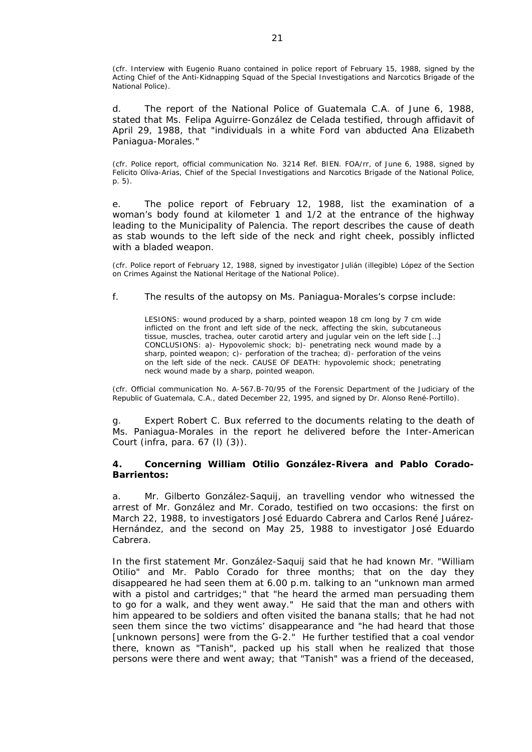*(cfr. Interview with Eugenio Ruano contained in police report of February 15, 1988, signed by the Acting Chief of the Anti-Kidnapping Squad of the Special Investigations and Narcotics Brigade of the National Police).* 

d. The report of the *National Police of Guatemala C.A.* of June 6, 1988, stated that Ms. Felipa Aguirre-González de Celada testified, through affidavit of April 29, 1988, that "individuals in a white Ford van abducted Ana Elizabeth Paniagua-Morales."

*(cfr. Police report, official communication No. 3214 Ref. BIEN. FOA/rr, of June 6, 1988, signed by Felicito Olíva-Arias, Chief of the Special Investigations and Narcotics Brigade of the National Police, p. 5).* 

e. The police report of February 12, 1988, list the examination of a woman's body found at kilometer 1 and 1/2 at the entrance of the highway leading to the Municipality of Palencia. The report describes the cause of death as stab wounds to the left side of the neck and right cheek, possibly inflicted with a bladed weapon.

*(cfr. Police report of February 12, 1988, signed by investigator Julián (illegible) López of the Section on Crimes Against the National Heritage of the National Police).*

f. The results of the autopsy on Ms. Paniagua-Morales's corpse include:

LESIONS: wound produced by a sharp, pointed weapon 18 cm long by 7 cm wide inflicted on the front and left side of the neck, affecting the skin, subcutaneous tissue, muscles, trachea, outer carotid artery and jugular vein on the left side […] CONCLUSIONS: a)- Hypovolemic shock; b)- penetrating neck wound made by a sharp, pointed weapon; c)- perforation of the trachea; d)- perforation of the veins on the left side of the neck. CAUSE OF DEATH: hypovolemic shock; penetrating neck wound made by a sharp, pointed weapon.

*(cfr. Official communication No. A-567.B-70/95 of the Forensic Department of the Judiciary of the Republic of Guatemala, C.A., dated December 22, 1995, and signed by Dr. Alonso René-Portillo).* 

g. Expert Robert C. Bux referred to the documents relating to the death of Ms. Paniagua-Morales in the report he delivered before the Inter-American Court (*infra*, para. 67 (l) (3)).

## **4. Concerning William Otilio González-Rivera and Pablo Corado-Barrientos:**

a. Mr. Gilberto González-Saquij, an travelling vendor who witnessed the arrest of Mr. González and Mr. Corado, testified on two occasions: the first on March 22, 1988, to investigators José Eduardo Cabrera and Carlos René Juárez-Hernández, and the second on May 25, 1988 to investigator José Eduardo Cabrera.

In the first statement Mr. González-Saquij said that he had known Mr. "*William Otilio*" and Mr. Pablo Corado for three months; that on the day they disappeared he had seen them at 6.00 p.m. talking to an "*unknown man armed with a pistol and cartridges;*" that "*he heard the armed man persuading them to go for a walk, and they went away.*" He said that the man and others with him appeared to be soldiers and often visited the banana stalls; that he had not seen them since the two victims' disappearance and "*he had heard that those*  [unknown persons] *were from the G-2.*" He further testified that a coal vendor there, known as "Tanish", packed up his stall when he realized that those persons were there and went away; that "*Tanish*" was a friend of the deceased,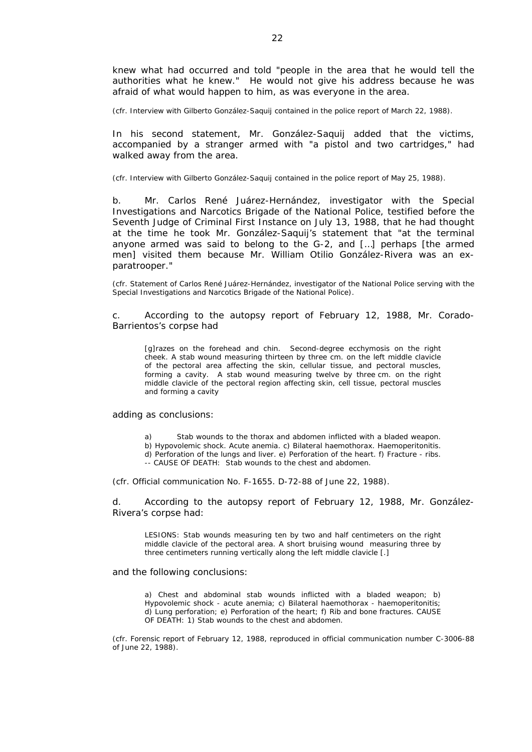knew what had occurred and told "*people in the area that he would tell the authorities what he knew.*" He would not give his address because he was afraid of what would happen to him, as was everyone in the area.

*(cfr. Interview with Gilberto González-Saquij contained in the police report of March 22, 1988).* 

In his second statement, Mr. González-Saquij added that the victims, accompanied by a stranger armed with "*a pistol and two cartridges,*" had walked away from the area.

*(cfr. Interview with Gilberto González-Saquij contained in the police report of May 25, 1988).* 

b. Mr. Carlos René Juárez-Hernández, investigator with the Special Investigations and Narcotics Brigade of the National Police, testified before the Seventh Judge of Criminal First Instance on July 13, 1988, that he had thought at the time he took Mr. González-Saquij's statement that "*at the terminal anyone armed was said to belong to the G-2, and* […] *perhaps* [the armed men] *visited them because Mr. William Otilio González-Rivera was an exparatrooper.*"

*(cfr. Statement of Carlos René Juárez-Hernández, investigator of the National Police serving with the Special Investigations and Narcotics Brigade of the National Police).*

c. According to the autopsy report of February 12, 1988, Mr. Corado-Barrientos's corpse had

[g]razes on the forehead and chin. Second-degree ecchymosis on the right cheek. A stab wound measuring thirteen by three cm. on the left middle clavicle of the pectoral area affecting the skin, cellular tissue, and pectoral muscles, forming a cavity. A stab wound measuring twelve by three cm. on the right middle clavicle of the pectoral region affecting skin, cell tissue, pectoral muscles and forming a cavity

adding as conclusions:

- Stab wounds to the thorax and abdomen inflicted with a bladed weapon.
- b) Hypovolemic shock. Acute anemia. c) Bilateral haemothorax. Haemoperitonitis.
- d) Perforation of the lungs and liver. e) Perforation of the heart. f) Fracture ribs.
- -- CAUSE OF DEATH: Stab wounds to the chest and abdomen.

*(cfr. Official communication No. F-1655. D-72-88 of June 22, 1988).* 

d. According to the autopsy report of February 12, 1988, Mr. González-Rivera's corpse had:

LESIONS: Stab wounds measuring ten by two and half centimeters on the right middle clavicle of the pectoral area. A short bruising wound measuring three by three centimeters running vertically along the left middle clavicle [.]

#### and the following conclusions:

a) Chest and abdominal stab wounds inflicted with a bladed weapon; b) Hypovolemic shock - acute anemia; c) Bilateral haemothorax - haemoperitonitis; d) Lung perforation; e) Perforation of the heart; f) Rib and bone fractures. CAUSE OF DEATH: 1) Stab wounds to the chest and abdomen.

*(cfr. Forensic report of February 12, 1988, reproduced in official communication number C-3006-88 of June 22, 1988).*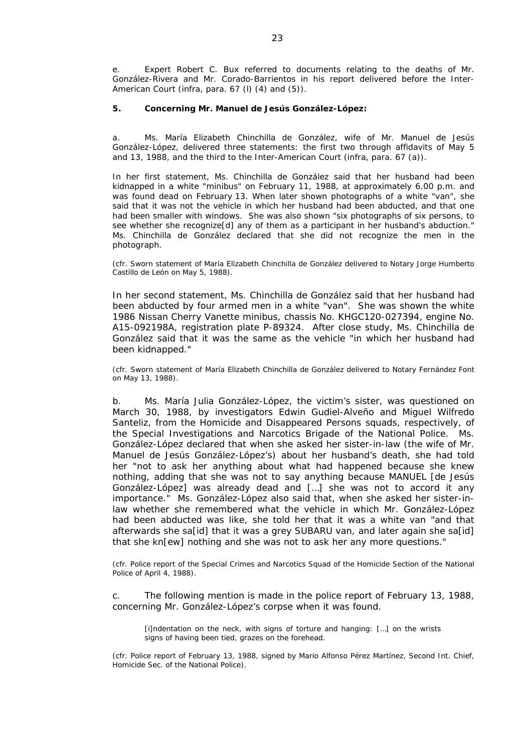e. Expert Robert C. Bux referred to documents relating to the deaths of Mr. González-Rivera and Mr. Corado-Barrientos in his report delivered before the Inter-American Court (*infra*, para. 67 (l) (4) and (5)).

#### **5. Concerning Mr. Manuel de Jesús González-López:**

a. Ms. María Elizabeth Chinchilla de González, wife of Mr. Manuel de Jesús González-López, delivered three statements: the first two through affidavits of May 5 and 13, 1988, and the third to the Inter-American Court (*infra*, para. 67 (a)).

In her first statement, Ms. Chinchilla de González said that her husband had been kidnapped in a white "*minibus*" on February 11, 1988, at approximately 6.00 p.m. and was found dead on February 13. When later shown photographs of a white "van", she said that it was not the vehicle in which her husband had been abducted, and that one had been smaller with windows. She was also shown "*six photographs of six persons, to see whether she recognize*[d] *any of them as a participant in her husband's abduction*." Ms. Chinchilla de González declared that she did not recognize the men in the photograph.

*(cfr. Sworn statement of María Elizabeth Chinchilla de González delivered to Notary Jorge Humberto Castillo de León on May 5, 1988).* 

In her second statement, Ms. Chinchilla de González said that her husband had been abducted by four armed men in a white "van". She was shown the white 1986 Nissan Cherry Vanette minibus, chassis No. KHGC120-027394, engine No. A15-092198A, registration plate P-89324. After close study, Ms. Chinchilla de González said that it was the same as the vehicle "*in which her husband had been kidnapped.*"

*(cfr. Sworn statement of María Elizabeth Chinchilla de González delivered to Notary Fernández Font on May 13, 1988).* 

b. Ms. María Julia González-López, the victim's sister, was questioned on March 30, 1988, by investigators Edwin Gudiel-Alveño and Miguel Wilfredo Santeliz, from the Homicide and Disappeared Persons squads, respectively, of the Special Investigations and Narcotics Brigade of the National Police. Ms. González-López declared that when she asked her sister-in-law (the wife of Mr. Manuel de Jesús González-López's) about her husband's death, she had told her "*not to ask her anything about what had happened because she knew nothing, adding that she was not to say anything because MANUEL* [de Jesús González-López] *was already dead and* […] *she was not to accord it any importance*." Ms. González-López also said that, when she asked her sister-inlaw whether she remembered what the vehicle in which Mr. González-López had been abducted was like, she told her that it was a white van "*and that afterwards she sa*[id] *that it was a grey SUBARU van, and later again she sa*[id] *that she kn*[ew] *nothing and she was not to ask her any more questions.*"

*(cfr. Police report of the Special Crimes and Narcotics Squad of the Homicide Section of the National Police of April 4, 1988).* 

c. The following mention is made in the police report of February 13, 1988, concerning Mr. González-López's corpse when it was found.

[i]ndentation on the neck, with signs of torture and hanging: [...] on the wrists signs of having been tied, grazes on the forehead.

*(cfr. Police report of February 13, 1988, signed by Mario Alfonso Pérez Martínez, Second Int. Chief, Homicide Sec. of the National Police).*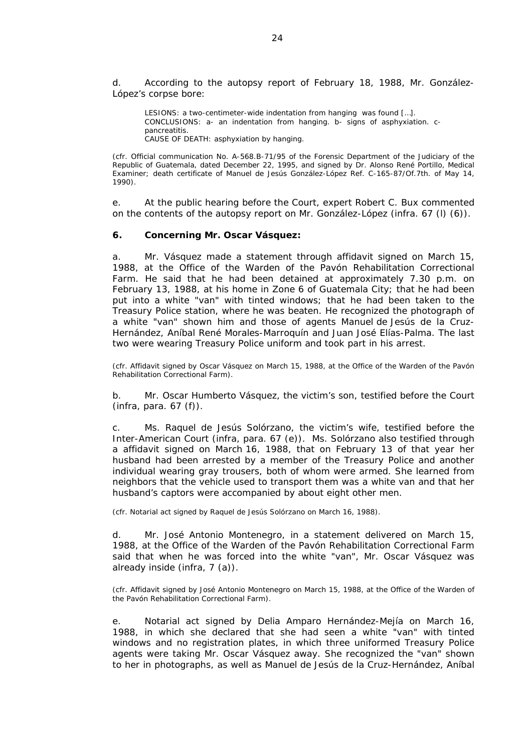d. According to the autopsy report of February 18, 1988, Mr. González-López's corpse bore:

LESIONS: a two-centimeter-wide indentation from hanging was found [...]. CONCLUSIONS: a- an indentation from hanging. b- signs of asphyxiation. cpancreatitis. CAUSE OF DEATH: asphyxiation by hanging.

*(cfr. Official communication No. A-568.B-71/95 of the Forensic Department of the Judiciary of the Republic of Guatemala, dated December 22, 1995, and signed by Dr. Alonso René Portillo, Medical Examiner; death certificate of Manuel de Jesús González-López Ref. C-165-87/Of.7th. of May 14, 1990).*

e. At the public hearing before the Court, expert Robert C. Bux commented on the contents of the autopsy report on Mr. González-López (*infra*. 67 (l) (6)).

#### **6. Concerning Mr. Oscar Vásquez:**

a. Mr. Vásquez made a statement through affidavit signed on March 15, 1988, at the Office of the Warden of the Pavón Rehabilitation Correctional Farm. He said that he had been detained at approximately 7.30 p.m. on February 13, 1988, at his home in Zone 6 of Guatemala City; that he had been put into a white "van" with tinted windows; that he had been taken to the Treasury Police station, where he was beaten. He recognized the photograph of a white "van" shown him and those of agents Manuel de Jesús de la Cruz-Hernández, Aníbal René Morales-Marroquín and Juan José Elías-Palma. The last two were wearing Treasury Police uniform and took part in his arrest.

*(cfr. Affidavit signed by Oscar Vásquez on March 15, 1988, at the Office of the Warden of the Pavón Rehabilitation Correctional Farm).* 

b. Mr. Oscar Humberto Vásquez, the victim's son, testified before the Court (*infra*, para. 67 (f)).

c. Ms. Raquel de Jesús Solórzano, the victim's wife, testified before the Inter-American Court (*infra*, para. 67 (e)). Ms. Solórzano also testified through a affidavit signed on March 16, 1988, that on February 13 of that year her husband had been arrested by a member of the Treasury Police and another individual wearing gray trousers, both of whom were armed. She learned from neighbors that the vehicle used to transport them was a white van and that her husband's captors were accompanied by about eight other men.

*(cfr. Notarial act signed by Raquel de Jesús Solórzano on March 16, 1988).* 

d. Mr. José Antonio Montenegro, in a statement delivered on March 15, 1988, at the Office of the Warden of the Pavón Rehabilitation Correctional Farm said that when he was forced into the white "van", Mr. Oscar Vásquez was already inside (*infra*, 7 (a)).

*(cfr. Affidavit signed by José Antonio Montenegro on March 15, 1988, at the Office of the Warden of the Pavón Rehabilitation Correctional Farm).* 

e. Notarial act signed by Delia Amparo Hernández-Mejía on March 16, 1988, in which she declared that she had seen a white "van" with tinted windows and no registration plates, in which three uniformed Treasury Police agents were taking Mr. Oscar Vásquez away. She recognized the "van" shown to her in photographs, as well as Manuel de Jesús de la Cruz-Hernández, Aníbal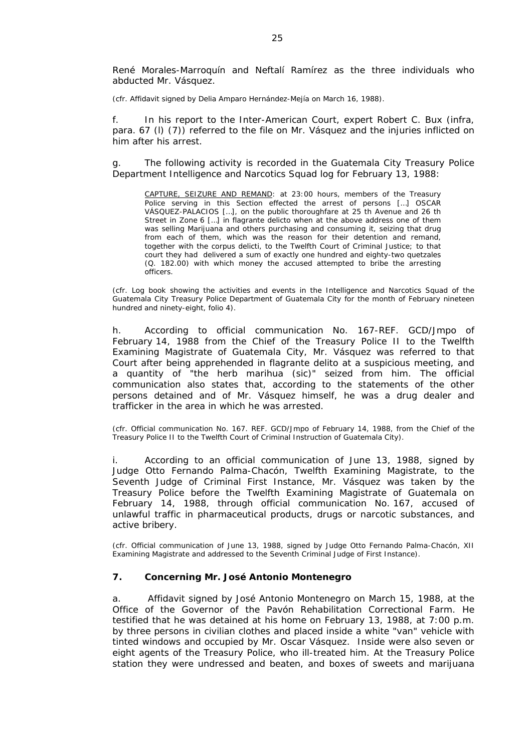René Morales-Marroquín and Neftalí Ramírez as the three individuals who abducted Mr. Vásquez.

*(cfr. Affidavit signed by Delia Amparo Hernández-Mejía on March 16, 1988).*

f. In his report to the Inter-American Court, expert Robert C. Bux (*infra*, para. 67 (l) (7)) referred to the file on Mr. Vásquez and the injuries inflicted on him after his arrest.

g. The following activity is recorded in the Guatemala City Treasury Police Department Intelligence and Narcotics Squad log for February 13, 1988:

CAPTURE, SEIZURE AND REMAND: at 23:00 hours, members of the Treasury Police serving in this Section effected the arrest of persons […] OSCAR VÁSQUEZ-PALACIOS […], on the public thoroughfare at 25 th Avenue and 26 th Street in Zone 6 […] *in flagrante delicto* when at the above address one of them was selling Marijuana and others purchasing and consuming it, seizing that drug from each of them, which was the reason for their detention and remand, together with the *corpus delicti*, to the Twelfth Court of Criminal Justice; to that court they had delivered a sum of exactly one hundred and eighty-two quetzales (Q. 182.00) with which money the accused attempted to bribe the arresting officers.

*(cfr. Log book showing the activities and events in the Intelligence and Narcotics Squad of the Guatemala City Treasury Police Department of Guatemala City for the month of February nineteen hundred and ninety-eight, folio 4).*

h. According to official communication No. 167-REF. GCD/Jmpo of February 14, 1988 from the Chief of the Treasury Police II to the Twelfth Examining Magistrate of Guatemala City, Mr. Vásquez was referred to that Court after being apprehended *in flagrante delito* at a suspicious meeting, and a quantity of "*the herb marihua* (sic)" seized from him. The official communication also states that, according to the statements of the other persons detained and of Mr. Vásquez himself, he was a drug dealer and trafficker in the area in which he was arrested.

*(cfr. Official communication No. 167. REF. GCD/Jmpo of February 14, 1988, from the Chief of the Treasury Police II to the Twelfth Court of Criminal Instruction of Guatemala City).* 

According to an official communication of June 13, 1988, signed by Judge Otto Fernando Palma-Chacón, Twelfth Examining Magistrate, to the Seventh Judge of Criminal First Instance, Mr. Vásquez was taken by the Treasury Police before the Twelfth Examining Magistrate of Guatemala on February 14, 1988, through official communication No. 167, accused of unlawful traffic in pharmaceutical products, drugs or narcotic substances, and active bribery.

*(cfr. Official communication of June 13, 1988, signed by Judge Otto Fernando Palma-Chacón, XII Examining Magistrate and addressed to the Seventh Criminal Judge of First Instance).* 

#### **7. Concerning Mr. José Antonio Montenegro**

a. Affidavit signed by José Antonio Montenegro on March 15, 1988, at the Office of the Governor of the Pavón Rehabilitation Correctional Farm. He testified that he was detained at his home on February 13, 1988, at 7:00 p.m. by three persons in civilian clothes and placed inside a white "van" vehicle with tinted windows and occupied by Mr. Oscar Vásquez. Inside were also seven or eight agents of the Treasury Police, who ill-treated him. At the Treasury Police station they were undressed and beaten, and boxes of sweets and marijuana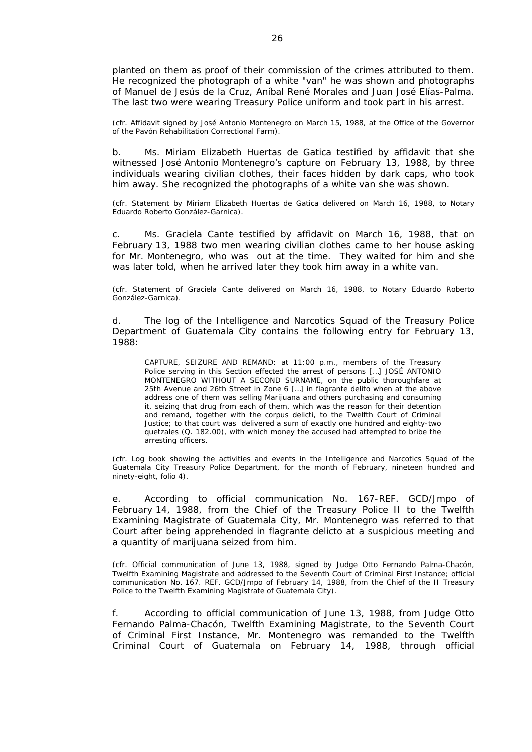planted on them as proof of their commission of the crimes attributed to them. He recognized the photograph of a white "van" he was shown and photographs of Manuel de Jesús de la Cruz, Aníbal René Morales and Juan José Elías-Palma. The last two were wearing Treasury Police uniform and took part in his arrest.

*(cfr. Affidavit signed by José Antonio Montenegro on March 15, 1988, at the Office of the Governor of the Pavón Rehabilitation Correctional Farm).*

b. Ms. Miriam Elizabeth Huertas de Gatica testified by affidavit that she witnessed José Antonio Montenegro's capture on February 13, 1988, by three individuals wearing civilian clothes, their faces hidden by dark caps, who took him away. She recognized the photographs of a white van she was shown.

*(cfr. Statement by Miriam Elizabeth Huertas de Gatica delivered on March 16, 1988, to Notary Eduardo Roberto González-Garnica).*

c. Ms. Graciela Cante testified by affidavit on March 16, 1988, that on February 13, 1988 two men wearing civilian clothes came to her house asking for Mr. Montenegro, who was out at the time. They waited for him and she was later told, when he arrived later they took him away in a white van.

*(cfr. Statement of Graciela Cante delivered on March 16, 1988, to Notary Eduardo Roberto González-Garnica).* 

d. The log of the Intelligence and Narcotics Squad of the Treasury Police Department of Guatemala City contains the following entry for February 13, 1988:

CAPTURE, SEIZURE AND REMAND: at 11:00 p.m., members of the Treasury Police serving in this Section effected the arrest of persons […] JOSÉ ANTONIO MONTENEGRO WITHOUT A SECOND SURNAME, on the public thoroughfare at 25th Avenue and 26th Street in Zone 6 […] *in flagrante delito* when at the above address one of them was selling Marijuana and others purchasing and consuming it, seizing that drug from each of them, which was the reason for their detention and remand, together with the *corpus delicti*, to the Twelfth Court of Criminal Justice; to that court was delivered a sum of exactly one hundred and eighty-two quetzales (Q. 182.00), with which money the accused had attempted to bribe the arresting officers.

*(cfr. Log book showing the activities and events in the Intelligence and Narcotics Squad of the Guatemala City Treasury Police Department, for the month of February, nineteen hundred and ninety-eight, folio 4).*

e. According to official communication No. 167-REF. GCD/Jmpo of February 14, 1988, from the Chief of the Treasury Police II to the Twelfth Examining Magistrate of Guatemala City, Mr. Montenegro was referred to that Court after being apprehended *in flagrante delicto* at a suspicious meeting and a quantity of marijuana seized from him.

*(cfr. Official communication of June 13, 1988, signed by Judge Otto Fernando Palma-Chacón, Twelfth Examining Magistrate and addressed to the Seventh Court of Criminal First Instance; official communication No. 167. REF. GCD/Jmpo of February 14, 1988, from the Chief of the II Treasury Police to the Twelfth Examining Magistrate of Guatemala City).* 

f. According to official communication of June 13, 1988, from Judge Otto Fernando Palma-Chacón, Twelfth Examining Magistrate, to the Seventh Court of Criminal First Instance, Mr. Montenegro was remanded to the Twelfth Criminal Court of Guatemala on February 14, 1988, through official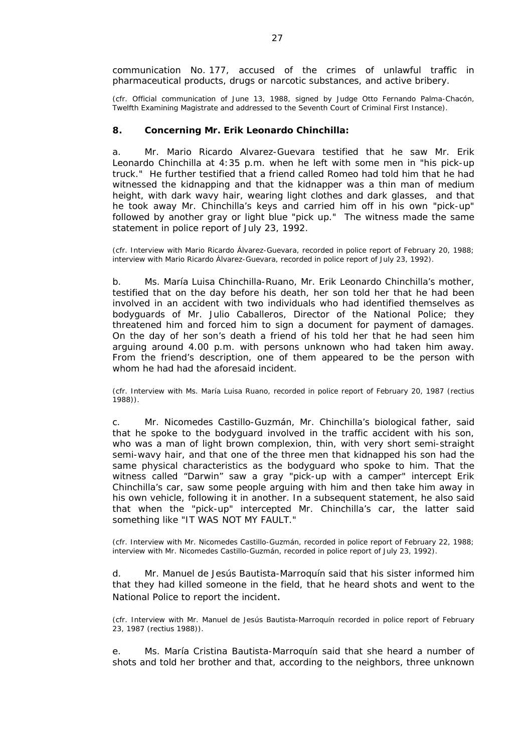communication No. 177, accused of the crimes of unlawful traffic in pharmaceutical products, drugs or narcotic substances, and active bribery.

*(cfr. Official communication of June 13, 1988, signed by Judge Otto Fernando Palma-Chacón, Twelfth Examining Magistrate and addressed to the Seventh Court of Criminal First Instance).*

#### **8. Concerning Mr. Erik Leonardo Chinchilla:**

a. Mr. Mario Ricardo Alvarez-Guevara testified that he saw Mr. Erik Leonardo Chinchilla at 4:35 p.m. when he left with some men in "*his pick-up truck*." He further testified that a friend called Romeo had told him that he had witnessed the kidnapping and that the kidnapper was a thin man of medium height, with dark wavy hair, wearing light clothes and dark glasses, and that he took away Mr. Chinchilla's keys and carried him off in his own "*pick-up*" followed by another gray or light blue "pick up." The witness made the same statement in police report of July 23, 1992.

*(cfr. Interview with Mario Ricardo Álvarez-Guevara, recorded in police report of February 20, 1988; interview with Mario Ricardo Álvarez-Guevara, recorded in police report of July 23, 1992).* 

b. Ms. María Luisa Chinchilla-Ruano, Mr. Erik Leonardo Chinchilla's mother, testified that on the day before his death, her son told her that he had been involved in an accident with two individuals who had identified themselves as bodyguards of Mr. Julio Caballeros, Director of the National Police; they threatened him and forced him to sign a document for payment of damages. On the day of her son's death a friend of his told her that he had seen him arguing around 4.00 p.m. with persons unknown who had taken him away. From the friend's description, one of them appeared to be the person with whom he had had the aforesaid incident.

*(cfr. Interview with Ms. María Luisa Ruano, recorded in police report of February 20, 1987 (rectius 1988)).* 

c. Mr. Nicomedes Castillo-Guzmán, Mr. Chinchilla's biological father, said that he spoke to the bodyguard involved in the traffic accident with his son, who was a man of light brown complexion, thin, with very short semi-straight semi-wavy hair, and that one of the three men that kidnapped his son had the same physical characteristics as the bodyguard who spoke to him. That the witness called "Darwin" saw a gray "*pick-up with a camper*" intercept Erik Chinchilla's car, saw some people arguing with him and then take him away in his own vehicle, following it in another. In a subsequent statement, he also said that when the "*pick-up*" intercepted Mr. Chinchilla's car, the latter said something like "IT WAS NOT MY FAULT."

*(cfr. Interview with Mr. Nicomedes Castillo-Guzmán, recorded in police report of February 22, 1988; interview with Mr. Nicomedes Castillo-Guzmán, recorded in police report of July 23, 1992).* 

d. Mr. Manuel de Jesús Bautista-Marroquín said that his sister informed him that they had killed someone in the field, that he heard shots and went to the National Police to report the incident.

*(cfr. Interview with Mr. Manuel de Jesús Bautista-Marroquín recorded in police report of February 23, 1987 (rectius 1988)).* 

e. Ms. María Cristina Bautista-Marroquín said that she heard a number of shots and told her brother and that, according to the neighbors, three unknown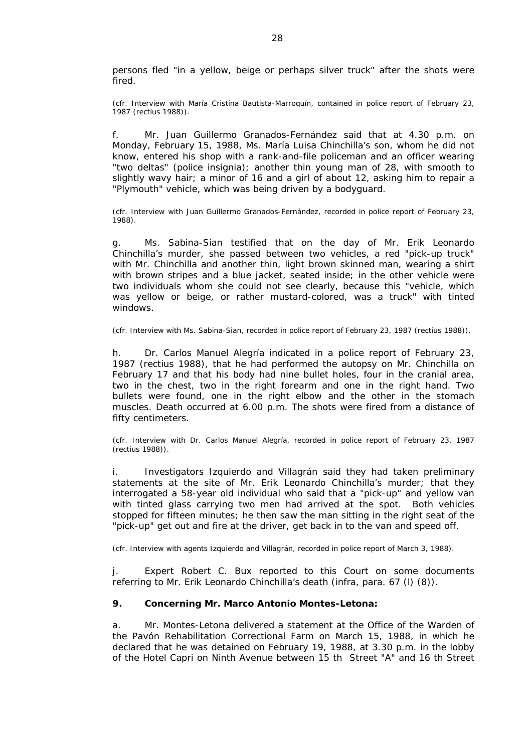persons fled "*in a yellow, beige or perhaps silver truck*" after the shots were fired.

*(cfr. Interview with María Cristina Bautista-Marroquín, contained in police report of February 23, 1987 (rectius 1988)).* 

f. Mr. Juan Guillermo Granados-Fernández said that at 4.30 p.m. on Monday, February 15, 1988, Ms. María Luisa Chinchilla's son, whom he did not know, entered his shop with a rank-and-file policeman and an officer wearing "two deltas" (police insignia); another thin young man of 28, with smooth to slightly wavy hair; a minor of 16 and a girl of about 12, asking him to repair a "*Plymouth*" vehicle, which was being driven by a bodyguard.

*(cfr. Interview with Juan Guillermo Granados-Fernández, recorded in police report of February 23, 1988).* 

g. Ms. Sabina-Sian testified that on the day of Mr. Erik Leonardo Chinchilla's murder, she passed between two vehicles, a red "*pick-up truck*" with Mr. Chinchilla and another thin, light brown skinned man, wearing a shirt with brown stripes and a blue jacket, seated inside; in the other vehicle were two individuals whom she could not see clearly, because this "*vehicle, which was yellow or beige, or rather mustard-colored, was a truck*" with tinted windows.

#### *(cfr. Interview with Ms. Sabina-Sian, recorded in police report of February 23, 1987 (rectius 1988)).*

h. Dr. Carlos Manuel Alegría indicated in a police report of February 23, 1987 (*rectius* 1988), that he had performed the autopsy on Mr. Chinchilla on February 17 and that his body had nine bullet holes, four in the cranial area, two in the chest, two in the right forearm and one in the right hand. Two bullets were found, one in the right elbow and the other in the stomach muscles. Death occurred at 6.00 p.m. The shots were fired from a distance of fifty centimeters.

*(cfr. Interview with Dr. Carlos Manuel Alegría, recorded in police report of February 23, 1987 (rectius 1988)).* 

i. Investigators Izquierdo and Villagrán said they had taken preliminary statements at the site of Mr. Erik Leonardo Chinchilla's murder; that they interrogated a 58-year old individual who said that a "*pick-up*" and yellow van with tinted glass carrying two men had arrived at the spot. Both vehicles stopped for fifteen minutes; he then saw the man sitting in the right seat of the "*pick-up*" get out and fire at the driver, get back in to the van and speed off.

*(cfr. Interview with agents Izquierdo and Villagrán, recorded in police report of March 3, 1988).* 

j. Expert Robert C. Bux reported to this Court on some documents referring to Mr. Erik Leonardo Chinchilla's death (*infra*, para. 67 (l) (8)).

#### **9. Concerning Mr. Marco Antonio Montes-Letona:**

a. Mr. Montes-Letona delivered a statement at the Office of the Warden of the Pavón Rehabilitation Correctional Farm on March 15, 1988, in which he declared that he was detained on February 19, 1988, at 3.30 p.m. in the lobby of the Hotel Capri on Ninth Avenue between 15 th Street "A" and 16 th Street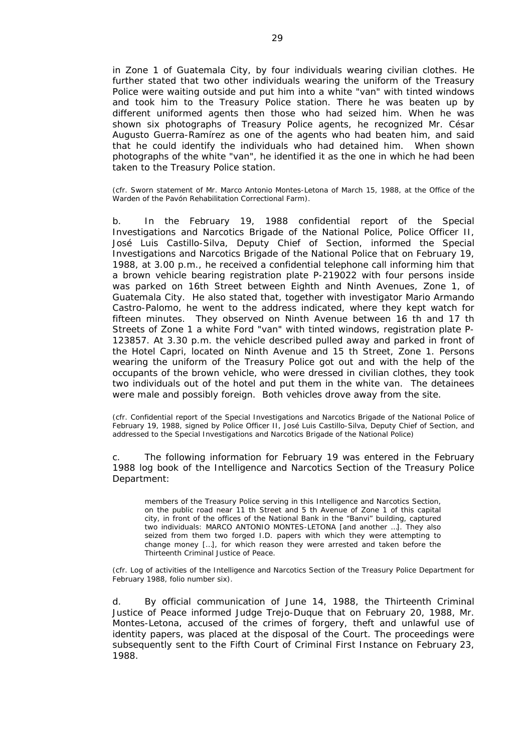in Zone 1 of Guatemala City, by four individuals wearing civilian clothes. He further stated that two other individuals wearing the uniform of the Treasury Police were waiting outside and put him into a white "van" with tinted windows and took him to the Treasury Police station. There he was beaten up by different uniformed agents then those who had seized him. When he was shown six photographs of Treasury Police agents, he recognized Mr. César Augusto Guerra-Ramírez as one of the agents who had beaten him, and said that he could identify the individuals who had detained him. When shown photographs of the white "van", he identified it as the one in which he had been taken to the Treasury Police station.

#### *(cfr. Sworn statement of Mr. Marco Antonio Montes-Letona of March 15, 1988, at the Office of the Warden of the Pavón Rehabilitation Correctional Farm).*

b. In the February 19, 1988 confidential report of the Special Investigations and Narcotics Brigade of the National Police, Police Officer II, José Luis Castillo-Silva, Deputy Chief of Section, informed the Special Investigations and Narcotics Brigade of the National Police that on February 19, 1988, at 3.00 p.m., he received a confidential telephone call informing him that a brown vehicle bearing registration plate P-219022 with four persons inside was parked on 16th Street between Eighth and Ninth Avenues, Zone 1, of Guatemala City. He also stated that, together with investigator Mario Armando Castro-Palomo, he went to the address indicated, where they kept watch for fifteen minutes. They observed on Ninth Avenue between 16 th and 17 th Streets of Zone 1 a white Ford "van" with tinted windows, registration plate P-123857. At 3.30 p.m. the vehicle described pulled away and parked in front of the Hotel Capri, located on Ninth Avenue and 15 th Street, Zone 1. Persons wearing the uniform of the Treasury Police got out and with the help of the occupants of the brown vehicle, who were dressed in civilian clothes, they took two individuals out of the hotel and put them in the white van. The detainees were male and possibly foreign. Both vehicles drove away from the site.

*(cfr. Confidential report of the Special Investigations and Narcotics Brigade of the National Police of February 19, 1988, signed by Police Officer II, José Luis Castillo-Silva, Deputy Chief of Section, and addressed to the Special Investigations and Narcotics Brigade of the National Police)* 

c. The following information for February 19 was entered in the February 1988 log book of the Intelligence and Narcotics Section of the Treasury Police Department:

members of the Treasury Police serving in this Intelligence and Narcotics Section, on the public road near 11 th Street and 5 th Avenue of Zone 1 of this capital city, in front of the offices of the National Bank in the "Banvi" building, captured two individuals: MARCO ANTONIO MONTES-LETONA [and another …]. They also seized from them two forged I.D. papers with which they were attempting to change money […], for which reason they were arrested and taken before the Thirteenth Criminal Justice of Peace.

*(cfr. Log of activities of the Intelligence and Narcotics Section of the Treasury Police Department for February 1988, folio number six).* 

d. By official communication of June 14, 1988, the Thirteenth Criminal Justice of Peace informed Judge Trejo-Duque that on February 20, 1988, Mr. Montes-Letona, accused of the crimes of forgery, theft and unlawful use of identity papers, was placed at the disposal of the Court. The proceedings were subsequently sent to the Fifth Court of Criminal First Instance on February 23, 1988.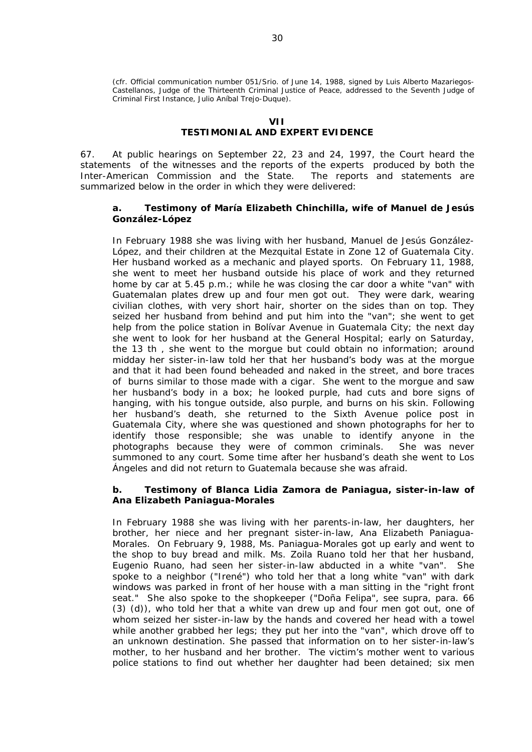*(cfr. Official communication number 051/Srio. of June 14, 1988, signed by Luis Alberto Mazariegos-Castellanos, Judge of the Thirteenth Criminal Justice of Peace, addressed to the Seventh Judge of Criminal First Instance, Julio Aníbal Trejo-Duque).* 

# **VII**

# **TESTIMONIAL AND EXPERT EVIDENCE**

67. At public hearings on September 22, 23 and 24, 1997, the Court heard the statements of the witnesses and the reports of the experts produced by both the Inter-American Commission and the State. The reports and statements are summarized below in the order in which they were delivered:

### **a. Testimony of María Elizabeth Chinchilla, wife of Manuel de Jesús González-López**

In February 1988 she was living with her husband, Manuel de Jesús González-López, and their children at the Mezquital Estate in Zone 12 of Guatemala City. Her husband worked as a mechanic and played sports. On February 11, 1988, she went to meet her husband outside his place of work and they returned home by car at 5.45 p.m.; while he was closing the car door a white "van" with Guatemalan plates drew up and four men got out. They were dark, wearing civilian clothes, with very short hair, shorter on the sides than on top. They seized her husband from behind and put him into the "van"; she went to get help from the police station in Bolívar Avenue in Guatemala City; the next day she went to look for her husband at the General Hospital; early on Saturday, the 13 th , she went to the morgue but could obtain no information; around midday her sister-in-law told her that her husband's body was at the morgue and that it had been found beheaded and naked in the street, and bore traces of burns similar to those made with a cigar. She went to the morgue and saw her husband's body in a box; he looked purple, had cuts and bore signs of hanging, with his tongue outside, also purple, and burns on his skin. Following her husband's death, she returned to the Sixth Avenue police post in Guatemala City, where she was questioned and shown photographs for her to identify those responsible; she was unable to identify anyone in the photographs because they were of common criminals. She was never summoned to any court. Some time after her husband's death she went to Los Ángeles and did not return to Guatemala because she was afraid.

## **b. Testimony of Blanca Lidia Zamora de Paniagua, sister-in-law of Ana Elizabeth Paniagua-Morales**

In February 1988 she was living with her parents-in-law, her daughters, her brother, her niece and her pregnant sister-in-law, Ana Elizabeth Paniagua-Morales. On February 9, 1988, Ms. Paniagua-Morales got up early and went to the shop to buy bread and milk. Ms. Zoila Ruano told her that her husband, Eugenio Ruano, had seen her sister-in-law abducted in a white "van". She spoke to a neighbor ("*Irené*") who told her that a long white "van" with dark windows was parked in front of her house with a man sitting in the "*right front seat.*" She also spoke to the shopkeeper ("*Doña Felipa*"*,* see *supra,* para. 66 (3) (d)), who told her that a white van drew up and four men got out, one of whom seized her sister-in-law by the hands and covered her head with a towel while another grabbed her legs; they put her into the "van", which drove off to an unknown destination. She passed that information on to her sister-in-law's mother, to her husband and her brother. The victim's mother went to various police stations to find out whether her daughter had been detained; six men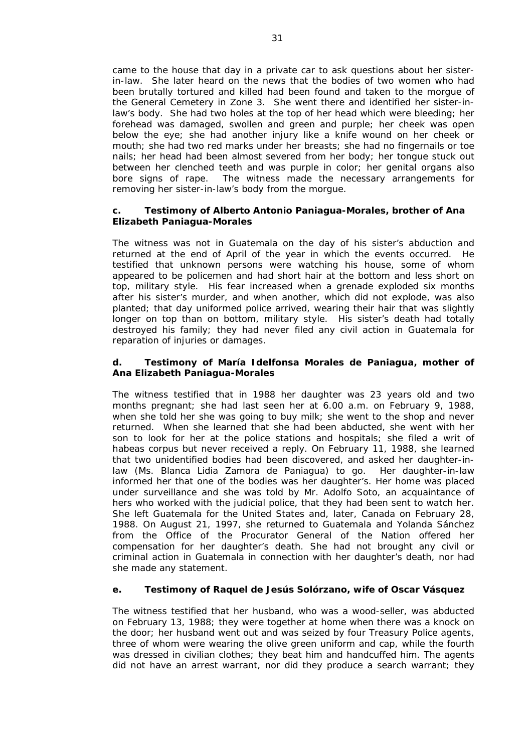came to the house that day in a private car to ask questions about her sisterin-law. She later heard on the news that the bodies of two women who had been brutally tortured and killed had been found and taken to the morgue of the General Cemetery in Zone 3. She went there and identified her sister-inlaw's body. She had two holes at the top of her head which were bleeding; her forehead was damaged, swollen and green and purple; her cheek was open below the eye; she had another injury like a knife wound on her cheek or mouth; she had two red marks under her breasts; she had no fingernails or toe nails; her head had been almost severed from her body; her tongue stuck out between her clenched teeth and was purple in color; her genital organs also bore signs of rape. The witness made the necessary arrangements for removing her sister-in-law's body from the morgue.

## **c. Testimony of Alberto Antonio Paniagua-Morales, brother of Ana Elizabeth Paniagua-Morales**

The witness was not in Guatemala on the day of his sister's abduction and returned at the end of April of the year in which the events occurred. He testified that unknown persons were watching his house, some of whom appeared to be policemen and had short hair at the bottom and less short on top, military style. His fear increased when a grenade exploded six months after his sister's murder, and when another, which did not explode, was also planted; that day uniformed police arrived, wearing their hair that was slightly longer on top than on bottom, military style. His sister's death had totally destroyed his family; they had never filed any civil action in Guatemala for reparation of injuries or damages.

## **d. Testimony of María Idelfonsa Morales de Paniagua, mother of Ana Elizabeth Paniagua-Morales**

The witness testified that in 1988 her daughter was 23 years old and two months pregnant; she had last seen her at 6.00 a.m. on February 9, 1988, when she told her she was going to buy milk; she went to the shop and never returned. When she learned that she had been abducted, she went with her son to look for her at the police stations and hospitals; she filed a writ of *habeas corpus* but never received a reply. On February 11, 1988, she learned that two unidentified bodies had been discovered, and asked her daughter-inlaw (Ms. Blanca Lidia Zamora de Paniagua) to go. Her daughter-in-law informed her that one of the bodies was her daughter's. Her home was placed under surveillance and she was told by Mr. Adolfo Soto, an acquaintance of hers who worked with the judicial police, that they had been sent to watch her. She left Guatemala for the United States and, later, Canada on February 28, 1988. On August 21, 1997, she returned to Guatemala and Yolanda Sánchez from the Office of the Procurator General of the Nation offered her compensation for her daughter's death. She had not brought any civil or criminal action in Guatemala in connection with her daughter's death, nor had she made any statement.

## **e. Testimony of Raquel de Jesús Solórzano, wife of Oscar Vásquez**

The witness testified that her husband, who was a wood-seller, was abducted on February 13, 1988; they were together at home when there was a knock on the door; her husband went out and was seized by four Treasury Police agents, three of whom were wearing the olive green uniform and cap, while the fourth was dressed in civilian clothes; they beat him and handcuffed him. The agents did not have an arrest warrant, nor did they produce a search warrant; they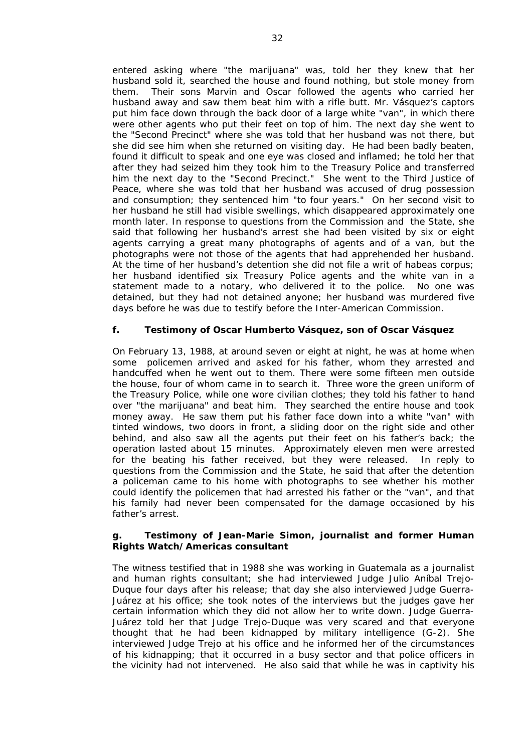entered asking where "*the marijuana*" was, told her they knew that her husband sold it, searched the house and found nothing, but stole money from them. Their sons Marvin and Oscar followed the agents who carried her husband away and saw them beat him with a rifle butt. Mr. Vásquez's captors put him face down through the back door of a large white "van", in which there were other agents who put their feet on top of him. The next day she went to the "*Second Precinct*" where she was told that her husband was not there, but she did see him when she returned on visiting day. He had been badly beaten, found it difficult to speak and one eye was closed and inflamed; he told her that after they had seized him they took him to the Treasury Police and transferred him the next day to the "*Second Precinct*." She went to the Third Justice of Peace, where she was told that her husband was accused of drug possession and consumption; they sentenced him "*to four years*." On her second visit to her husband he still had visible swellings, which disappeared approximately one month later. In response to questions from the Commission and the State, she said that following her husband's arrest she had been visited by six or eight agents carrying a great many photographs of agents and of a van, but the photographs were not those of the agents that had apprehended her husband. At the time of her husband's detention she did not file a writ of *habeas corpus*; her husband identified six Treasury Police agents and the white van in a statement made to a notary, who delivered it to the police. No one was detained, but they had not detained anyone; her husband was murdered five days before he was due to testify before the Inter-American Commission.

# **f. Testimony of Oscar Humberto Vásquez, son of Oscar Vásquez**

On February 13, 1988, at around seven or eight at night, he was at home when some policemen arrived and asked for his father, whom they arrested and handcuffed when he went out to them. There were some fifteen men outside the house, four of whom came in to search it. Three wore the green uniform of the Treasury Police, while one wore civilian clothes; they told his father to hand over "*the marijuana*" and beat him. They searched the entire house and took money away. He saw them put his father face down into a white "van" with tinted windows, two doors in front, a sliding door on the right side and other behind, and also saw all the agents put their feet on his father's back; the operation lasted about 15 minutes. Approximately eleven men were arrested for the beating his father received, but they were released. In reply to questions from the Commission and the State, he said that after the detention a policeman came to his home with photographs to see whether his mother could identify the policemen that had arrested his father or the "van", and that his family had never been compensated for the damage occasioned by his father's arrest.

## **g. Testimony of Jean-Marie Simon, journalist and former Human Rights Watch/Americas consultant**

The witness testified that in 1988 she was working in Guatemala as a journalist and human rights consultant; she had interviewed Judge Julio Aníbal Trejo-Duque four days after his release; that day she also interviewed Judge Guerra-Juárez at his office; she took notes of the interviews but the judges gave her certain information which they did not allow her to write down. Judge Guerra-Juárez told her that Judge Trejo-Duque was very scared and that everyone thought that he had been kidnapped by military intelligence (*G-2).* She interviewed Judge Trejo at his office and he informed her of the circumstances of his kidnapping; that it occurred in a busy sector and that police officers in the vicinity had not intervened. He also said that while he was in captivity his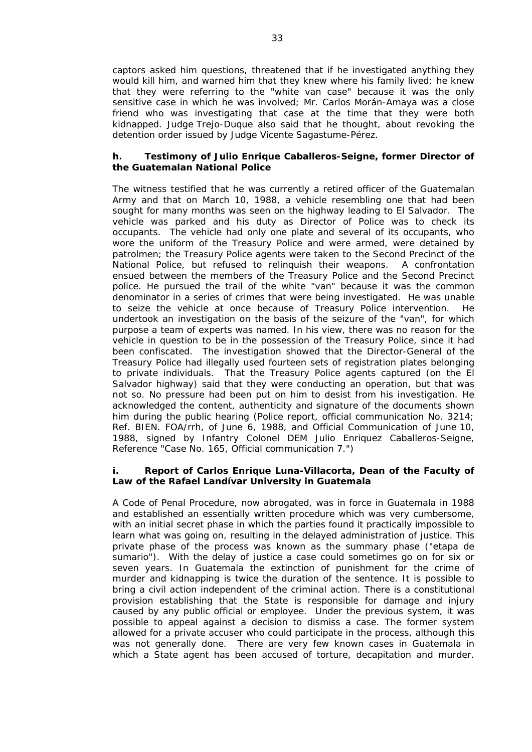captors asked him questions, threatened that if he investigated anything they would kill him, and warned him that they knew where his family lived; he knew that they were referring to the "*white van case*" because it was the only sensitive case in which he was involved; Mr. Carlos Morán-Amaya was a close friend who was investigating that case at the time that they were both kidnapped. Judge Trejo-Duque also said that he thought, about revoking the detention order issued by Judge Vicente Sagastume-Pérez.

## **h. Testimony of Julio Enrique Caballeros-Seigne, former Director of the Guatemalan National Police**

The witness testified that he was currently a retired officer of the Guatemalan Army and that on March 10, 1988, a vehicle resembling one that had been sought for many months was seen on the highway leading to El Salvador. The vehicle was parked and his duty as Director of Police was to check its occupants. The vehicle had only one plate and several of its occupants, who wore the uniform of the Treasury Police and were armed, were detained by patrolmen; the Treasury Police agents were taken to the Second Precinct of the National Police, but refused to relinquish their weapons. A confrontation ensued between the members of the Treasury Police and the Second Precinct police. He pursued the trail of the white "van" because it was the common denominator in a series of crimes that were being investigated. He was unable to seize the vehicle at once because of Treasury Police intervention. He undertook an investigation on the basis of the seizure of the "van", for which purpose a team of experts was named. In his view, there was no reason for the vehicle in question to be in the possession of the Treasury Police, since it had been confiscated. The investigation showed that the Director-General of the Treasury Police had illegally used fourteen sets of registration plates belonging to private individuals. That the Treasury Police agents captured (on the El Salvador highway) said that they were conducting an operation, but that was not so. No pressure had been put on him to desist from his investigation. He acknowledged the content, authenticity and signature of the documents shown him during the public hearing (*Police report, official communication No. 3214; Ref. BIEN. FOA/rrh, of June 6, 1988, and Official Communication of June 10, 1988, signed by Infantry Colonel DEM Julio Enriquez Caballeros-Seigne, Reference* "*Case No. 165, Official communication 7.*")

## **i. Report of Carlos Enrique Luna-Villacorta, Dean of the Faculty of Law of the Rafael Landívar University in Guatemala**

A Code of Penal Procedure, now abrogated, was in force in Guatemala in 1988 and established an essentially written procedure which was very cumbersome, with an initial secret phase in which the parties found it practically impossible to learn what was going on, resulting in the delayed administration of justice. This private phase of the process was known as the summary phase ("etapa de sumario"). With the delay of justice a case could sometimes go on for six or seven years. In Guatemala the extinction of punishment for the crime of murder and kidnapping is twice the duration of the sentence. It is possible to bring a civil action independent of the criminal action. There is a constitutional provision establishing that the State is responsible for damage and injury caused by any public official or employee. Under the previous system, it was possible to appeal against a decision to dismiss a case. The former system allowed for a private accuser who could participate in the process, although this was not generally done. There are very few known cases in Guatemala in which a State agent has been accused of torture, decapitation and murder.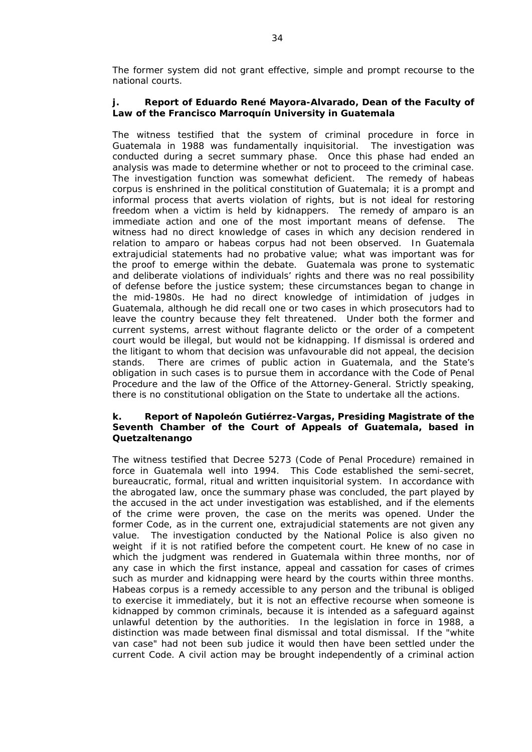The former system did not grant effective, simple and prompt recourse to the national courts.

# **j. Report of Eduardo René Mayora-Alvarado, Dean of the Faculty of Law of the Francisco Marroquín University in Guatemala**

The witness testified that the system of criminal procedure in force in Guatemala in 1988 was fundamentally inquisitorial. The investigation was conducted during a secret summary phase. Once this phase had ended an analysis was made to determine whether or not to proceed to the criminal case. The investigation function was somewhat deficient. The remedy of *habeas corpus* is enshrined in the political constitution of Guatemala; it is a prompt and informal process that averts violation of rights, but is not ideal for restoring freedom when a victim is held by kidnappers. The remedy of *amparo* is an immediate action and one of the most important means of defense. The witness had no direct knowledge of cases in which any decision rendered in relation to *amparo* or *habeas corpus* had not been observed. In Guatemala extrajudicial statements had no probative value; what was important was for the proof to emerge within the debate. Guatemala was prone to systematic and deliberate violations of individuals' rights and there was no real possibility of defense before the justice system; these circumstances began to change in the mid-1980s. He had no direct knowledge of intimidation of judges in Guatemala, although he did recall one or two cases in which prosecutors had to leave the country because they felt threatened. Under both the former and current systems, arrest without *flagrante delicto* or the order of a competent court would be illegal, but would not be kidnapping. If dismissal is ordered and the litigant to whom that decision was unfavourable did not appeal, the decision stands. There are crimes of public action in Guatemala, and the State's obligation in such cases is to pursue them in accordance with the Code of Penal Procedure and the law of the Office of the Attorney-General. Strictly speaking, there is no constitutional obligation on the State to undertake all the actions.

## **k. Report of Napoleón Gutiérrez-Vargas, Presiding Magistrate of the Seventh Chamber of the Court of Appeals of Guatemala, based in Quetzaltenango**

The witness testified that Decree 5273 (Code of Penal Procedure) remained in force in Guatemala well into 1994. This Code established the semi-secret, bureaucratic, formal, ritual and written inquisitorial system. In accordance with the abrogated law, once the summary phase was concluded, the part played by the accused in the act under investigation was established, and if the elements of the crime were proven, the case on the merits was opened. Under the former Code, as in the current one, extrajudicial statements are not given any value. The investigation conducted by the National Police is also given no weight if it is not ratified before the competent court. He knew of no case in which the judgment was rendered in Guatemala within three months, nor of any case in which the first instance, appeal and cassation for cases of crimes such as murder and kidnapping were heard by the courts within three months. *Habeas corpus* is a remedy accessible to any person and the tribunal is obliged to exercise it immediately, but it is not an effective recourse when someone is kidnapped by common criminals, because it is intended as a safeguard against unlawful detention by the authorities. In the legislation in force in 1988, a distinction was made between final dismissal and total dismissal. If the "*white van case*" had not been *sub judice* it would then have been settled under the current Code. A civil action may be brought independently of a criminal action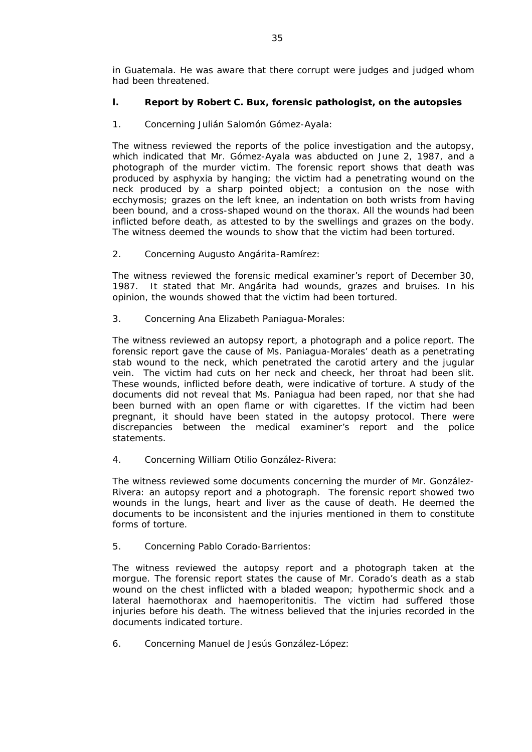in Guatemala. He was aware that there corrupt were judges and judged whom had been threatened.

# **l. Report by Robert C. Bux, forensic pathologist, on the autopsies**

1. Concerning Julián Salomón Gómez-Ayala:

The witness reviewed the reports of the police investigation and the autopsy, which indicated that Mr. Gómez-Ayala was abducted on June 2, 1987, and a photograph of the murder victim. The forensic report shows that death was produced by asphyxia by hanging; the victim had a penetrating wound on the neck produced by a sharp pointed object; a contusion on the nose with ecchymosis; grazes on the left knee, an indentation on both wrists from having been bound, and a cross-shaped wound on the thorax. All the wounds had been inflicted before death, as attested to by the swellings and grazes on the body. The witness deemed the wounds to show that the victim had been tortured.

2. Concerning Augusto Angárita-Ramírez:

The witness reviewed the forensic medical examiner's report of December 30, 1987. It stated that Mr. Angárita had wounds, grazes and bruises. In his opinion, the wounds showed that the victim had been tortured.

3. Concerning Ana Elizabeth Paniagua-Morales:

The witness reviewed an autopsy report, a photograph and a police report. The forensic report gave the cause of Ms. Paniagua-Morales' death as a penetrating stab wound to the neck, which penetrated the carotid artery and the jugular vein. The victim had cuts on her neck and cheeck, her throat had been slit. These wounds, inflicted before death, were indicative of torture. A study of the documents did not reveal that Ms. Paniagua had been raped, nor that she had been burned with an open flame or with cigarettes. If the victim had been pregnant, it should have been stated in the autopsy protocol. There were discrepancies between the medical examiner's report and the police statements.

4. Concerning William Otilio González-Rivera:

The witness reviewed some documents concerning the murder of Mr. González-Rivera: an autopsy report and a photograph. The forensic report showed two wounds in the lungs, heart and liver as the cause of death. He deemed the documents to be inconsistent and the injuries mentioned in them to constitute forms of torture.

5. Concerning Pablo Corado-Barrientos:

The witness reviewed the autopsy report and a photograph taken at the morgue. The forensic report states the cause of Mr. Corado's death as a stab wound on the chest inflicted with a bladed weapon; hypothermic shock and a lateral haemothorax and haemoperitonitis. The victim had suffered those injuries before his death. The witness believed that the injuries recorded in the documents indicated torture.

6. Concerning Manuel de Jesús González-López: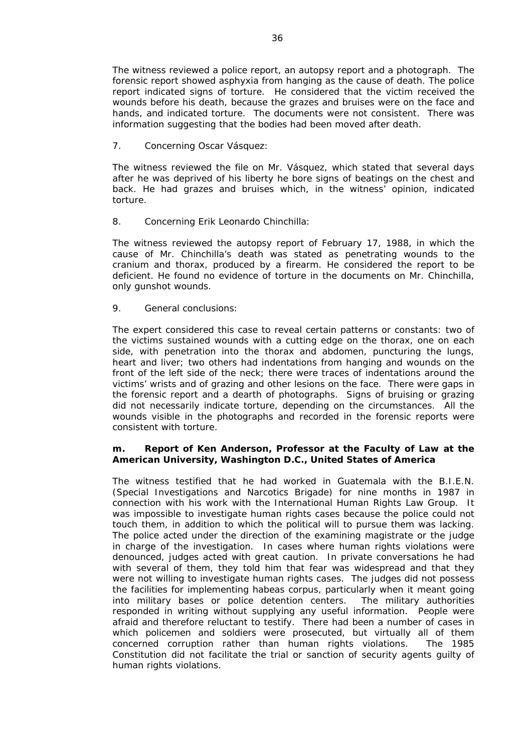The witness reviewed a police report, an autopsy report and a photograph. The forensic report showed asphyxia from hanging as the cause of death. The police report indicated signs of torture. He considered that the victim received the wounds before his death, because the grazes and bruises were on the face and hands, and indicated torture. The documents were not consistent. There was information suggesting that the bodies had been moved after death.

7. Concerning Oscar Vásquez:

The witness reviewed the file on Mr. Vásquez, which stated that several days after he was deprived of his liberty he bore signs of beatings on the chest and back. He had grazes and bruises which, in the witness' opinion, indicated torture.

8. Concerning Erik Leonardo Chinchilla:

The witness reviewed the autopsy report of February 17, 1988, in which the cause of Mr. Chinchilla's death was stated as penetrating wounds to the cranium and thorax, produced by a firearm. He considered the report to be deficient. He found no evidence of torture in the documents on Mr. Chinchilla, only gunshot wounds.

9. General conclusions:

The expert considered this case to reveal certain patterns or constants: two of the victims sustained wounds with a cutting edge on the thorax, one on each side, with penetration into the thorax and abdomen, puncturing the lungs, heart and liver; two others had indentations from hanging and wounds on the front of the left side of the neck; there were traces of indentations around the victims' wrists and of grazing and other lesions on the face. There were gaps in the forensic report and a dearth of photographs. Signs of bruising or grazing did not necessarily indicate torture, depending on the circumstances. All the wounds visible in the photographs and recorded in the forensic reports were consistent with torture.

## **m. Report of Ken Anderson, Professor at the Faculty of Law at the American University, Washington D.C., United States of America**

The witness testified that he had worked in Guatemala with the B.I.E.N. (Special Investigations and Narcotics Brigade) for nine months in 1987 in connection with his work with the *International Human Rights Law Group*. It was impossible to investigate human rights cases because the police could not touch them, in addition to which the political will to pursue them was lacking. The police acted under the direction of the examining magistrate or the judge in charge of the investigation. In cases where human rights violations were denounced, judges acted with great caution. In private conversations he had with several of them, they told him that fear was widespread and that they were not willing to investigate human rights cases. The judges did not possess the facilities for implementing *habeas corpus,* particularly when it meant going into military bases or police detention centers. The military authorities responded in writing without supplying any useful information. People were afraid and therefore reluctant to testify. There had been a number of cases in which policemen and soldiers were prosecuted, but virtually all of them concerned corruption rather than human rights violations. The 1985 Constitution did not facilitate the trial or sanction of security agents guilty of human rights violations.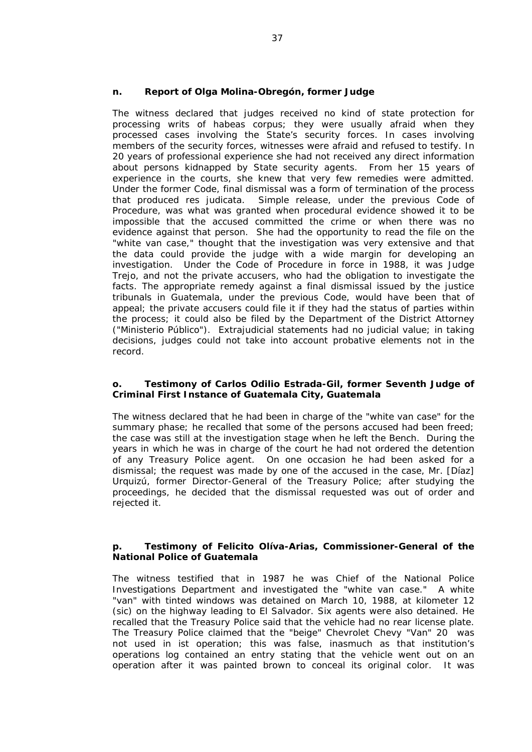## **n. Report of Olga Molina-Obregón, former Judge**

The witness declared that judges received no kind of state protection for processing writs of *habeas corpus*; they were usually afraid when they processed cases involving the State's security forces. In cases involving members of the security forces, witnesses were afraid and refused to testify. In 20 years of professional experience she had not received any direct information about persons kidnapped by State security agents. From her 15 years of experience in the courts, she knew that very few remedies were admitted. Under the former Code, final dismissal was a form of termination of the process that produced *res judicata*. Simple release, under the previous Code of Procedure, was what was granted when procedural evidence showed it to be impossible that the accused committed the crime or when there was no evidence against that person. She had the opportunity to read the file on the "*white van case,*" thought that the investigation was very extensive and that the data could provide the judge with a wide margin for developing an investigation. Under the Code of Procedure in force in 1988, it was Judge Trejo, and not the private accusers, who had the obligation to investigate the facts. The appropriate remedy against a final dismissal issued by the justice tribunals in Guatemala, under the previous Code, would have been that of appeal; the private accusers could file it if they had the status of parties within the process; it could also be filed by the Department of the District Attorney ("Ministerio Público"). Extrajudicial statements had no judicial value; in taking decisions, judges could not take into account probative elements not in the record.

## **o. Testimony of Carlos Odilio Estrada-Gil, former Seventh Judge of Criminal First Instance of Guatemala City, Guatemala**

The witness declared that he had been in charge of the "*white van case*" for the summary phase; he recalled that some of the persons accused had been freed; the case was still at the investigation stage when he left the Bench. During the years in which he was in charge of the court he had not ordered the detention of any Treasury Police agent. On one occasion he had been asked for a dismissal; the request was made by one of the accused in the case, Mr. [Díaz] Urquizú, former Director-General of the Treasury Police; after studying the proceedings, he decided that the dismissal requested was out of order and rejected it.

## **p. Testimony of Felicito Olíva-Arias, Commissioner-General of the National Police of Guatemala**

The witness testified that in 1987 he was Chief of the National Police Investigations Department and investigated the "*white van case.*" A white "van" with tinted windows was detained on March 10, 1988, at kilometer 12 (sic) on the highway leading to El Salvador. Six agents were also detained. He recalled that the Treasury Police said that the vehicle had no rear license plate. The Treasury Police claimed that the "beige" Chevrolet Chevy "Van" 20 was not used in ist operation; this was false, inasmuch as that institution's operations log contained an entry stating that the vehicle went out on an operation after it was painted brown to conceal its original color. It was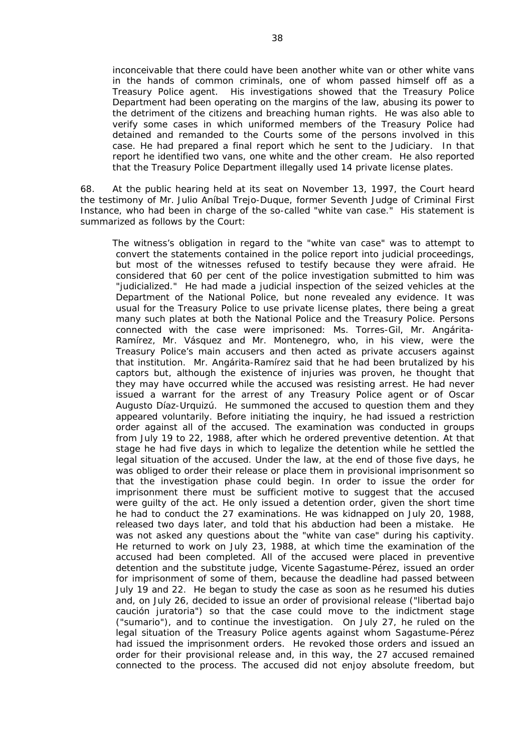inconceivable that there could have been another white van or other white vans in the hands of common criminals, one of whom passed himself off as a Treasury Police agent. His investigations showed that the Treasury Police Department had been operating on the margins of the law, abusing its power to the detriment of the citizens and breaching human rights. He was also able to verify some cases in which uniformed members of the Treasury Police had detained and remanded to the Courts some of the persons involved in this case. He had prepared a final report which he sent to the Judiciary. In that report he identified two vans, one white and the other cream. He also reported that the Treasury Police Department illegally used 14 private license plates.

68. At the public hearing held at its seat on November 13, 1997, the Court heard the testimony of Mr. Julio Aníbal Trejo-Duque, former Seventh Judge of Criminal First Instance, who had been in charge of the so-called "*white van case.*" His statement is summarized as follows by the Court:

The witness's obligation in regard to the "*white van case*" was to attempt to convert the statements contained in the police report into judicial proceedings, but most of the witnesses refused to testify because they were afraid. He considered that 60 per cent of the police investigation submitted to him was "*judicialized*." He had made a judicial inspection of the seized vehicles at the Department of the National Police, but none revealed any evidence. It was usual for the Treasury Police to use private license plates, there being a great many such plates at both the National Police and the Treasury Police. Persons connected with the case were imprisoned: Ms. Torres-Gil, Mr. Angárita-Ramírez, Mr. Vásquez and Mr. Montenegro, who, in his view, were the Treasury Police's main accusers and then acted as private accusers against that institution. Mr. Angárita-Ramírez said that he had been brutalized by his captors but, although the existence of injuries was proven, he thought that they may have occurred while the accused was resisting arrest. He had never issued a warrant for the arrest of any Treasury Police agent or of Oscar Augusto Díaz-Urquizú. He summoned the accused to question them and they appeared voluntarily. Before initiating the inquiry, he had issued a restriction order against all of the accused. The examination was conducted in groups from July 19 to 22, 1988, after which he ordered preventive detention. At that stage he had five days in which to legalize the detention while he settled the legal situation of the accused. Under the law, at the end of those five days, he was obliged to order their release or place them in provisional imprisonment so that the investigation phase could begin. In order to issue the order for imprisonment there must be sufficient motive to suggest that the accused were guilty of the act. He only issued a detention order, given the short time he had to conduct the 27 examinations. He was kidnapped on July 20, 1988, released two days later, and told that his abduction had been a mistake. He was not asked any questions about the "*white van case*" during his captivity. He returned to work on July 23, 1988, at which time the examination of the accused had been completed. All of the accused were placed in preventive detention and the substitute judge, Vicente Sagastume-Pérez, issued an order for imprisonment of some of them, because the deadline had passed between July 19 and 22. He began to study the case as soon as he resumed his duties and, on July 26, decided to issue an order of provisional release ("libertad bajo caución juratoria") so that the case could move to the indictment stage ("sumario"), and to continue the investigation. On July 27, he ruled on the legal situation of the Treasury Police agents against whom Sagastume-Pérez had issued the imprisonment orders. He revoked those orders and issued an order for their provisional release and, in this way, the 27 accused remained connected to the process. The accused did not enjoy absolute freedom, but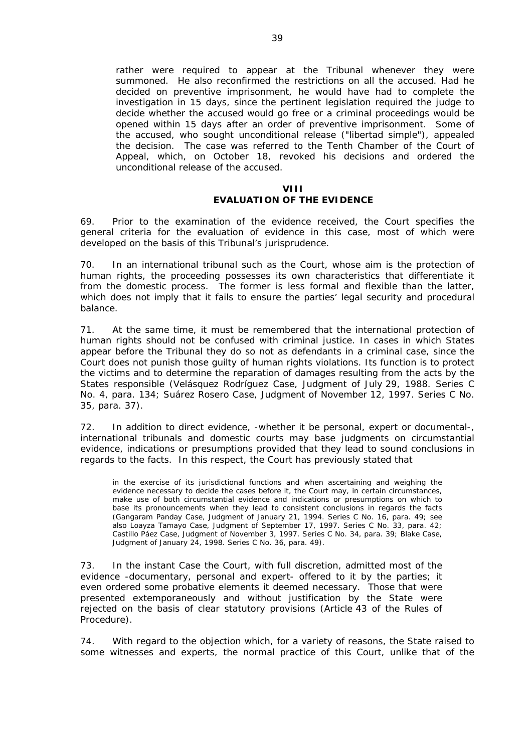rather were required to appear at the Tribunal whenever they were summoned. He also reconfirmed the restrictions on all the accused. Had he decided on preventive imprisonment, he would have had to complete the investigation in 15 days, since the pertinent legislation required the judge to decide whether the accused would go free or a criminal proceedings would be opened within 15 days after an order of preventive imprisonment. Some of the accused, who sought unconditional release ("libertad simple"), appealed the decision. The case was referred to the Tenth Chamber of the Court of Appeal, which, on October 18, revoked his decisions and ordered the unconditional release of the accused.

## **VIII EVALUATION OF THE EVIDENCE**

69. Prior to the examination of the evidence received, the Court specifies the general criteria for the evaluation of evidence in this case, most of which were developed on the basis of this Tribunal's jurisprudence.

70. In an international tribunal such as the Court, whose aim is the protection of human rights, the proceeding possesses its own characteristics that differentiate it from the domestic process. The former is less formal and flexible than the latter, which does not imply that it fails to ensure the parties' legal security and procedural balance.

71. At the same time, it must be remembered that the international protection of human rights should not be confused with criminal justice. In cases in which States appear before the Tribunal they do so not as defendants in a criminal case, since the Court does not punish those guilty of human rights violations. Its function is to protect the victims and to determine the reparation of damages resulting from the acts by the States responsible (*Velásquez Rodríguez Case*, Judgment of July 29, 1988. Series C No. 4, para. 134; *Suárez Rosero Case*, Judgment of November 12, 1997. Series C No. 35, para. 37).

72. In addition to direct evidence, -whether it be personal, expert or documental-, international tribunals and domestic courts may base judgments on circumstantial evidence, indications or presumptions provided that they lead to sound conclusions in regards to the facts. In this respect, the Court has previously stated that

in the exercise of its jurisdictional functions and when ascertaining and weighing the evidence necessary to decide the cases before it, the Court may, in certain circumstances, make use of both circumstantial evidence and indications or presumptions on which to base its pronouncements when they lead to consistent conclusions in regards the facts (*Gangaram Panday Case,* Judgment of January 21, 1994. Series C No. 16, para. 49; see also *Loayza Tamayo Case*, Judgment of September 17, 1997. Series C No. 33, para. 42; *Castillo Páez Case*, Judgment of November 3, 1997. Series C No. 34, para. 39; *Blake Case*, Judgment of January 24, 1998. Series C No. 36, para. 49).

73. In the instant Case the Court, with full discretion, admitted most of the evidence -documentary, personal and expert- offered to it by the parties; it even ordered some probative elements it deemed necessary. Those that were presented extemporaneously and without justification by the State were rejected on the basis of clear statutory provisions (Article 43 of the Rules of Procedure).

74. With regard to the objection which, for a variety of reasons, the State raised to some witnesses and experts, the normal practice of this Court, unlike that of the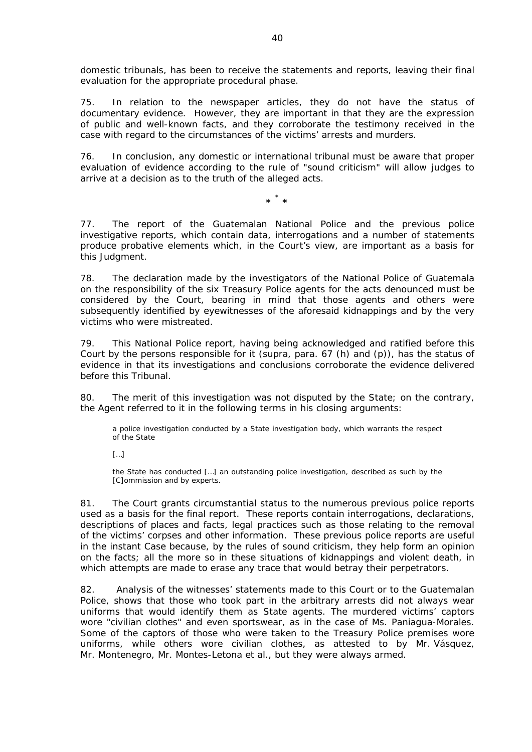domestic tribunals, has been to receive the statements and reports, leaving their final evaluation for the appropriate procedural phase.

75. In relation to the newspaper articles, they do not have the status of documentary evidence. However, they are important in that they are the expression of public and well-known facts, and they corroborate the testimony received in the case with regard to the circumstances of the victims' arrests and murders.

76. In conclusion, any domestic or international tribunal must be aware that proper evaluation of evidence according to the rule of "sound criticism" will allow judges to arrive at a decision as to the truth of the alleged acts.

> **\* \* \***

77. The report of the Guatemalan National Police and the previous police investigative reports, which contain data, interrogations and a number of statements produce probative elements which, in the Court's view, are important as a basis for this Judgment.

78. The declaration made by the investigators of the National Police of Guatemala on the responsibility of the six Treasury Police agents for the acts denounced must be considered by the Court, bearing in mind that those agents and others were subsequently identified by eyewitnesses of the aforesaid kidnappings and by the very victims who were mistreated.

79. This National Police report, having being acknowledged and ratified before this Court by the persons responsible for it (*supra*, para. 67 (h) and (p)), has the status of evidence in that its investigations and conclusions corroborate the evidence delivered before this Tribunal.

80. The merit of this investigation was not disputed by the State; on the contrary, the Agent referred to it in the following terms in his closing arguments:

a police investigation conducted by a State investigation body, which warrants the respect of the State

 $\lceil$ ...]

the State has conducted […] an outstanding police investigation, described as such by the [C]ommission and by experts.

81. The Court grants circumstantial status to the numerous previous police reports used as a basis for the final report. These reports contain interrogations, declarations, descriptions of places and facts, legal practices such as those relating to the removal of the victims' corpses and other information. These previous police reports are useful in the instant Case because, by the rules of sound criticism, they help form an opinion on the facts; all the more so in these situations of kidnappings and violent death, in which attempts are made to erase any trace that would betray their perpetrators.

82. Analysis of the witnesses' statements made to this Court or to the Guatemalan Police, shows that those who took part in the arbitrary arrests did not always wear uniforms that would identify them as State agents. The murdered victims' captors wore "*civilian clothes*" and even sportswear, as in the case of Ms. Paniagua-Morales. Some of the captors of those who were taken to the Treasury Police premises wore uniforms, while others wore civilian clothes, as attested to by Mr. Vásquez, Mr. Montenegro, Mr. Montes-Letona *et al.*, but they were always armed.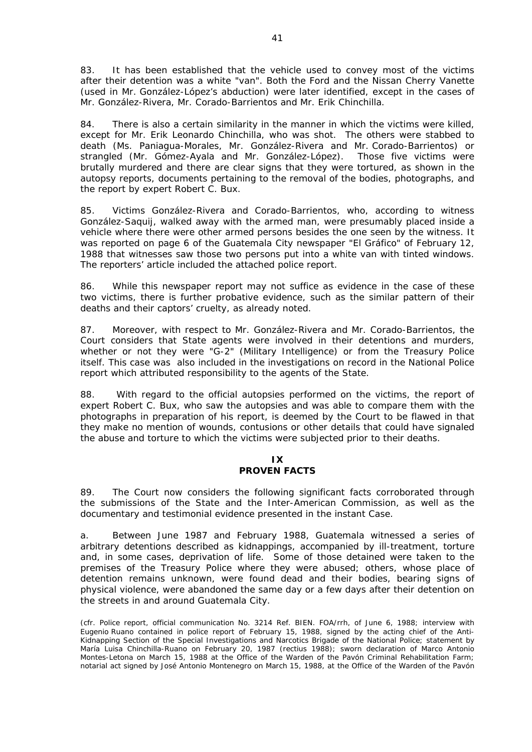83. It has been established that the vehicle used to convey most of the victims after their detention was a white "van". Both the Ford and the Nissan Cherry Vanette (used in Mr. González-López's abduction) were later identified, except in the cases of Mr. González-Rivera, Mr. Corado-Barrientos and Mr. Erik Chinchilla.

84. There is also a certain similarity in the manner in which the victims were killed, except for Mr. Erik Leonardo Chinchilla, who was shot. The others were stabbed to death (Ms. Paniagua-Morales, Mr. González-Rivera and Mr. Corado-Barrientos) or strangled (Mr. Gómez-Ayala and Mr. González-López). Those five victims were brutally murdered and there are clear signs that they were tortured, as shown in the autopsy reports, documents pertaining to the removal of the bodies, photographs, and the report by expert Robert C. Bux.

85. Victims González-Rivera and Corado-Barrientos, who, according to witness González-Saquij, walked away with the armed man, were presumably placed inside a vehicle where there were other armed persons besides the one seen by the witness. It was reported on page 6 of the Guatemala City newspaper "El Gráfico" of February 12, 1988 that witnesses saw those two persons put into a white van with tinted windows. The reporters' article included the attached police report.

86. While this newspaper report may not suffice as evidence in the case of these two victims, there is further probative evidence, such as the similar pattern of their deaths and their captors' cruelty, as already noted.

87. Moreover, with respect to Mr. González-Rivera and Mr. Corado-Barrientos, the Court considers that State agents were involved in their detentions and murders, whether or not they were "*G-2*" (Military Intelligence) or from the Treasury Police itself. This case was also included in the investigations on record in the National Police report which attributed responsibility to the agents of the State.

88. With regard to the official autopsies performed on the victims, the report of expert Robert C. Bux, who saw the autopsies and was able to compare them with the photographs in preparation of his report, is deemed by the Court to be flawed in that they make no mention of wounds, contusions or other details that could have signaled the abuse and torture to which the victims were subjected prior to their deaths.

## **IX PROVEN FACTS**

89. The Court now considers the following significant facts corroborated through the submissions of the State and the Inter-American Commission, as well as the documentary and testimonial evidence presented in the instant Case.

a. Between June 1987 and February 1988, Guatemala witnessed a series of arbitrary detentions described as kidnappings, accompanied by ill-treatment, torture and, in some cases, deprivation of life. Some of those detained were taken to the premises of the Treasury Police where they were abused; others, whose place of detention remains unknown, were found dead and their bodies, bearing signs of physical violence, were abandoned the same day or a few days after their detention on the streets in and around Guatemala City.

*(cfr. Police report, official communication No. 3214 Ref. BIEN. FOA/rrh, of June 6, 1988; interview with Eugenio Ruano contained in police report of February 15, 1988, signed by the acting chief of the Anti-Kidnapping Section of the Special Investigations and Narcotics Brigade of the National Police; statement by María Luisa Chinchilla-Ruano on February 20, 1987 (rectius 1988); sworn declaration of Marco Antonio Montes-Letona on March 15, 1988 at the Office of the Warden of the Pavón Criminal Rehabilitation Farm; notarial act signed by José Antonio Montenegro on March 15, 1988, at the Office of the Warden of the Pavón*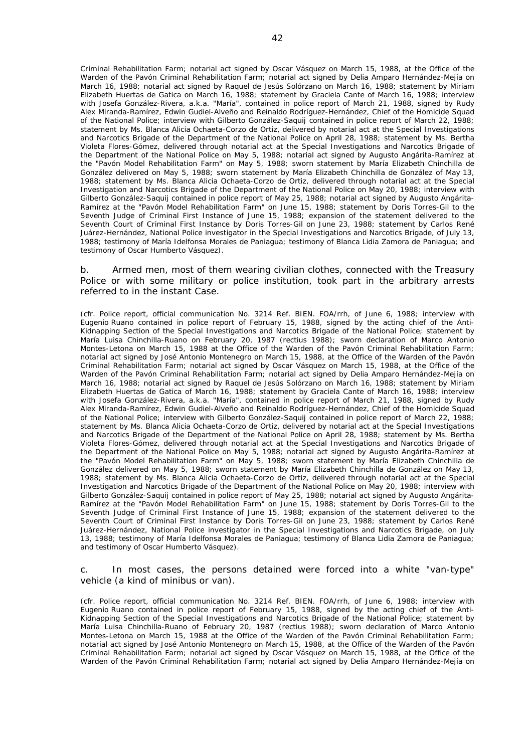*Criminal Rehabilitation Farm; notarial act signed by Oscar Vásquez on March 15, 1988, at the Office of the Warden of the Pavón Criminal Rehabilitation Farm; notarial act signed by Delia Amparo Hernández-Mejía on March 16, 1988; notarial act signed by Raquel de Jesús Solórzano on March 16, 1988; statement by Miriam Elizabeth Huertas de Gatica on March 16, 1988; statement by Graciela Cante of March 16, 1988; interview with Josefa González-Rivera, a.k.a.* "*María*"*, contained in police report of March 21, 1988, signed by Rudy Alex Miranda-Ramírez, Edwin Gudiel-Alveño and Reinaldo Rodríguez-Hernández, Chief of the Homicide Squad of the National Police; interview with Gilberto González-Saquij contained in police report of March 22, 1988; statement by Ms. Blanca Alicia Ochaeta-Corzo de Ortiz, delivered by notarial act at the Special Investigations and Narcotics Brigade of the Department of the National Police on April 28, 1988; statement by Ms. Bertha Violeta Flores-Gómez, delivered through notarial act at the Special Investigations and Narcotics Brigade of the Department of the National Police on May 5, 1988; notarial act signed by Augusto Angárita-Ramírez at the* "*Pavón Model Rehabilitation Farm*" *on May 5, 1988; sworn statement by María Elizabeth Chinchilla de González delivered on May 5, 1988; sworn statement by María Elizabeth Chinchilla de González of May 13, 1988; statement by Ms. Blanca Alicia Ochaeta-Corzo de Ortiz, delivered through notarial act at the Special Investigation and Narcotics Brigade of the Department of the National Police on May 20, 1988; interview with Gilberto González-Saquij contained in police report of May 25, 1988; notarial act signed by Augusto Angárita-Ramírez at the* "*Pavón Model Rehabilitation Farm*" *on June 15, 1988; statement by Doris Torres-Gil to the Seventh Judge of Criminal First Instance of June 15, 1988; expansion of the statement delivered to the Seventh Court of Criminal First Instance by Doris Torres-Gil on June 23, 1988; statement by Carlos René Juárez-Hernández, National Police investigator in the Special Investigations and Narcotics Brigade, of July 13, 1988; testimony of María Idelfonsa Morales de Paniagua; testimony of Blanca Lidia Zamora de Paniagua; and testimony of Oscar Humberto Vásquez).* 

#### b. Armed men, most of them wearing civilian clothes, connected with the Treasury Police or with some military or police institution, took part in the arbitrary arrests referred to in the instant Case.

*(cfr. Police report, official communication No. 3214 Ref. BIEN. FOA/rrh, of June 6, 1988; interview with Eugenio Ruano contained in police report of February 15, 1988, signed by the acting chief of the Anti-Kidnapping Section of the Special Investigations and Narcotics Brigade of the National Police; statement by María Luisa Chinchilla-Ruano on February 20, 1987 (rectius 1988); sworn declaration of Marco Antonio Montes-Letona on March 15, 1988 at the Office of the Warden of the Pavón Criminal Rehabilitation Farm; notarial act signed by José Antonio Montenegro on March 15, 1988, at the Office of the Warden of the Pavón Criminal Rehabilitation Farm; notarial act signed by Oscar Vásquez on March 15, 1988, at the Office of the Warden of the Pavón Criminal Rehabilitation Farm; notarial act signed by Delia Amparo Hernández-Mejía on March 16, 1988; notarial act signed by Raquel de Jesús Solórzano on March 16, 1988; statement by Miriam Elizabeth Huertas de Gatica of March 16, 1988; statement by Graciela Cante of March 16, 1988; interview with Josefa González-Rivera, a.k.a.* "*María*"*, contained in police report of March 21, 1988, signed by Rudy Alex Miranda-Ramírez, Edwin Gudiel-Alveño and Reinaldo Rodríguez-Hernández, Chief of the Homicide Squad of the National Police; interview with Gilberto González-Saquij contained in police report of March 22, 1988; statement by Ms. Blanca Alicia Ochaeta-Corzo de Ortiz, delivered by notarial act at the Special Investigations and Narcotics Brigade of the Department of the National Police on April 28, 1988; statement by Ms. Bertha Violeta Flores-Gómez, delivered through notarial act at the Special Investigations and Narcotics Brigade of the Department of the National Police on May 5, 1988; notarial act signed by Augusto Angárita-Ramírez at the* "*Pavón Model Rehabilitation Farm*" *on May 5, 1988; sworn statement by María Elizabeth Chinchilla de González delivered on May 5, 1988; sworn statement by María Elizabeth Chinchilla de González on May 13, 1988; statement by Ms. Blanca Alicia Ochaeta-Corzo de Ortiz, delivered through notarial act at the Special Investigation and Narcotics Brigade of the Department of the National Police on May 20, 1988; interview with Gilberto González-Saquij contained in police report of May 25, 1988; notarial act signed by Augusto Angárita-Ramírez at the* "*Pavón Model Rehabilitation Farm*" *on June 15, 1988; statement by Doris Torres-Gil to the Seventh Judge of Criminal First Instance of June 15, 1988; expansion of the statement delivered to the Seventh Court of Criminal First Instance by Doris Torres-Gil on June 23, 1988; statement by Carlos René Juárez-Hernández, National Police investigator in the Special Investigations and Narcotics Brigade, on July 13, 1988; testimony of María Idelfonsa Morales de Paniagua; testimony of Blanca Lidia Zamora de Paniagua; and testimony of Oscar Humberto Vásquez).*

c. In most cases, the persons detained were forced into a white "van-type" vehicle (a kind of minibus or van).

*(cfr. Police report, official communication No. 3214 Ref. BIEN. FOA/rrh, of June 6, 1988; interview with Eugenio Ruano contained in police report of February 15, 1988, signed by the acting chief of the Anti-Kidnapping Section of the Special Investigations and Narcotics Brigade of the National Police; statement by María Luisa Chinchilla-Ruano of February 20, 1987 (rectius 1988); sworn declaration of Marco Antonio Montes-Letona on March 15, 1988 at the Office of the Warden of the Pavón Criminal Rehabilitation Farm; notarial act signed by José Antonio Montenegro on March 15, 1988, at the Office of the Warden of the Pavón Criminal Rehabilitation Farm; notarial act signed by Oscar Vásquez on March 15, 1988, at the Office of the Warden of the Pavón Criminal Rehabilitation Farm; notarial act signed by Delia Amparo Hernández-Mejía on*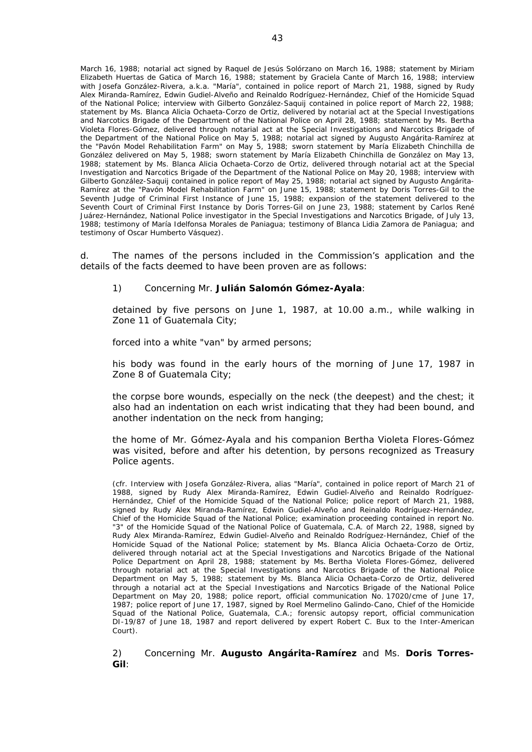*March 16, 1988; notarial act signed by Raquel de Jesús Solórzano on March 16, 1988; statement by Miriam Elizabeth Huertas de Gatica of March 16, 1988; statement by Graciela Cante of March 16, 1988; interview with Josefa González-Rivera, a.k.a.* "*María*"*, contained in police report of March 21, 1988, signed by Rudy Alex Miranda-Ramírez, Edwin Gudiel-Alveño and Reinaldo Rodríguez-Hernández, Chief of the Homicide Squad of the National Police; interview with Gilberto González-Saquij contained in police report of March 22, 1988; statement by Ms. Blanca Alicia Ochaeta-Corzo de Ortiz, delivered by notarial act at the Special Investigations and Narcotics Brigade of the Department of the National Police on April 28, 1988; statement by Ms. Bertha Violeta Flores-Gómez, delivered through notarial act at the Special Investigations and Narcotics Brigade of the Department of the National Police on May 5, 1988; notarial act signed by Augusto Angárita-Ramírez at the* "*Pavón Model Rehabilitation Farm*" *on May 5, 1988; sworn statement by María Elizabeth Chinchilla de González delivered on May 5, 1988; sworn statement by María Elizabeth Chinchilla de González on May 13, 1988; statement by Ms. Blanca Alicia Ochaeta-Corzo de Ortiz, delivered through notarial act at the Special Investigation and Narcotics Brigade of the Department of the National Police on May 20, 1988; interview with Gilberto González-Saquij contained in police report of May 25, 1988; notarial act signed by Augusto Angárita-Ramírez at the* "*Pavón Model Rehabilitation Farm*" *on June 15, 1988; statement by Doris Torres-Gil to the Seventh Judge of Criminal First Instance of June 15, 1988; expansion of the statement delivered to the Seventh Court of Criminal First Instance by Doris Torres-Gil on June 23, 1988; statement by Carlos René Juárez-Hernández, National Police investigator in the Special Investigations and Narcotics Brigade, of July 13, 1988; testimony of María Idelfonsa Morales de Paniagua; testimony of Blanca Lidia Zamora de Paniagua; and testimony of Oscar Humberto Vásquez).*

d. The names of the persons included in the Commission's application and the details of the facts deemed to have been proven are as follows:

#### 1) Concerning Mr. **Julián Salomón Gómez-Ayala**:

detained by five persons on June 1, 1987, at 10.00 a.m., while walking in Zone 11 of Guatemala City;

forced into a white "van" by armed persons;

his body was found in the early hours of the morning of June 17, 1987 in Zone 8 of Guatemala City;

the corpse bore wounds, especially on the neck (the deepest) and the chest; it also had an indentation on each wrist indicating that they had been bound, and another indentation on the neck from hanging;

the home of Mr. Gómez-Ayala and his companion Bertha Violeta Flores-Gómez was visited, before and after his detention, by persons recognized as Treasury Police agents.

*(cfr. Interview with Josefa González-Rivera, alias* "*María*"*, contained in police report of March 21 of 1988, signed by Rudy Alex Miranda-Ramírez, Edwin Gudiel-Alveño and Reinaldo Rodríguez-Hernández, Chief of the Homicide Squad of the National Police; police report of March 21, 1988, signed by Rudy Alex Miranda-Ramírez, Edwin Gudiel-Alveño and Reinaldo Rodríguez-Hernández, Chief of the Homicide Squad of the National Police; examination proceeding contained in report No.*  "*3*" *of the Homicide Squad of the National Police of Guatemala, C.A. of March 22, 1988, signed by Rudy Alex Miranda-Ramírez, Edwin Gudiel-Alveño and Reinaldo Rodríguez-Hernández, Chief of the Homicide Squad of the National Police; statement by Ms. Blanca Alicia Ochaeta-Corzo de Ortiz,*  delivered through notarial act at the Special Investigations and Narcotics Brigade of the National *Police Department on April 28, 1988; statement by Ms. Bertha Violeta Flores-Gómez, delivered through notarial act at the Special Investigations and Narcotics Brigade of the National Police Department on May 5, 1988; statement by Ms. Blanca Alicia Ochaeta-Corzo de Ortiz, delivered through a notarial act at the Special Investigations and Narcotics Brigade of the National Police Department on May 20, 1988; police report, official communication No. 17020/cme of June 17, 1987; police report of June 17, 1987, signed by Roel Mermelino Galindo-Cano, Chief of the Homicide Squad of the National Police, Guatemala, C.A.; forensic autopsy report, official communication DI-19/87 of June 18, 1987 and report delivered by expert Robert C. Bux to the Inter-American Court).*

2) Concerning Mr. **Augusto Angárita-Ramírez** and Ms. **Doris Torres-Gil**: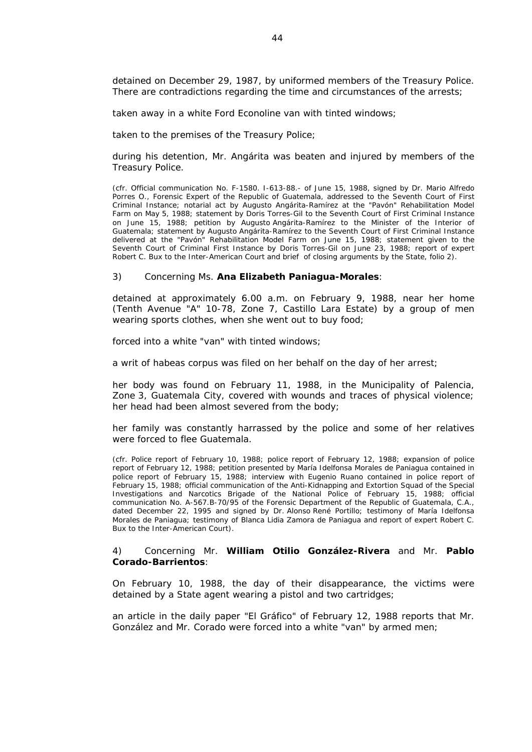detained on December 29, 1987, by uniformed members of the Treasury Police. There are contradictions regarding the time and circumstances of the arrests;

taken away in a white Ford Econoline van with tinted windows;

taken to the premises of the Treasury Police;

during his detention, Mr. Angárita was beaten and injured by members of the Treasury Police.

*(cfr. Official communication No. F-1580. I-613-88.- of June 15, 1988, signed by Dr. Mario Alfredo Porres O., Forensic Expert of the Republic of Guatemala, addressed to the Seventh Court of First Criminal Instance; notarial act by Augusto Angárita-Ramírez at the* "*Pavón*" *Rehabilitation Model Farm on May 5, 1988; statement by Doris Torres-Gil to the Seventh Court of First Criminal Instance on June 15, 1988; petition by Augusto Angárita-Ramírez to the Minister of the Interior of Guatemala; statement by Augusto Angárita-Ramírez to the Seventh Court of First Criminal Instance delivered at the* "*Pavón*" *Rehabilitation Model Farm on June 15, 1988; statement given to the Seventh Court of Criminal First Instance by Doris Torres-Gil on June 23, 1988; report of expert Robert C. Bux to the Inter-American Court and brief of closing arguments by the State, folio 2).*

#### 3) Concerning Ms. **Ana Elizabeth Paniagua-Morales**:

detained at approximately 6.00 a.m. on February 9, 1988, near her home (Tenth Avenue "A" 10-78, Zone 7, Castillo Lara Estate) by a group of men wearing sports clothes, when she went out to buy food;

forced into a white "van" with tinted windows;

a writ of *habeas corpus* was filed on her behalf on the day of her arrest;

her body was found on February 11, 1988, in the Municipality of Palencia, Zone 3, Guatemala City, covered with wounds and traces of physical violence; her head had been almost severed from the body;

her family was constantly harrassed by the police and some of her relatives were forced to flee Guatemala.

*(cfr. Police report of February 10, 1988; police report of February 12, 1988; expansion of police report of February 12, 1988; petition presented by María Idelfonsa Morales de Paniagua contained in*  police report of February 15, 1988; interview with Eugenio Ruano contained in police report of *February 15, 1988; official communication of the Anti-Kidnapping and Extortion Squad of the Special Investigations and Narcotics Brigade of the National Police of February 15, 1988; official communication No. A-567.B-70/95 of the Forensic Department of the Republic of Guatemala, C.A.,*  dated December 22, 1995 and signed by Dr. Alonso René Portillo; testimony of María Idelfonsa *Morales de Paniagua; testimony of Blanca Lidia Zamora de Paniagua and report of expert Robert C. Bux to the Inter-American Court).* 

#### 4) Concerning Mr. **William Otilio González-Rivera** and Mr. **Pablo Corado-Barrientos**:

On February 10, 1988, the day of their disappearance, the victims were detained by a State agent wearing a pistol and two cartridges;

an article in the daily paper "El Gráfico" of February 12, 1988 reports that Mr. González and Mr. Corado were forced into a white "van" by armed men;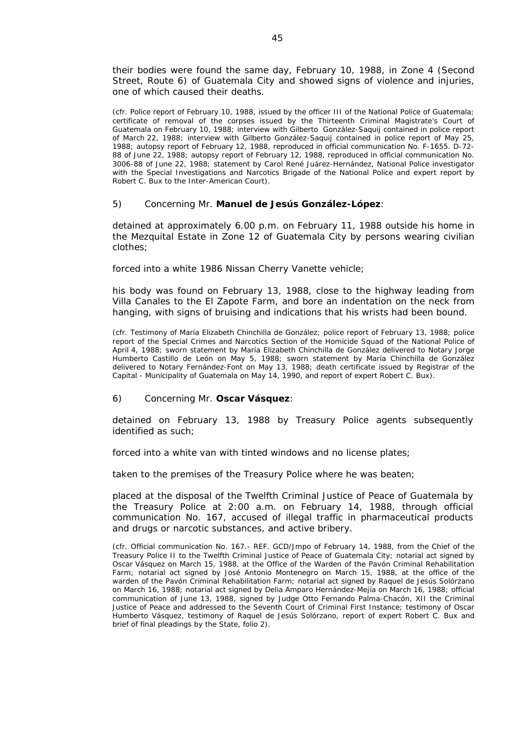their bodies were found the same day, February 10, 1988, in Zone 4 (Second Street, Route 6) of Guatemala City and showed signs of violence and injuries, one of which caused their deaths.

*(cfr. Police report of February 10, 1988, issued by the officer III of the National Police of Guatemala; certificate of removal of the corpses issued by the Thirteenth Criminal Magistrate's Court of Guatemala on February 10, 1988; interview with Gilberto González-Saquij contained in police report of March 22, 1988; interview with Gilberto González-Saquij contained in police report of May 25, 1988; autopsy report of February 12, 1988, reproduced in official communication No. F-1655. D-72- 88 of June 22, 1988; autopsy report of February 12, 1988, reproduced in official communication No. 3006-88 of June 22, 1988; statement by Carol René Juárez-Hernández, National Police investigator*  with the Special Investigations and Narcotics Brigade of the National Police and expert report by *Robert C. Bux to the Inter-American Court).* 

#### 5) Concerning Mr. **Manuel de Jesús González-López**:

detained at approximately 6.00 p.m. on February 11, 1988 outside his home in the Mezquital Estate in Zone 12 of Guatemala City by persons wearing civilian clothes;

forced into a white 1986 Nissan Cherry Vanette vehicle;

his body was found on February 13, 1988, close to the highway leading from Villa Canales to the El Zapote Farm, and bore an indentation on the neck from hanging, with signs of bruising and indications that his wrists had been bound.

*(cfr. Testimony of María Elizabeth Chinchilla de González; police report of February 13, 1988; police*  report of the Special Crimes and Narcotics Section of the Homicide Squad of the National Police of *April 4, 1988; sworn statement by María Elizabeth Chinchilla de González delivered to Notary Jorge Humberto Castillo de León on May 5, 1988; sworn statement by María Chinchilla de González delivered to Notary Fernández-Font on May 13, 1988; death certificate issued by Registrar of the Capital - Municipality of Guatemala on May 14, 1990, and report of expert Robert C. Bux).* 

#### 6) Concerning Mr. **Oscar Vásquez**:

detained on February 13, 1988 by Treasury Police agents subsequently identified as such;

forced into a white van with tinted windows and no license plates;

taken to the premises of the Treasury Police where he was beaten;

placed at the disposal of the Twelfth Criminal Justice of Peace of Guatemala by the Treasury Police at 2:00 a.m. on February 14, 1988, through official communication No. 167, accused of illegal traffic in pharmaceutical products and drugs or narcotic substances, and active bribery.

*(cfr. Official communication No. 167.- REF. GCD/Jmpo of February 14, 1988, from the Chief of the Treasury Police II to the Twelfth Criminal Justice of Peace of Guatemala City; notarial act signed by Oscar Vásquez on March 15, 1988, at the Office of the Warden of the Pavón Criminal Rehabilitation*  Farm; notarial act signed by José Antonio Montenegro on March 15, 1988, at the office of the *warden of the Pavón Criminal Rehabilitation Farm; notarial act signed by Raquel de Jesús Solórzano on March 16, 1988; notarial act signed by Delia Amparo Hernández-Mejía on March 16, 1988; official communication of June 13, 1988, signed by Judge Otto Fernando Palma-Chacón, XII the Criminal Justice of Peace and addressed to the Seventh Court of Criminal First Instance; testimony of Oscar Humberto Vásquez, testimony of Raquel de Jesús Solórzano, report of expert Robert C. Bux and brief of final pleadings by the State, folio 2).*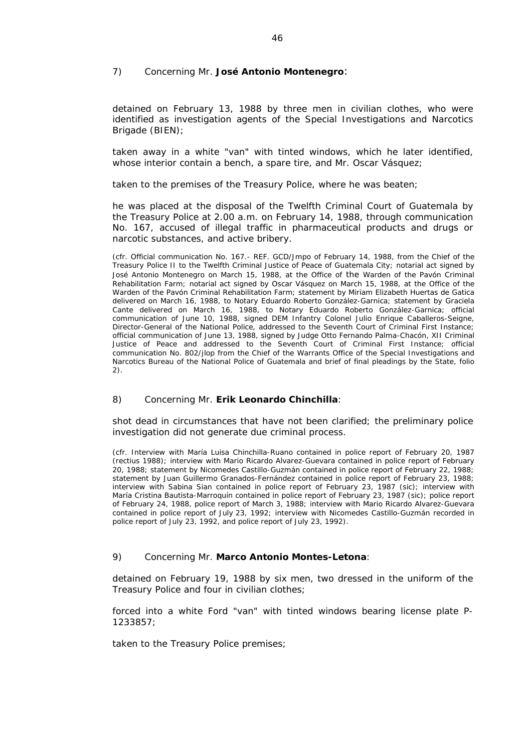## 7) Concerning Mr. **José Antonio Montenegro**:

detained on February 13, 1988 by three men in civilian clothes, who were identified as investigation agents of the Special Investigations and Narcotics Brigade (BIEN);

taken away in a white "van" with tinted windows, which he later identified, whose interior contain a bench, a spare tire, and Mr. Oscar Vásquez;

taken to the premises of the Treasury Police, where he was beaten;

he was placed at the disposal of the Twelfth Criminal Court of Guatemala by the Treasury Police at 2.00 a.m. on February 14, 1988, through communication No. 167, accused of illegal traffic in pharmaceutical products and drugs or narcotic substances, and active bribery.

*(cfr. Official communication No. 167.- REF. GCD/Jmpo of February 14, 1988, from the Chief of the Treasury Police II to the Twelfth Criminal Justice of Peace of Guatemala City; notarial act signed by José Antonio Montenegro on March 15, 1988, at the Office of the Warden of the Pavón Criminal Rehabilitation Farm; notarial act signed by Oscar Vásquez on March 15, 1988, at the Office of the Warden of the Pavón Criminal Rehabilitation Farm; statement by Miriam Elizabeth Huertas de Gatica delivered on March 16, 1988, to Notary Eduardo Roberto González-Garnica; statement by Graciela*  Cante delivered on March 16, 1988, to Notary Eduardo Roberto González-Garnica; official *communication of June 10, 1988, signed DEM Infantry Colonel Julio Enrique Caballeros-Seigne, Director-General of the National Police, addressed to the Seventh Court of Criminal First Instance; official communication of June 13, 1988, signed by Judge Otto Fernando Palma-Chacón, XII Criminal*  Justice of Peace and addressed to the Seventh Court of Criminal First Instance; official *communication No. 802/jlop from the Chief of the Warrants Office of the Special Investigations and Narcotics Bureau of the National Police of Guatemala and brief of final pleadings by the State, folio 2).*

## 8) Concerning Mr. **Erik Leonardo Chinchilla**:

shot dead in circumstances that have not been clarified; the preliminary police investigation did not generate due criminal process.

*(cfr. Interview with María Luisa Chinchilla-Ruano contained in police report of February 20, 1987 (rectius 1988); interview with Mario Ricardo Alvarez-Guevara contained in police report of February 20, 1988; statement by Nicomedes Castillo-Guzmán contained in police report of February 22, 1988; statement by Juan Guillermo Granados-Fernández contained in police report of February 23, 1988; interview with Sabina Sian contained in police report of February 23, 1987 (sic); interview with María Cristina Bautista-Marroquín contained in police report of February 23, 1987 (sic); police report of February 24, 1988, police report of March 3, 1988; interview with Mario Ricardo Alvarez-Guevara contained in police report of July 23, 1992; interview with Nicomedes Castillo-Guzmán recorded in police report of July 23, 1992, and police report of July 23, 1992).* 

#### 9) Concerning Mr. **Marco Antonio Montes-Letona**:

detained on February 19, 1988 by six men, two dressed in the uniform of the Treasury Police and four in civilian clothes;

forced into a white Ford "van" with tinted windows bearing license plate P-1233857;

taken to the Treasury Police premises;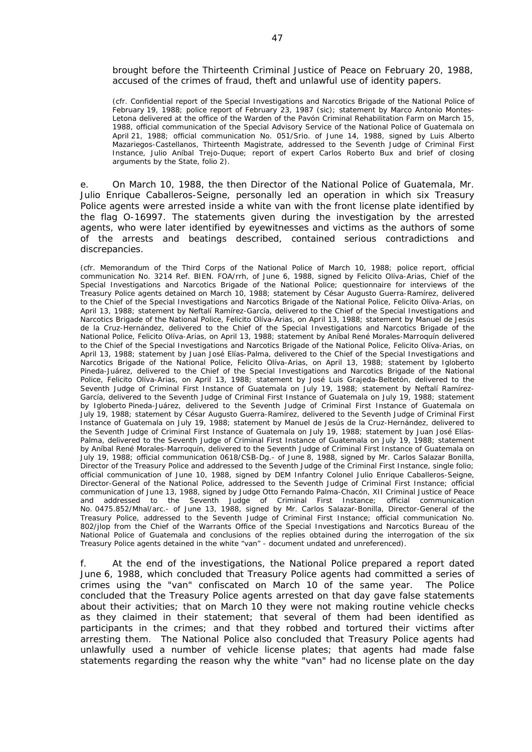brought before the Thirteenth Criminal Justice of Peace on February 20, 1988, accused of the crimes of fraud, theft and unlawful use of identity papers.

*(cfr. Confidential report of the Special Investigations and Narcotics Brigade of the National Police of February 19, 1988; police report of February 23, 1987 (sic); statement by Marco Antonio Montes-Letona delivered at the office of the Warden of the Pavón Criminal Rehabilitation Farm on March 15, 1988, official communication of the Special Advisory Service of the National Police of Guatemala on April 21, 1988; official communication No. 051/Srio. of June 14, 1988, signed by Luis Alberto Mazariegos-Castellanos, Thirteenth Magistrate, addressed to the Seventh Judge of Criminal First Instance, Julio Aníbal Trejo-Duque; report of expert Carlos Roberto Bux and brief of closing arguments by the State, folio 2).* 

e. On March 10, 1988, the then Director of the National Police of Guatemala, Mr. Julio Enrique Caballeros-Seigne, personally led an operation in which six Treasury Police agents were arrested inside a white van with the front license plate identified by the flag O-16997. The statements given during the investigation by the arrested agents, who were later identified by eyewitnesses and victims as the authors of some of the arrests and beatings described, contained serious contradictions and discrepancies.

*(cfr. Memorandum of the Third Corps of the National Police of March 10, 1988; police report, official communication No. 3214 Ref. BIEN. FOA/rrh, of June 6, 1988, signed by Felicito Olíva-Arias, Chief of the Special Investigations and Narcotics Brigade of the National Police; questionnaire for interviews of the Treasury Police agents detained on March 10, 1988; statement by César Augusto Guerra-Ramírez, delivered to the Chief of the Special Investigations and Narcotics Brigade of the National Police, Felicito Olíva-Arias, on April 13, 1988; statement by Neftalí Ramírez-García, delivered to the Chief of the Special Investigations and Narcotics Brigade of the National Police, Felicito Olíva-Arias, on April 13, 1988; statement by Manuel de Jesús de la Cruz-Hernández, delivered to the Chief of the Special Investigations and Narcotics Brigade of the National Police, Felicito Olíva-Arias, on April 13, 1988; statement by Aníbal René Morales-Marroquín delivered to the Chief of the Special Investigations and Narcotics Brigade of the National Police, Felicito Olíva-Arias, on April 13, 1988; statement by Juan José Elías-Palma, delivered to the Chief of the Special Investigations and Narcotics Brigade of the National Police, Felicito Olíva-Arias, on April 13, 1988; statement by Igloberto Pineda-Juárez, delivered to the Chief of the Special Investigations and Narcotics Brigade of the National Police, Felicito Olíva-Arias, on April 13, 1988; statement by José Luis Grajeda-Beltetón, delivered to the Seventh Judge of Criminal First Instance of Guatemala on July 19, 1988; statement by Neftalí Ramírez-García, delivered to the Seventh Judge of Criminal First Instance of Guatemala on July 19, 1988; statement by Igloberto Pineda-Juárez, delivered to the Seventh Judge of Criminal First Instance of Guatemala on July 19, 1988; statement by César Augusto Guerra-Ramírez, delivered to the Seventh Judge of Criminal First Instance of Guatemala on July 19, 1988; statement by Manuel de Jesús de la Cruz-Hernández, delivered to the Seventh Judge of Criminal First Instance of Guatemala on July 19, 1988; statement by Juan José Elías-*Palma, delivered to the Seventh Judge of Criminal First Instance of Guatemala on July 19, 1988; statement *by Aníbal René Morales-Marroquín, delivered to the Seventh Judge of Criminal First Instance of Guatemala on July 19, 1988; official communication 0618/CSB-Dg.- of June 8, 1988, signed by Mr. Carlos Salazar Bonilla, Director of the Treasury Police and addressed to the Seventh Judge of the Criminal First Instance, single folio; official communication of June 10, 1988, signed by DEM Infantry Colonel Julio Enrique Caballeros-Seigne, Director-General of the National Police, addressed to the Seventh Judge of Criminal First Instance; official communication of June 13, 1988, signed by Judge Otto Fernando Palma-Chacón, XII Criminal Justice of Peace and addressed to the Seventh Judge of Criminal First Instance; official communication No. 0475.852/Mhal/arc.- of June 13, 1988, signed by Mr. Carlos Salazar-Bonilla, Director-General of the Treasury Police, addressed to the Seventh Judge of Criminal First Instance; official communication No. 802/jlop from the Chief of the Warrants Office of the Special Investigations and Narcotics Bureau of the National Police of Guatemala and conclusions of the replies obtained during the interrogation of the six Treasury Police agents detained in the white "van" - document undated and unreferenced).* 

f. At the end of the investigations, the National Police prepared a report dated June 6, 1988, which concluded that Treasury Police agents had committed a series of crimes using the "van" confiscated on March 10 of the same year. The Police concluded that the Treasury Police agents arrested on that day gave false statements about their activities; that on March 10 they were not making routine vehicle checks as they claimed in their statement; that several of them had been identified as participants in the crimes; and that they robbed and tortured their victims after arresting them. The National Police also concluded that Treasury Police agents had unlawfully used a number of vehicle license plates; that agents had made false statements regarding the reason why the white "van" had no license plate on the day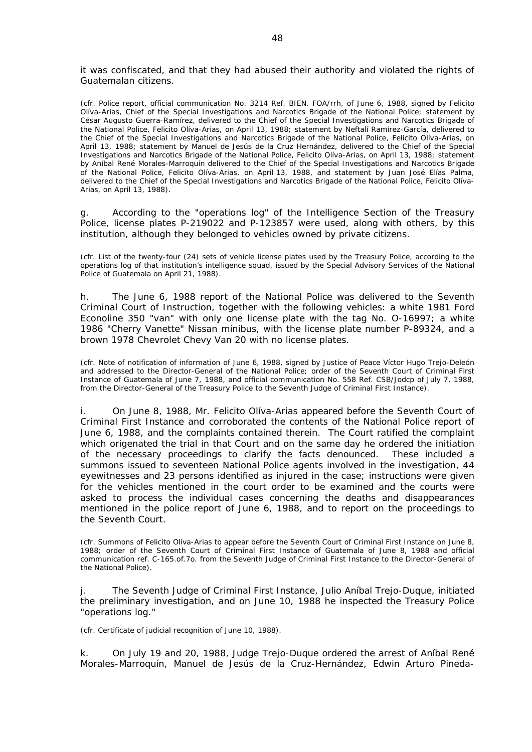it was confiscated, and that they had abused their authority and violated the rights of Guatemalan citizens.

*(cfr. Police report, official communication No. 3214 Ref. BIEN. FOA/rrh, of June 6, 1988, signed by Felicito Olíva-Arias, Chief of the Special Investigations and Narcotics Brigade of the National Police; statement by César Augusto Guerra-Ramírez, delivered to the Chief of the Special Investigations and Narcotics Brigade of the National Police, Felicito Olíva-Arias, on April 13, 1988; statement by Neftalí Ramírez-García, delivered to the Chief of the Special Investigations and Narcotics Brigade of the National Police, Felicito Olíva-Arias, on April 13, 1988; statement by Manuel de Jesús de la Cruz Hernández, delivered to the Chief of the Special Investigations and Narcotics Brigade of the National Police, Felicito Olíva-Arias, on April 13, 1988; statement by Aníbal René Morales-Marroquín delivered to the Chief of the Special Investigations and Narcotics Brigade of the National Police, Felicito Olíva-Arias, on April 13, 1988, and statement by Juan José Elías Palma, delivered to the Chief of the Special Investigations and Narcotics Brigade of the National Police, Felicito Olíva-Arias, on April 13, 1988).* 

g. According to the "operations log" of the Intelligence Section of the Treasury Police, license plates P-219022 and P-123857 were used, along with others, by this institution, although they belonged to vehicles owned by private citizens.

*(cfr. List of the twenty-four (24) sets of vehicle license plates used by the Treasury Police, according to the operations log of that institution's intelligence squad, issued by the Special Advisory Services of the National Police of Guatemala on April 21, 1988).* 

h. The June 6, 1988 report of the National Police was delivered to the Seventh Criminal Court of Instruction, together with the following vehicles: a white 1981 Ford Econoline 350 "van" with only one license plate with the tag No. O-16997; a white 1986 "Cherry Vanette" Nissan minibus, with the license plate number P-89324, and a brown 1978 Chevrolet Chevy Van 20 with no license plates.

*(cfr. Note of notification of information of June 6, 1988, signed by Justice of Peace Víctor Hugo Trejo-Deleón and addressed to the Director-General of the National Police; order of the Seventh Court of Criminal First Instance of Guatemala of June 7, 1988, and official communication No. 558 Ref. CSB/Jodcp of July 7, 1988, from the Director-General of the Treasury Police to the Seventh Judge of Criminal First Instance).* 

i. On June 8, 1988, Mr. Felicito Olíva-Arias appeared before the Seventh Court of Criminal First Instance and corroborated the contents of the National Police report of June 6, 1988, and the complaints contained therein. The Court ratified the complaint which origenated the trial in that Court and on the same day he ordered the initiation of the necessary proceedings to clarify the facts denounced. These included a summons issued to seventeen National Police agents involved in the investigation, 44 eyewitnesses and 23 persons identified as injured in the case; instructions were given for the vehicles mentioned in the court order to be examined and the courts were asked to process the individual cases concerning the deaths and disappearances mentioned in the police report of June 6, 1988, and to report on the proceedings to the Seventh Court.

*(cfr. Summons of Felicito Olíva-Arias to appear before the Seventh Court of Criminal First Instance on June 8, 1988; order of the Seventh Court of Criminal First Instance of Guatemala of June 8, 1988 and official communication ref. C-165.of.7o. from the Seventh Judge of Criminal First Instance to the Director-General of the National Police).* 

j. The Seventh Judge of Criminal First Instance, Julio Aníbal Trejo-Duque, initiated the preliminary investigation, and on June 10, 1988 he inspected the Treasury Police "operations log."

*(cfr. Certificate of judicial recognition of June 10, 1988).*

k. On July 19 and 20, 1988, Judge Trejo-Duque ordered the arrest of Aníbal René Morales-Marroquín, Manuel de Jesús de la Cruz-Hernández, Edwin Arturo Pineda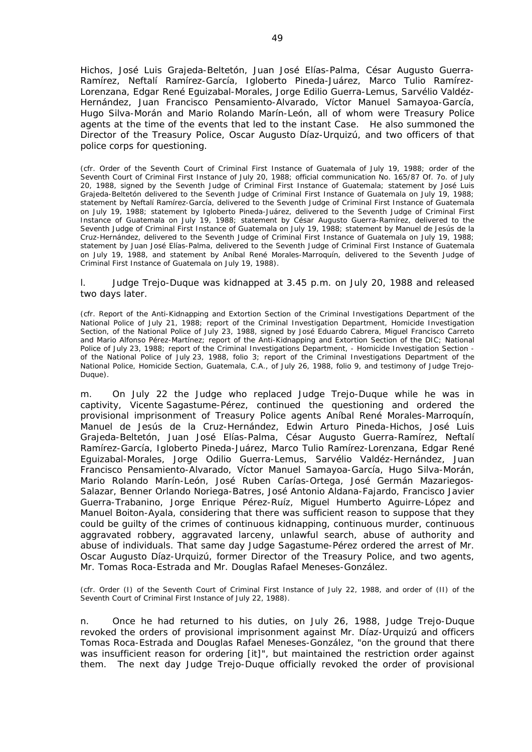Hichos, José Luis Grajeda-Beltetón, Juan José Elías-Palma, César Augusto Guerra-Ramírez, Neftalí Ramírez-García, Igloberto Pineda-Juárez, Marco Tulio Ramírez-Lorenzana, Edgar René Eguizabal-Morales, Jorge Edilio Guerra-Lemus, Sarvélio Valdéz-Hernández, Juan Francisco Pensamiento-Alvarado, Víctor Manuel Samayoa-García, Hugo Silva-Morán and Mario Rolando Marín-León, all of whom were Treasury Police agents at the time of the events that led to the instant Case. He also summoned the Director of the Treasury Police, Oscar Augusto Díaz-Urquizú, and two officers of that police corps for questioning.

*(cfr. Order of the Seventh Court of Criminal First Instance of Guatemala of July 19, 1988; order of the Seventh Court of Criminal First Instance of July 20, 1988; official communication No. 165/87 Of. 7o. of July 20, 1988, signed by the Seventh Judge of Criminal First Instance of Guatemala; statement by José Luis Grajeda-Beltetón delivered to the Seventh Judge of Criminal First Instance of Guatemala on July 19, 1988; statement by Neftalí Ramírez-García, delivered to the Seventh Judge of Criminal First Instance of Guatemala on July 19, 1988; statement by Igloberto Pineda-Juárez, delivered to the Seventh Judge of Criminal First Instance of Guatemala on July 19, 1988; statement by César Augusto Guerra-Ramírez, delivered to the Seventh Judge of Criminal First Instance of Guatemala on July 19, 1988; statement by Manuel de Jesús de la Cruz-Hernández, delivered to the Seventh Judge of Criminal First Instance of Guatemala on July 19, 1988; statement by Juan José Elías-Palma, delivered to the Seventh Judge of Criminal First Instance of Guatemala on July 19, 1988, and statement by Aníbal René Morales-Marroquín, delivered to the Seventh Judge of Criminal First Instance of Guatemala on July 19, 1988).*

l. Judge Trejo-Duque was kidnapped at 3.45 p.m. on July 20, 1988 and released two days later.

*(cfr. Report of the Anti-Kidnapping and Extortion Section of the Criminal Investigations Department of the National Police of July 21, 1988; report of the Criminal Investigation Department, Homicide Investigation Section, of the National Police of July 23, 1988, signed by José Eduardo Cabrera, Miguel Francisco Carreto and Mario Alfonso Pérez-Martínez; report of the Anti-Kidnapping and Extortion Section of the DIC; National Police of July 23, 1988; report of the Criminal Investigations Department, - Homicide Investigation Section of the National Police of July 23, 1988, folio 3; report of the Criminal Investigations Department of the National Police, Homicide Section, Guatemala, C.A., of July 26, 1988, folio 9, and testimony of Judge Trejo-Duque).* 

m. On July 22 the Judge who replaced Judge Trejo-Duque while he was in captivity, Vicente Sagastume-Pérez, continued the questioning and ordered the provisional imprisonment of Treasury Police agents Aníbal René Morales-Marroquín, Manuel de Jesús de la Cruz-Hernández, Edwin Arturo Pineda-Hichos, José Luis Grajeda-Beltetón, Juan José Elías-Palma, César Augusto Guerra-Ramírez, Neftalí Ramírez-García, Igloberto Pineda-Juárez, Marco Tulio Ramírez-Lorenzana, Edgar René Eguizabal-Morales, Jorge Odilio Guerra-Lemus, Sarvélio Valdéz-Hernández, Juan Francisco Pensamiento-Alvarado, Víctor Manuel Samayoa-García, Hugo Silva-Morán, Mario Rolando Marín-León, José Ruben Carías-Ortega, José Germán Mazariegos-Salazar, Benner Orlando Noriega-Batres, José Antonio Aldana-Fajardo, Francisco Javier Guerra-Trabanino, Jorge Enrique Pérez-Ruíz, Miguel Humberto Aguirre-López and Manuel Boiton-Ayala, considering that there was sufficient reason to suppose that they could be guilty of the crimes of continuous kidnapping, continuous murder, continuous aggravated robbery, aggravated larceny, unlawful search, abuse of authority and abuse of individuals. That same day Judge Sagastume-Pérez ordered the arrest of Mr. Oscar Augusto Díaz-Urquizú, former Director of the Treasury Police, and two agents, Mr. Tomas Roca-Estrada and Mr. Douglas Rafael Meneses-González.

*(cfr. Order (I) of the Seventh Court of Criminal First Instance of July 22, 1988, and order of (II) of the Seventh Court of Criminal First Instance of July 22, 1988).* 

n. Once he had returned to his duties, on July 26, 1988, Judge Trejo-Duque revoked the orders of provisional imprisonment against Mr. Díaz-Urquizú and officers Tomas Roca-Estrada and Douglas Rafael Meneses-González, "*on the ground that there was insufficient reason for ordering* [it]", but maintained the restriction order against them. The next day Judge Trejo-Duque officially revoked the order of provisional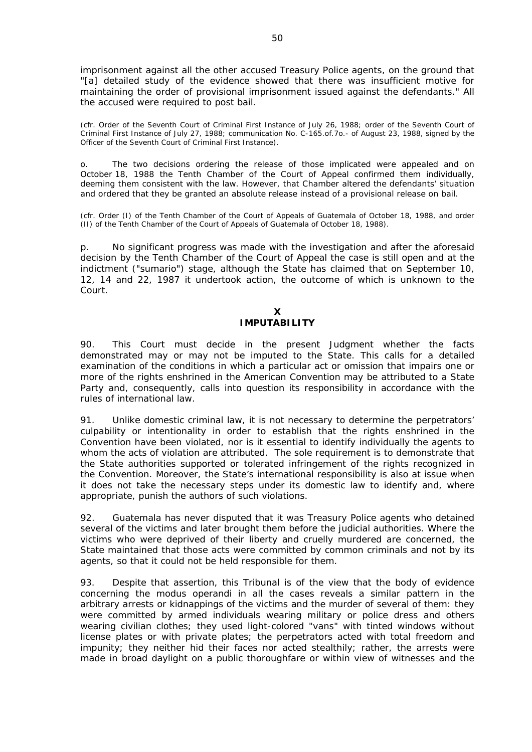imprisonment against all the other accused Treasury Police agents, on the ground that "[a] *detailed study of the evidence showed that there was insufficient motive for maintaining the order of provisional imprisonment issued against the defendants*." All the accused were required to post bail.

*(cfr. Order of the Seventh Court of Criminal First Instance of July 26, 1988; order of the Seventh Court of Criminal First Instance of July 27, 1988; communication No. C-165.of.7o.- of August 23, 1988, signed by the Officer of the Seventh Court of Criminal First Instance).* 

o. The two decisions ordering the release of those implicated were appealed and on October 18, 1988 the Tenth Chamber of the Court of Appeal confirmed them individually, deeming them consistent with the law. However, that Chamber altered the defendants' situation and ordered that they be granted an absolute release instead of a provisional release on bail.

*(cfr. Order (I) of the Tenth Chamber of the Court of Appeals of Guatemala of October 18, 1988, and order (II) of the Tenth Chamber of the Court of Appeals of Guatemala of October 18, 1988).* 

p. No significant progress was made with the investigation and after the aforesaid decision by the Tenth Chamber of the Court of Appeal the case is still open and at the indictment ("sumario") stage, although the State has claimed that on September 10, 12, 14 and 22, 1987 it undertook action, the outcome of which is unknown to the Court.

## **X IMPUTABILITY**

90. This Court must decide in the present Judgment whether the facts demonstrated may or may not be imputed to the State. This calls for a detailed examination of the conditions in which a particular act or omission that impairs one or more of the rights enshrined in the American Convention may be attributed to a State Party and, consequently, calls into question its responsibility in accordance with the rules of international law.

91. Unlike domestic criminal law, it is not necessary to determine the perpetrators' culpability or intentionality in order to establish that the rights enshrined in the Convention have been violated, nor is it essential to identify individually the agents to whom the acts of violation are attributed. The sole requirement is to demonstrate that the State authorities supported or tolerated infringement of the rights recognized in the Convention. Moreover, the State's international responsibility is also at issue when it does not take the necessary steps under its domestic law to identify and, where appropriate, punish the authors of such violations.

92. Guatemala has never disputed that it was Treasury Police agents who detained several of the victims and later brought them before the judicial authorities. Where the victims who were deprived of their liberty and cruelly murdered are concerned, the State maintained that those acts were committed by common criminals and not by its agents, so that it could not be held responsible for them.

93. Despite that assertion, this Tribunal is of the view that the body of evidence concerning the *modus operandi* in all the cases reveals a similar pattern in the arbitrary arrests or kidnappings of the victims and the murder of several of them: they were committed by armed individuals wearing military or police dress and others wearing civilian clothes; they used light-colored "vans" with tinted windows without license plates or with private plates; the perpetrators acted with total freedom and impunity; they neither hid their faces nor acted stealthily; rather, the arrests were made in broad daylight on a public thoroughfare or within view of witnesses and the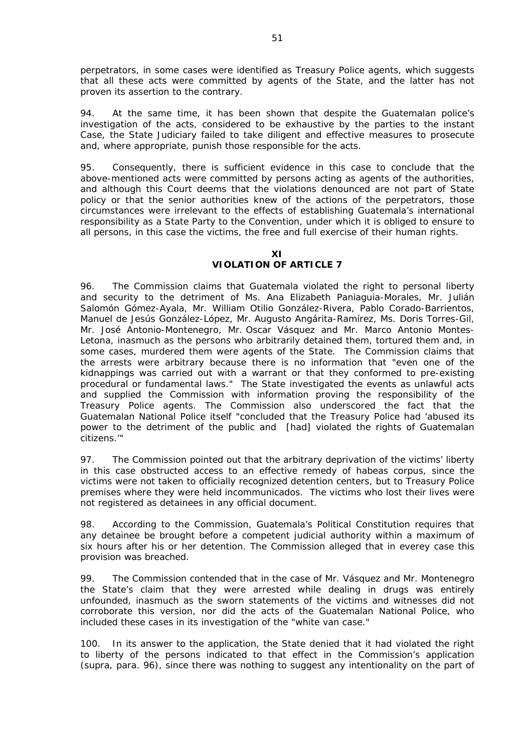perpetrators, in some cases were identified as Treasury Police agents, which suggests that all these acts were committed by agents of the State, and the latter has not proven its assertion to the contrary.

94. At the same time, it has been shown that despite the Guatemalan police's investigation of the acts, considered to be exhaustive by the parties to the instant Case, the State Judiciary failed to take diligent and effective measures to prosecute and, where appropriate, punish those responsible for the acts.

95. Consequently, there is sufficient evidence in this case to conclude that the above-mentioned acts were committed by persons acting as agents of the authorities, and although this Court deems that the violations denounced are not part of State policy or that the senior authorities knew of the actions of the perpetrators, those circumstances were irrelevant to the effects of establishing Guatemala's international responsibility as a State Party to the Convention, under which it is obliged to ensure to all persons, in this case the victims, the free and full exercise of their human rights.

**XI**

# **VIOLATION OF ARTICLE 7**

96. The Commission claims that Guatemala violated the right to personal liberty and security to the detriment of Ms. Ana Elizabeth Paniaguia-Morales, Mr. Julián Salomón Gómez-Ayala, Mr. William Otilio González-Rivera, Pablo Corado-Barrientos, Manuel de Jesús González-López, Mr. Augusto Angárita-Ramírez, Ms. Doris Torres-Gil, Mr. José Antonio-Montenegro, Mr. Oscar Vásquez and Mr. Marco Antonio Montes-Letona, inasmuch as the persons who arbitrarily detained them, tortured them and, in some cases, murdered them were agents of the State. The Commission claims that the arrests were arbitrary because there is no information that "*even one of the kidnappings was carried out with a warrant or that they conformed to pre-existing procedural or fundamental laws.*" The State investigated the events as unlawful acts and supplied the Commission with information proving the responsibility of the Treasury Police agents. The Commission also underscored the fact that the Guatemalan National Police itself "*concluded that the Treasury Police had 'abused its power to the detriment of the public and* [had] *violated the rights of Guatemalan citizens.'*"

97. The Commission pointed out that the arbitrary deprivation of the victims' liberty in this case obstructed access to an effective remedy of *habeas corpus*, since the victims were not taken to officially recognized detention centers, but to Treasury Police premises where they were held *incommunicados.* The victims who lost their lives were not registered as detainees in any official document.

98. According to the Commission, Guatemala's Political Constitution requires that any detainee be brought before a competent judicial authority within a maximum of six hours after his or her detention. The Commission alleged that in everey case this provision was breached.

99. The Commission contended that in the case of Mr. Vásquez and Mr. Montenegro the State's claim that they were arrested while dealing in drugs was entirely unfounded, inasmuch as the sworn statements of the victims and witnesses did not corroborate this version, nor did the acts of the Guatemalan National Police, who included these cases in its investigation of the "*white van case.*"

100. In its answer to the application, the State denied that it had violated the right to liberty of the persons indicated to that effect in the Commission's application (*supra*, para. 96), since there was nothing to suggest any intentionality on the part of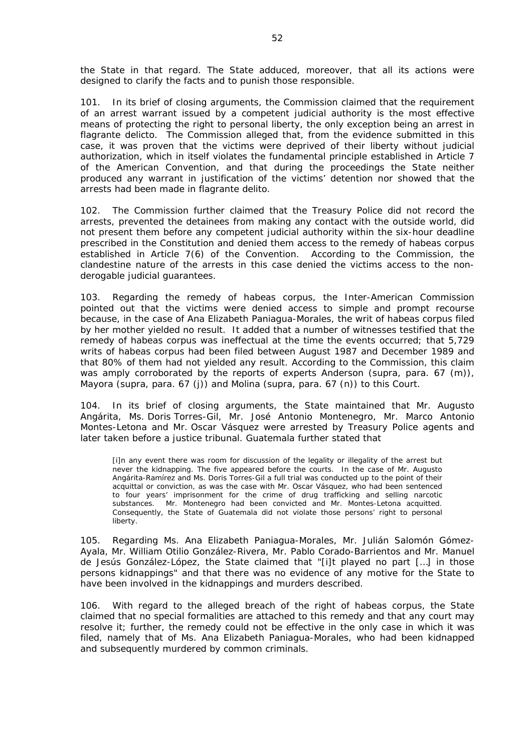the State in that regard. The State adduced, moreover, that all its actions were designed to clarify the facts and to punish those responsible.

101. In its brief of closing arguments, the Commission claimed that the requirement of an arrest warrant issued by a competent judicial authority is the most effective means of protecting the right to personal liberty, the only exception being an arrest *in flagrante delicto*. The Commission alleged that, from the evidence submitted in this case, it was proven that the victims were deprived of their liberty without judicial authorization, which in itself violates the fundamental principle established in Article 7 of the American Convention, and that during the proceedings the State neither produced any warrant in justification of the victims' detention nor showed that the arrests had been made *in flagrante delito*.

102. The Commission further claimed that the Treasury Police did not record the arrests, prevented the detainees from making any contact with the outside world, did not present them before any competent judicial authority within the six-hour deadline prescribed in the Constitution and denied them access to the remedy of *habeas corpus* established in Article 7(6) of the Convention. According to the Commission, the clandestine nature of the arrests in this case denied the victims access to the nonderogable judicial guarantees.

103. Regarding the remedy of *habeas corpus*, the Inter-American Commission pointed out that the victims were denied access to simple and prompt recourse because, in the case of Ana Elizabeth Paniagua-Morales, the writ of *habeas corpus* filed by her mother yielded no result. It added that a number of witnesses testified that the remedy of *habeas corpus* was ineffectual at the time the events occurred; that 5,729 writs of *habeas corpus* had been filed between August 1987 and December 1989 and that 80% of them had not yielded any result. According to the Commission, this claim was amply corroborated by the reports of experts Anderson (*supra*, para. 67 (m)), Mayora (*supra*, para. 67 (j)) and Molina (*supra*, para. 67 (n)) to this Court.

104. In its brief of closing arguments, the State maintained that Mr. Augusto Angárita, Ms. Doris Torres-Gil, Mr. José Antonio Montenegro, Mr. Marco Antonio Montes-Letona and Mr. Oscar Vásquez were arrested by Treasury Police agents and later taken before a justice tribunal. Guatemala further stated that

[i]n any event there was room for discussion of the legality or illegality of the arrest but never the kidnapping. The five appeared before the courts. In the case of Mr. Augusto Angárita-Ramírez and Ms. Doris Torres-Gil a full trial was conducted up to the point of their acquittal or conviction, as was the case with Mr. Oscar Vásquez, who had been sentenced to four years' imprisonment for the crime of drug trafficking and selling narcotic substances. Mr. Montenegro had been convicted and Mr. Montes-Letona acquitted. Consequently, the State of Guatemala did not violate those persons' right to personal liberty.

105. Regarding Ms. Ana Elizabeth Paniagua-Morales, Mr. Julián Salomón Gómez-Ayala, Mr. William Otilio González-Rivera, Mr. Pablo Corado-Barrientos and Mr. Manuel de Jesús González-López, the State claimed that "[i]*t played no part* […] *in those persons kidnappings*" and that there was no evidence of any motive for the State to have been involved in the kidnappings and murders described.

106. With regard to the alleged breach of the right of *habeas corpus*, the State claimed that no special formalities are attached to this remedy and that any court may resolve it; further, the remedy could not be effective in the only case in which it was filed, namely that of Ms. Ana Elizabeth Paniagua-Morales, who had been kidnapped and subsequently murdered by common criminals.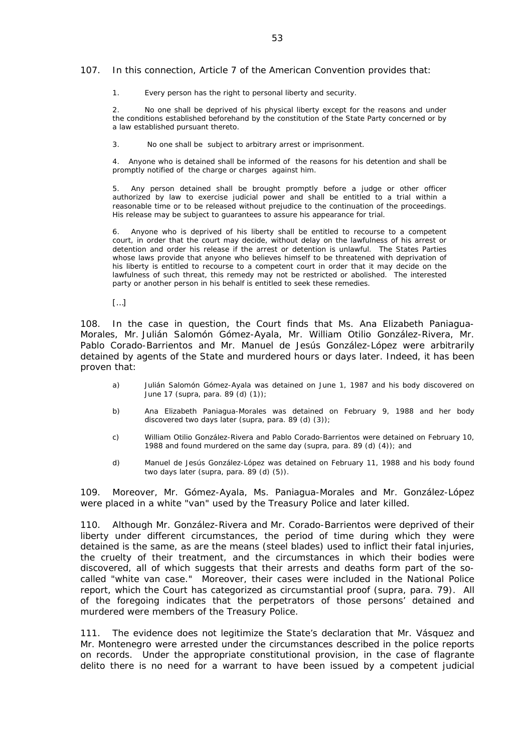#### 107. In this connection, Article 7 of the American Convention provides that:

1. Every person has the right to personal liberty and security.

2. No one shall be deprived of his physical liberty except for the reasons and under the conditions established beforehand by the constitution of the State Party concerned or by a law established pursuant thereto.

3. No one shall be subject to arbitrary arrest or imprisonment.

4. Anyone who is detained shall be informed of the reasons for his detention and shall be promptly notified of the charge or charges against him.

5. Any person detained shall be brought promptly before a judge or other officer authorized by law to exercise judicial power and shall be entitled to a trial within a reasonable time or to be released without prejudice to the continuation of the proceedings. His release may be subject to guarantees to assure his appearance for trial.

6. Anyone who is deprived of his liberty shall be entitled to recourse to a competent court, in order that the court may decide, without delay on the lawfulness of his arrest or detention and order his release if the arrest or detention is unlawful. The States Parties whose laws provide that anyone who believes himself to be threatened with deprivation of his liberty is entitled to recourse to a competent court in order that it may decide on the lawfulness of such threat, this remedy may not be restricted or abolished. The interested party or another person in his behalf is entitled to seek these remedies.

 $[...]$ 

108. In the case in question, the Court finds that Ms. Ana Elizabeth Paniagua-Morales, Mr. Julián Salomón Gómez-Ayala, Mr. William Otilio González-Rivera, Mr. Pablo Corado-Barrientos and Mr. Manuel de Jesús González-López were arbitrarily detained by agents of the State and murdered hours or days later. Indeed, it has been proven that:

- a) Julián Salomón Gómez-Ayala was detained on June 1, 1987 and his body discovered on June 17 (*supra*, para. 89 (d) (1));
- b) Ana Elizabeth Paniagua-Morales was detained on February 9, 1988 and her body discovered two days later (*supra*, para. 89 (d) (3));
- c) William Otilio González-Rivera and Pablo Corado-Barrientos were detained on February 10, 1988 and found murdered on the same day (*supra*, para. 89 (d) (4)); and
- d) Manuel de Jesús González-López was detained on February 11, 1988 and his body found two days later (*supra*, para. 89 (d) (5)).

109. Moreover, Mr. Gómez-Ayala, Ms. Paniagua-Morales and Mr. González-López were placed in a white "van" used by the Treasury Police and later killed.

110. Although Mr. González-Rivera and Mr. Corado-Barrientos were deprived of their liberty under different circumstances, the period of time during which they were detained is the same, as are the means (steel blades) used to inflict their fatal injuries, the cruelty of their treatment, and the circumstances in which their bodies were discovered, all of which suggests that their arrests and deaths form part of the socalled "*white van case.*" Moreover, their cases were included in the National Police report, which the Court has categorized as circumstantial proof (*supra*, para. 79). All of the foregoing indicates that the perpetrators of those persons' detained and murdered were members of the Treasury Police.

111. The evidence does not legitimize the State's declaration that Mr. Vásquez and Mr. Montenegro were arrested under the circumstances described in the police reports on records. Under the appropriate constitutional provision, in the case of *flagrante delito* there is no need for a warrant to have been issued by a competent judicial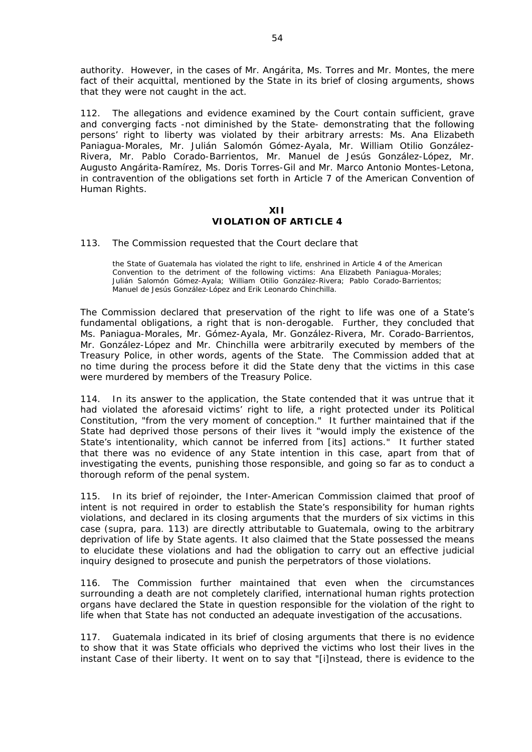authority. However, in the cases of Mr. Angárita, Ms. Torres and Mr. Montes, the mere fact of their acquittal, mentioned by the State in its brief of closing arguments, shows that they were not caught in the act.

112. The allegations and evidence examined by the Court contain sufficient, grave and converging facts -not diminished by the State- demonstrating that the following persons' right to liberty was violated by their arbitrary arrests: Ms. Ana Elizabeth Paniagua-Morales, Mr. Julián Salomón Gómez-Ayala, Mr. William Otilio González-Rivera, Mr. Pablo Corado-Barrientos, Mr. Manuel de Jesús González-López, Mr. Augusto Angárita-Ramírez, Ms. Doris Torres-Gil and Mr. Marco Antonio Montes-Letona, in contravention of the obligations set forth in Article 7 of the American Convention of Human Rights.

## **XII VIOLATION OF ARTICLE 4**

#### 113. The Commission requested that the Court declare that

the State of Guatemala has violated the right to life, enshrined in Article 4 of the American Convention to the detriment of the following victims: Ana Elizabeth Paniagua-Morales; Julián Salomón Gómez-Ayala; William Otilio González-Rivera; Pablo Corado-Barrientos; Manuel de Jesús González-López and Erik Leonardo Chinchilla.

The Commission declared that preservation of the right to life was one of a State's fundamental obligations, a right that is non-derogable. Further, they concluded that Ms. Paniagua-Morales, Mr. Gómez-Ayala, Mr. González-Rivera, Mr. Corado-Barrientos, Mr. González-López and Mr. Chinchilla were arbitrarily executed by members of the Treasury Police, in other words, agents of the State. The Commission added that at no time during the process before it did the State deny that the victims in this case were murdered by members of the Treasury Police.

114. In its answer to the application, the State contended that it was untrue that it had violated the aforesaid victims' right to life, a right protected under its Political Constitution, "*from the very moment of conception*." It further maintained that if the State had deprived those persons of their lives it "*would imply the existence of the State's intentionality, which cannot be inferred from* [its] *actions*." It further stated that there was no evidence of any State intention in this case, apart from that of investigating the events, punishing those responsible, and going so far as to conduct a thorough reform of the penal system.

115. In its brief of rejoinder, the Inter-American Commission claimed that proof of intent is not required in order to establish the State's responsibility for human rights violations, and declared in its closing arguments that the murders of six victims in this case (*supra*, para. 113) are directly attributable to Guatemala, owing to the arbitrary deprivation of life by State agents. It also claimed that the State possessed the means to elucidate these violations and had the obligation to carry out an effective judicial inquiry designed to prosecute and punish the perpetrators of those violations.

116. The Commission further maintained that even when the circumstances surrounding a death are not completely clarified, international human rights protection organs have declared the State in question responsible for the violation of the right to life when that State has not conducted an adequate investigation of the accusations.

117. Guatemala indicated in its brief of closing arguments that there is no evidence to show that it was State officials who deprived the victims who lost their lives in the instant Case of their liberty. It went on to say that "[i]*nstead, there is evidence to the*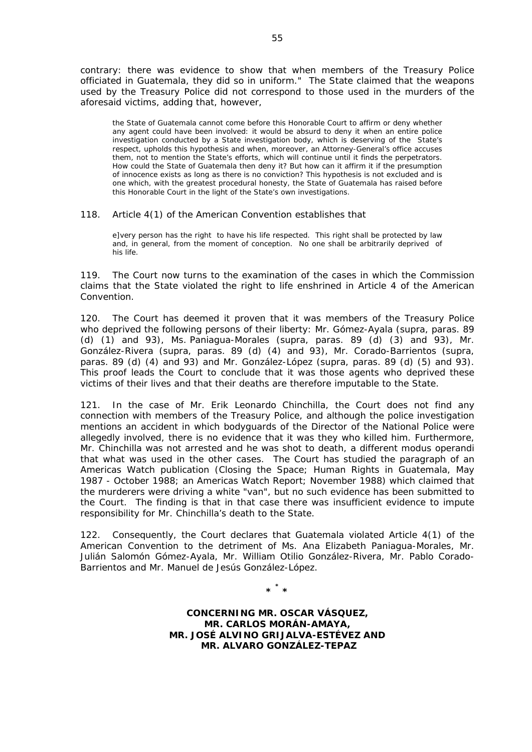*contrary: there was evidence to show that when members of the Treasury Police officiated in Guatemala, they did so in uniform*." The State claimed that the weapons used by the Treasury Police did not correspond to those used in the murders of the aforesaid victims, adding that, however,

the State of Guatemala cannot come before this Honorable Court to affirm or deny whether any agent could have been involved: it would be absurd to deny it when an entire police investigation conducted by a State investigation body, which is deserving of the State's respect, upholds this hypothesis and when, moreover, an Attorney-General's office accuses them, not to mention the State's efforts, which will continue until it finds the perpetrators. How could the State of Guatemala then deny it? But how can it affirm it if the presumption of innocence exists as long as there is no conviction? This hypothesis is not excluded and is one which, with the greatest procedural honesty, the State of Guatemala has raised before this Honorable Court in the light of the State's own investigations.

#### 118. Article 4(1) of the American Convention establishes that

e]very person has the right to have his life respected. This right shall be protected by law and, in general, from the moment of conception. No one shall be arbitrarily deprived of his life.

119. The Court now turns to the examination of the cases in which the Commission claims that the State violated the right to life enshrined in Article 4 of the American Convention.

120. The Court has deemed it proven that it was members of the Treasury Police who deprived the following persons of their liberty: Mr. Gómez-Ayala (*supra*, paras. 89 (d) (1) and 93), Ms. Paniagua-Morales (*supra*, paras. 89 (d) (3) and 93), Mr. González-Rivera (*supra*, paras. 89 (d) (4) and 93), Mr. Corado-Barrientos (*supra*, paras. 89 (d) (4) and 93) and Mr. González-López (*supra*, paras. 89 (d) (5) and 93). This proof leads the Court to conclude that it was those agents who deprived these victims of their lives and that their deaths are therefore imputable to the State.

121. In the case of Mr. Erik Leonardo Chinchilla, the Court does not find any connection with members of the Treasury Police, and although the police investigation mentions an accident in which bodyguards of the Director of the National Police were allegedly involved, there is no evidence that it was they who killed him. Furthermore, Mr. Chinchilla was not arrested and he was shot to death, a different *modus operandi* that what was used in the other cases. The Court has studied the paragraph of an Americas Watch publication (*Closing the Space; Human Rights in Guatemala, May 1987 - October 1988; an Americas Watch Report; November 1988*) which claimed that the murderers were driving a white "van", but no such evidence has been submitted to the Court. The finding is that in that case there was insufficient evidence to impute responsibility for Mr. Chinchilla's death to the State.

122. Consequently, the Court declares that Guatemala violated Article 4(1) of the American Convention to the detriment of Ms. Ana Elizabeth Paniagua-Morales, Mr. Julián Salomón Gómez-Ayala, Mr. William Otilio González-Rivera, Mr. Pablo Corado-Barrientos and Mr. Manuel de Jesús González-López.

**\* \* \*** 

**CONCERNING MR. OSCAR VÁSQUEZ, MR. CARLOS MORÁN-AMAYA, MR. JOSÉ ALVINO GRIJALVA-ESTÉVEZ AND MR. ALVARO GONZÁLEZ-TEPAZ**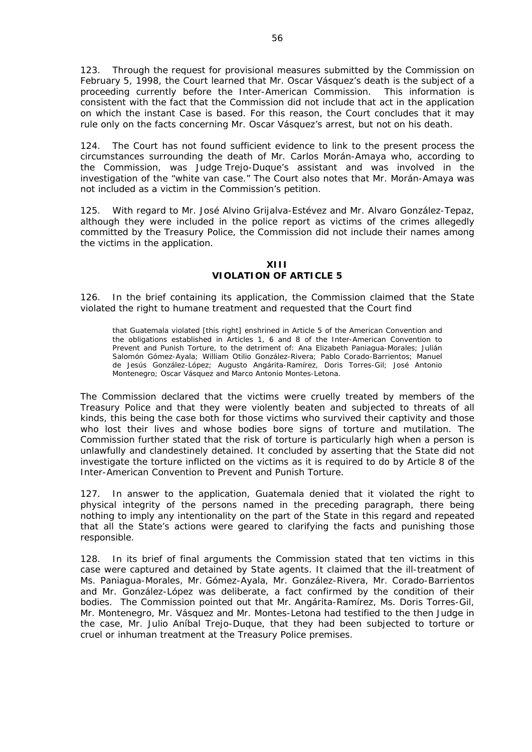123. Through the request for provisional measures submitted by the Commission on February 5, 1998, the Court learned that Mr. Oscar Vásquez's death is the subject of a proceeding currently before the Inter-American Commission. This information is consistent with the fact that the Commission did not include that act in the application on which the instant Case is based. For this reason, the Court concludes that it may rule only on the facts concerning Mr. Oscar Vásquez's arrest, but not on his death.

124. The Court has not found sufficient evidence to link to the present process the circumstances surrounding the death of Mr. Carlos Morán-Amaya who, according to the Commission, was Judge Trejo-Duque's assistant and was involved in the investigation of the "*white van case.*" The Court also notes that Mr. Morán-Amaya was not included as a victim in the Commission's petition.

125. With regard to Mr. José Alvino Grijalva-Estévez and Mr. Alvaro González-Tepaz, although they were included in the police report as victims of the crimes allegedly committed by the Treasury Police, the Commission did not include their names among the victims in the application.

**XIII VIOLATION OF ARTICLE 5** 

126. In the brief containing its application, the Commission claimed that the State violated the right to humane treatment and requested that the Court find

that Guatemala violated [this right] enshrined in Article 5 of the American Convention and the obligations established in Articles 1, 6 and 8 of the Inter-American Convention to Prevent and Punish Torture, to the detriment of: Ana Elizabeth Paniagua-Morales; Julián Salomón Gómez-Ayala; William Otilio González-Rivera; Pablo Corado-Barrientos; Manuel de Jesús González-López; Augusto Angárita-Ramírez, Doris Torres-Gil; José Antonio Montenegro; Oscar Vásquez and Marco Antonio Montes-Letona.

The Commission declared that the victims were cruelly treated by members of the Treasury Police and that they were violently beaten and subjected to threats of all kinds, this being the case both for those victims who survived their captivity and those who lost their lives and whose bodies bore signs of torture and mutilation. The Commission further stated that the risk of torture is particularly high when a person is unlawfully and clandestinely detained. It concluded by asserting that the State did not investigate the torture inflicted on the victims as it is required to do by Article 8 of the Inter-American Convention to Prevent and Punish Torture.

127. In answer to the application, Guatemala denied that it violated the right to physical integrity of the persons named in the preceding paragraph, there being nothing to imply any intentionality on the part of the State in this regard and repeated that all the State's actions were geared to clarifying the facts and punishing those responsible.

128. In its brief of final arguments the Commission stated that ten victims in this case were captured and detained by State agents. It claimed that the ill-treatment of Ms. Paniagua-Morales, Mr. Gómez-Ayala, Mr. González-Rivera, Mr. Corado-Barrientos and Mr. González-López was deliberate, a fact confirmed by the condition of their bodies. The Commission pointed out that Mr. Angárita-Ramírez, Ms. Doris Torres-Gil, Mr. Montenegro, Mr. Vásquez and Mr. Montes-Letona had testified to the then Judge in the case, Mr. Julio Aníbal Trejo-Duque, that they had been subjected to torture or cruel or inhuman treatment at the Treasury Police premises.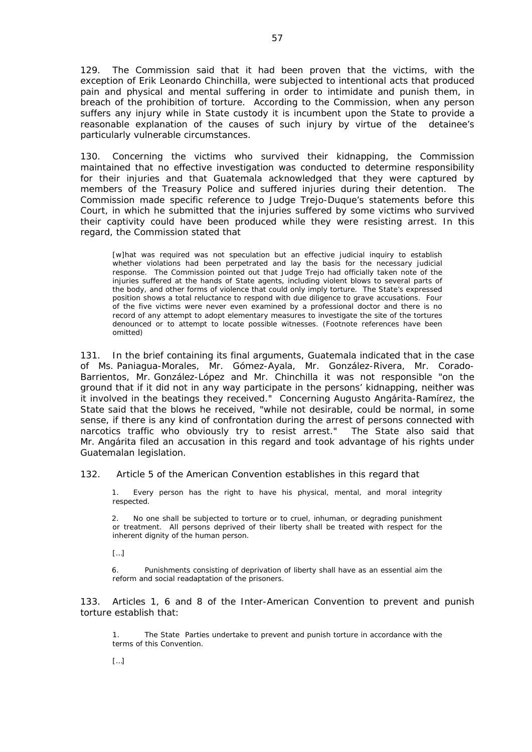129. The Commission said that it had been proven that the victims, with the exception of Erik Leonardo Chinchilla, were subjected to intentional acts that produced pain and physical and mental suffering in order to intimidate and punish them, in breach of the prohibition of torture. According to the Commission, when any person suffers any injury while in State custody it is incumbent upon the State to provide a reasonable explanation of the causes of such injury by virtue of the detainee's particularly vulnerable circumstances.

130. Concerning the victims who survived their kidnapping, the Commission maintained that no effective investigation was conducted to determine responsibility for their injuries and that Guatemala acknowledged that they were captured by members of the Treasury Police and suffered injuries during their detention. The Commission made specific reference to Judge Trejo-Duque's statements before this Court, in which he submitted that the injuries suffered by some victims who survived their captivity could have been produced while they were resisting arrest. In this regard, the Commission stated that

[w]hat was required was not speculation but an effective judicial inquiry to establish whether violations had been perpetrated and lay the basis for the necessary judicial response. The Commission pointed out that Judge Trejo had officially taken note of the injuries suffered at the hands of State agents, including violent blows to several parts of the body, and other forms of violence that could only imply torture. The State's expressed position shows a total reluctance to respond with due diligence to grave accusations. Four of the five victims were never even examined by a professional doctor and there is no record of any attempt to adopt elementary measures to investigate the site of the tortures denounced or to attempt to locate possible witnesses. (Footnote references have been omitted)

131. In the brief containing its final arguments, Guatemala indicated that in the case of Ms. Paniagua-Morales, Mr. Gómez-Ayala, Mr. González-Rivera, Mr. Corado-Barrientos, Mr. González-López and Mr. Chinchilla it was not responsible "*on the ground that if it did not in any way participate in the persons' kidnapping, neither was it involved in the beatings they received*." Concerning Augusto Angárita-Ramírez, the State said that the blows he received, "*while not desirable, could be normal, in some sense, if there is any kind of confrontation during the arrest of persons connected with narcotics traffic who obviously try to resist arrest*." The State also said that Mr. Angárita filed an accusation in this regard and took advantage of his rights under Guatemalan legislation.

132. Article 5 of the American Convention establishes in this regard that

1. Every person has the right to have his physical, mental, and moral integrity respected.

2. No one shall be subjected to torture or to cruel, inhuman, or degrading punishment or treatment. All persons deprived of their liberty shall be treated with respect for the inherent dignity of the human person.

 $[...]$ 

6. Punishments consisting of deprivation of liberty shall have as an essential aim the reform and social readaptation of the prisoners.

133. Articles 1, 6 and 8 of the Inter-American Convention to prevent and punish torture establish that:

1. The State Parties undertake to prevent and punish torture in accordance with the terms of this Convention.

 $[...]$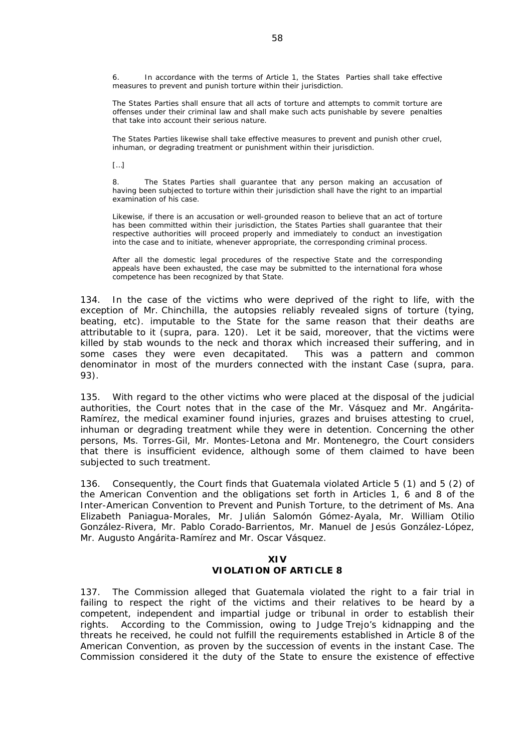6. In accordance with the terms of Article 1, the States Parties shall take effective measures to prevent and punish torture within their jurisdiction.

The States Parties shall ensure that all acts of torture and attempts to commit torture are offenses under their criminal law and shall make such acts punishable by severe penalties that take into account their serious nature.

The States Parties likewise shall take effective measures to prevent and punish other cruel, inhuman, or degrading treatment or punishment within their jurisdiction.

 $[...]$ 

8. The States Parties shall guarantee that any person making an accusation of having been subjected to torture within their jurisdiction shall have the right to an impartial examination of his case.

Likewise, if there is an accusation or well-grounded reason to believe that an act of torture has been committed within their jurisdiction, the States Parties shall guarantee that their respective authorities will proceed properly and immediately to conduct an investigation into the case and to initiate, whenever appropriate, the corresponding criminal process.

After all the domestic legal procedures of the respective State and the corresponding appeals have been exhausted, the case may be submitted to the international fora whose competence has been recognized by that State.

134. In the case of the victims who were deprived of the right to life, with the exception of Mr. Chinchilla, the autopsies reliably revealed signs of torture (tying, beating, etc). imputable to the State for the same reason that their deaths are attributable to it (*supra*, para. 120). Let it be said, moreover, that the victims were killed by stab wounds to the neck and thorax which increased their suffering, and in some cases they were even decapitated. This was a pattern and common denominator in most of the murders connected with the instant Case (*supra*, para. 93).

135. With regard to the other victims who were placed at the disposal of the judicial authorities, the Court notes that in the case of the Mr. Vásquez and Mr. Angárita-Ramírez, the medical examiner found injuries, grazes and bruises attesting to cruel, inhuman or degrading treatment while they were in detention. Concerning the other persons, Ms. Torres-Gil, Mr. Montes-Letona and Mr. Montenegro, the Court considers that there is insufficient evidence, although some of them claimed to have been subjected to such treatment.

136. Consequently, the Court finds that Guatemala violated Article 5 (1) and 5 (2) of the American Convention and the obligations set forth in Articles 1, 6 and 8 of the Inter-American Convention to Prevent and Punish Torture, to the detriment of Ms. Ana Elizabeth Paniagua-Morales, Mr. Julián Salomón Gómez-Ayala, Mr. William Otilio González-Rivera, Mr. Pablo Corado-Barrientos, Mr. Manuel de Jesús González-López, Mr. Augusto Angárita-Ramírez and Mr. Oscar Vásquez.

# **XIV**

# **VIOLATION OF ARTICLE 8**

137. The Commission alleged that Guatemala violated the right to a fair trial in failing to respect the right of the victims and their relatives to be heard by a competent, independent and impartial judge or tribunal in order to establish their rights. According to the Commission, owing to Judge Trejo's kidnapping and the threats he received, he could not fulfill the requirements established in Article 8 of the American Convention, as proven by the succession of events in the instant Case. The Commission considered it the duty of the State to ensure the existence of effective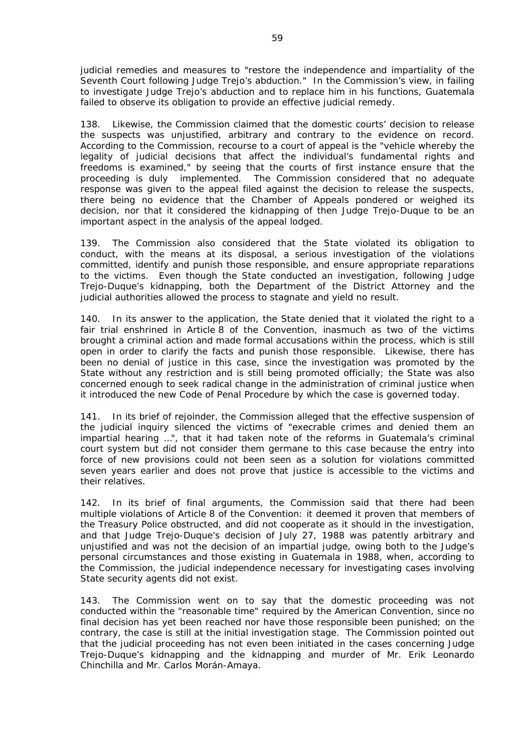judicial remedies and measures to "*restore the independence and impartiality of the Seventh Court following Judge Trejo's abduction.*" In the Commission's view, in failing to investigate Judge Trejo's abduction and to replace him in his functions, Guatemala failed to observe its obligation to provide an effective judicial remedy.

138. Likewise, the Commission claimed that the domestic courts' decision to release the suspects was unjustified, arbitrary and contrary to the evidence on record. According to the Commission, recourse to a court of appeal is the "*vehicle whereby the legality of judicial decisions that affect the individual's fundamental rights and freedoms is examined*," by seeing that the courts of first instance ensure that the proceeding is duly implemented. The Commission considered that no adequate response was given to the appeal filed against the decision to release the suspects, there being no evidence that the Chamber of Appeals pondered or weighed its decision, nor that it considered the kidnapping of then Judge Trejo-Duque to be an important aspect in the analysis of the appeal lodged.

139. The Commission also considered that the State violated its obligation to conduct, with the means at its disposal, a serious investigation of the violations committed, identify and punish those responsible, and ensure appropriate reparations to the victims. Even though the State conducted an investigation, following Judge Trejo-Duque's kidnapping, both the Department of the District Attorney and the judicial authorities allowed the process to stagnate and yield no result.

140. In its answer to the application, the State denied that it violated the right to a fair trial enshrined in Article 8 of the Convention, inasmuch as two of the victims brought a criminal action and made formal accusations within the process, which is still open in order to clarify the facts and punish those responsible. Likewise, there has been no denial of justice in this case, since the investigation was promoted by the State without any restriction and is still being promoted officially; the State was also concerned enough to seek radical change in the administration of criminal justice when it introduced the new Code of Penal Procedure by which the case is governed today.

141. In its brief of rejoinder, the Commission alleged that the effective suspension of the judicial inquiry silenced the victims of "*execrable crimes and denied them an impartial hearing* …", that it had taken note of the reforms in Guatemala's criminal court system but did not consider them germane to this case because the entry into force of new provisions could not been seen as a solution for violations committed seven years earlier and does not prove that justice is accessible to the victims and their relatives.

142. In its brief of final arguments, the Commission said that there had been multiple violations of Article 8 of the Convention: it deemed it proven that members of the Treasury Police obstructed, and did not cooperate as it should in the investigation, and that Judge Trejo-Duque's decision of July 27, 1988 was patently arbitrary and unjustified and was not the decision of an impartial judge, owing both to the Judge's personal circumstances and those existing in Guatemala in 1988, when, according to the Commission, the judicial independence necessary for investigating cases involving State security agents did not exist.

143. The Commission went on to say that the domestic proceeding was not conducted within the "*reasonable time*" required by the American Convention, since no final decision has yet been reached nor have those responsible been punished; on the contrary, the case is still at the initial investigation stage. The Commission pointed out that the judicial proceeding has not even been initiated in the cases concerning Judge Trejo-Duque's kidnapping and the kidnapping and murder of Mr. Erik Leonardo Chinchilla and Mr. Carlos Morán-Amaya.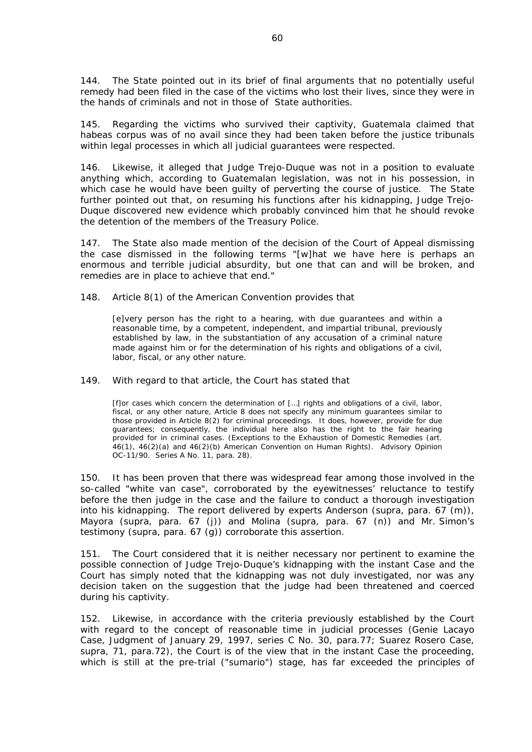144. The State pointed out in its brief of final arguments that no potentially useful remedy had been filed in the case of the victims who lost their lives, since they were in the hands of criminals and not in those of State authorities.

145. Regarding the victims who survived their captivity, Guatemala claimed that *habeas corpus* was of no avail since they had been taken before the justice tribunals within legal processes in which all judicial guarantees were respected.

146. Likewise, it alleged that Judge Trejo-Duque was not in a position to evaluate anything which, according to Guatemalan legislation, was not in his possession, in which case he would have been guilty of perverting the course of justice. The State further pointed out that, on resuming his functions after his kidnapping, Judge Trejo-Duque discovered new evidence which probably convinced him that he should revoke the detention of the members of the Treasury Police.

147. The State also made mention of the decision of the Court of Appeal dismissing the case dismissed in the following terms "[w]*hat we have here is perhaps an enormous and terrible judicial absurdity, but one that can and will be broken, and remedies are in place to achieve that end*."

#### 148. Article 8(1) of the American Convention provides that

[e]very person has the right to a hearing, with due guarantees and within a reasonable time, by a competent, independent, and impartial tribunal, previously established by law, in the substantiation of any accusation of a criminal nature made against him or for the determination of his rights and obligations of a civil, labor, fiscal, or any other nature.

149. With regard to that article, the Court has stated that

[f]or cases which concern *the determination of […] rights and obligations of a civil, labor, fiscal, or any other nature,* Article 8 does not specify any *minimum guarantees* similar to those provided in Article 8(2) for criminal proceedings. It does, however, provide for *due guarantees;* consequently, the individual here also has the right to the fair hearing provided for in criminal cases. (*Exceptions to the Exhaustion of Domestic Remedies (art. 46(1), 46(2)(a) and 46(2)(b) American Convention on Human Rights).* Advisory Opinion OC-11/90. Series A No. 11, para. 28).

150. It has been proven that there was widespread fear among those involved in the so-called "*white van case*", corroborated by the eyewitnesses' reluctance to testify before the then judge in the case and the failure to conduct a thorough investigation into his kidnapping. The report delivered by experts Anderson (*supra*, para. 67 (m)), Mayora (*supra*, para. 67 (j)) and Molina (*supra*, para. 67 (n)) and Mr. Simon's testimony (*supra*, para. 67 (g)) corroborate this assertion.

The Court considered that it is neither necessary nor pertinent to examine the possible connection of Judge Trejo-Duque's kidnapping with the instant Case and the Court has simply noted that the kidnapping was not duly investigated, nor was any decision taken on the suggestion that the judge had been threatened and coerced during his captivity.

152. Likewise, in accordance with the criteria previously established by the Court with regard to the concept of reasonable time in judicial processes (*Genie Lacayo Case*, Judgment of January 29, 1997, series C No. 30, para.77; *Suarez Rosero Case*, *supra*, 71, para.72), the Court is of the view that in the instant Case the proceeding, which is still at the pre-trial ("sumario") stage, has far exceeded the principles of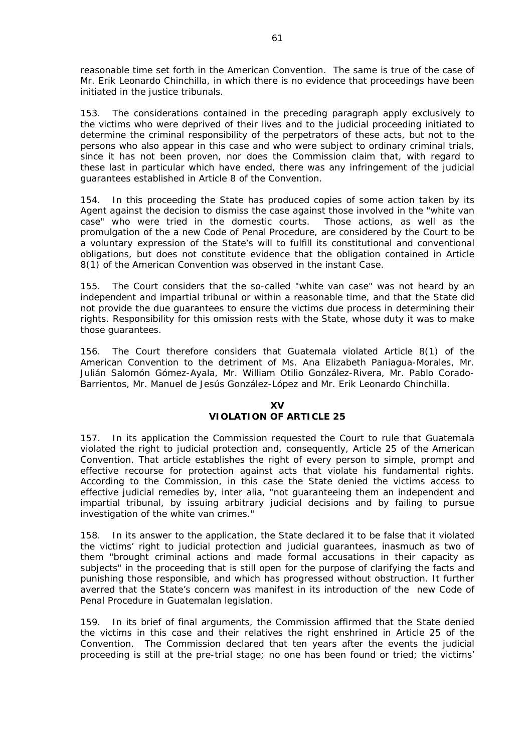reasonable time set forth in the American Convention. The same is true of the case of Mr. Erik Leonardo Chinchilla, in which there is no evidence that proceedings have been initiated in the justice tribunals.

153. The considerations contained in the preceding paragraph apply exclusively to the victims who were deprived of their lives and to the judicial proceeding initiated to determine the criminal responsibility of the perpetrators of these acts, but not to the persons who also appear in this case and who were subject to ordinary criminal trials, since it has not been proven, nor does the Commission claim that, with regard to these last in particular which have ended, there was any infringement of the judicial guarantees established in Article 8 of the Convention.

154. In this proceeding the State has produced copies of some action taken by its Agent against the decision to dismiss the case against those involved in the "white van case" who were tried in the domestic courts. Those actions, as well as the promulgation of the a new Code of Penal Procedure, are considered by the Court to be a voluntary expression of the State's will to fulfill its constitutional and conventional obligations, but does not constitute evidence that the obligation contained in Article 8(1) of the American Convention was observed in the instant Case.

155. The Court considers that the so-called "*white van case*" was not heard by an independent and impartial tribunal or within a reasonable time, and that the State did not provide the due guarantees to ensure the victims due process in determining their rights. Responsibility for this omission rests with the State, whose duty it was to make those guarantees.

156. The Court therefore considers that Guatemala violated Article 8(1) of the American Convention to the detriment of Ms. Ana Elizabeth Paniagua-Morales, Mr. Julián Salomón Gómez-Ayala, Mr. William Otilio González-Rivera, Mr. Pablo Corado-Barrientos, Mr. Manuel de Jesús González-López and Mr. Erik Leonardo Chinchilla.

## **XV VIOLATION OF ARTICLE 25**

157. In its application the Commission requested the Court to rule that Guatemala violated the right to judicial protection and, consequently, Article 25 of the American Convention. That article establishes the right of every person to simple, prompt and effective recourse for protection against acts that violate his fundamental rights. According to the Commission, in this case the State denied the victims access to effective judicial remedies by, *inter alia*, "*not guaranteeing them an independent and impartial tribunal, by issuing arbitrary judicial decisions and by failing to pursue investigation of the white van crimes.*"

158. In its answer to the application, the State declared it to be false that it violated the victims' right to judicial protection and judicial guarantees, inasmuch as two of them "*brought criminal actions and made formal accusations in their capacity as subjects*" in the proceeding that is still open for the purpose of clarifying the facts and punishing those responsible, and which has progressed without obstruction. It further averred that the State's concern was manifest in its introduction of the new Code of Penal Procedure in Guatemalan legislation.

159. In its brief of final arguments, the Commission affirmed that the State denied the victims in this case and their relatives the right enshrined in Article 25 of the Convention. The Commission declared that ten years after the events the judicial proceeding is still at the pre-trial stage; no one has been found or tried; the victims'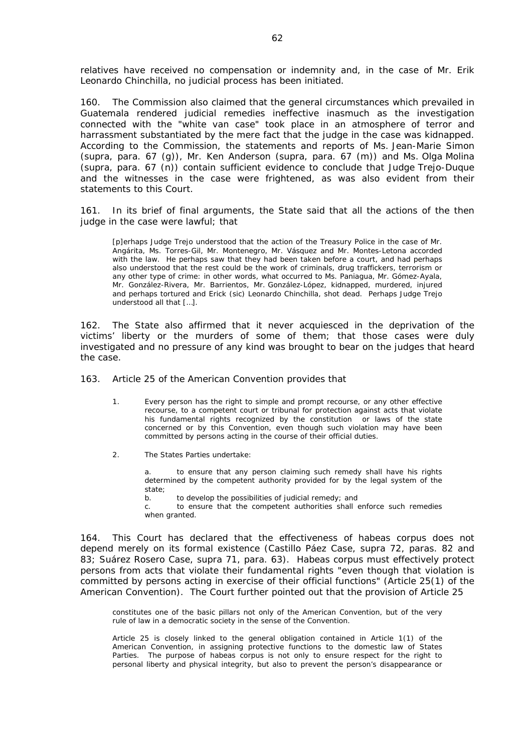relatives have received no compensation or indemnity and, in the case of Mr. Erik Leonardo Chinchilla, no judicial process has been initiated.

160. The Commission also claimed that the general circumstances which prevailed in Guatemala rendered judicial remedies ineffective inasmuch as the investigation connected with the "*white van case*" took place in an atmosphere of terror and harrassment substantiated by the mere fact that the judge in the case was kidnapped. According to the Commission, the statements and reports of Ms. Jean-Marie Simon (*supra*, para. 67 (g)), Mr. Ken Anderson (*supra,* para. 67 (m)) and Ms. Olga Molina (*supra*, para. 67 (n)) contain sufficient evidence to conclude that Judge Trejo-Duque and the witnesses in the case were frightened, as was also evident from their statements to this Court.

161. In its brief of final arguments, the State said that all the actions of the then judge in the case were lawful; that

[p]erhaps Judge Trejo understood that the action of the Treasury Police in the case of Mr. Angárita, Ms. Torres-Gil, Mr. Montenegro, Mr. Vásquez and Mr. Montes-Letona accorded with the law. He perhaps saw that they had been taken before a court, and had perhaps also understood that the rest could be the work of criminals, drug traffickers, terrorism or any other type of crime: in other words, what occurred to Ms. Paniagua, Mr. Gómez-Ayala, Mr. González-Rivera, Mr. Barrientos, Mr. González-López, kidnapped, murdered, injured and perhaps tortured and Erick (sic) Leonardo Chinchilla, shot dead. Perhaps Judge Trejo understood all that […].

162. The State also affirmed that it never acquiesced in the deprivation of the victims' liberty or the murders of some of them; that those cases were duly investigated and no pressure of any kind was brought to bear on the judges that heard the case.

163. Article 25 of the American Convention provides that

- 1. Every person has the right to simple and prompt recourse, or any other effective recourse, to a competent court or tribunal for protection against acts that violate his fundamental rights recognized by the constitution or laws of the state concerned or by this Convention, even though such violation may have been committed by persons acting in the course of their official duties.
- 2. The States Parties undertake:

a. to ensure that any person claiming such remedy shall have his rights determined by the competent authority provided for by the legal system of the state;

b. to develop the possibilities of judicial remedy; and

c. to ensure that the competent authorities shall enforce such remedies when granted.

164. This Court has declared that the effectiveness of *habeas corpus* does not depend merely on its formal existence (*Castillo Páez Case*, *supra* 72, paras. 82 and 83; *Suárez Rosero Case*, *supra* 71, para. 63). *Habeas corpus* must effectively protect persons from acts that violate their fundamental rights "*even though that violation is committed by persons acting in exercise of their official functions*" (Article 25(1) of the American Convention). The Court further pointed out that the provision of Article 25

constitutes one of the basic pillars not only of the American Convention, but of the very rule of law in a democratic society in the sense of the Convention.

Article 25 is closely linked to the general obligation contained in Article 1(1) of the American Convention, in assigning protective functions to the domestic law of States Parties. The purpose of habeas corpus is not only to ensure respect for the right to personal liberty and physical integrity, but also to prevent the person's disappearance or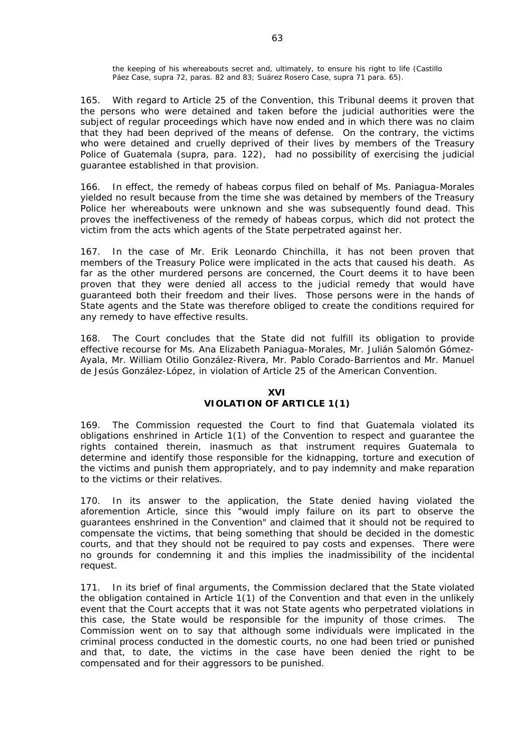the keeping of his whereabouts secret and, ultimately, to ensure his right to life (*Castillo Páez Case, supra* 72, paras. 82 and 83; *Suárez Rosero Case, supra* 71 para. 65).

165. With regard to Article 25 of the Convention, this Tribunal deems it proven that the persons who were detained and taken before the judicial authorities were the subject of regular proceedings which have now ended and in which there was no claim that they had been deprived of the means of defense. On the contrary, the victims who were detained and cruelly deprived of their lives by members of the Treasury Police of Guatemala (*supra*, para. 122), had no possibility of exercising the judicial guarantee established in that provision.

166. In effect, the remedy of habeas corpus filed on behalf of Ms. Paniagua-Morales yielded no result because from the time she was detained by members of the Treasury Police her whereabouts were unknown and she was subsequently found dead. This proves the ineffectiveness of the remedy of *habeas corpus*, which did not protect the victim from the acts which agents of the State perpetrated against her.

167. In the case of Mr. Erik Leonardo Chinchilla, it has not been proven that members of the Treasury Police were implicated in the acts that caused his death. As far as the other murdered persons are concerned, the Court deems it to have been proven that they were denied all access to the judicial remedy that would have guaranteed both their freedom and their lives. Those persons were in the hands of State agents and the State was therefore obliged to create the conditions required for any remedy to have effective results.

168. The Court concludes that the State did not fulfill its obligation to provide effective recourse for Ms. Ana Elizabeth Paniagua-Morales, Mr. Julián Salomón Gómez-Ayala, Mr. William Otilio González-Rivera, Mr. Pablo Corado-Barrientos and Mr. Manuel de Jesús González-López, in violation of Article 25 of the American Convention.

## **XVI VIOLATION OF ARTICLE 1(1)**

169. The Commission requested the Court to find that Guatemala violated its obligations enshrined in Article 1(1) of the Convention to respect and guarantee the rights contained therein, inasmuch as that instrument requires Guatemala to determine and identify those responsible for the kidnapping, torture and execution of the victims and punish them appropriately, and to pay indemnity and make reparation to the victims or their relatives.

170. In its answer to the application, the State denied having violated the aforemention Article, since this "*would imply failure on its part to observe the guarantees enshrined in the Convention*" and claimed that it should not be required to compensate the victims, that being something that should be decided in the domestic courts, and that they should not be required to pay costs and expenses. There were no grounds for condemning it and this implies the inadmissibility of the incidental request.

171. In its brief of final arguments, the Commission declared that the State violated the obligation contained in Article 1(1) of the Convention and that even in the unlikely event that the Court accepts that it was not State agents who perpetrated violations in this case, the State would be responsible for the impunity of those crimes. The Commission went on to say that although some individuals were implicated in the criminal process conducted in the domestic courts, no one had been tried or punished and that, to date, the victims in the case have been denied the right to be compensated and for their aggressors to be punished.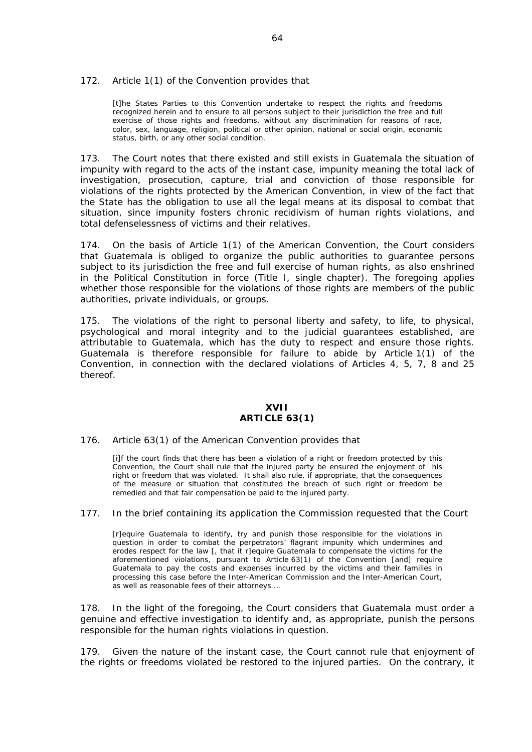#### 172. Article 1(1) of the Convention provides that

[t]he States Parties to this Convention undertake to respect the rights and freedoms recognized herein and to ensure to all persons subject to their jurisdiction the free and full exercise of those rights and freedoms, without any discrimination for reasons of race, color, sex, language, religion, political or other opinion, national or social origin, economic status, birth, or any other social condition.

173. The Court notes that there existed and still exists in Guatemala the situation of impunity with regard to the acts of the instant case, impunity meaning the total lack of investigation, prosecution, capture, trial and conviction of those responsible for violations of the rights protected by the American Convention, in view of the fact that the State has the obligation to use all the legal means at its disposal to combat that situation, since impunity fosters chronic recidivism of human rights violations, and total defenselessness of victims and their relatives.

174. On the basis of Article 1(1) of the American Convention, the Court considers that Guatemala is obliged to organize the public authorities to guarantee persons subject to its jurisdiction the free and full exercise of human rights, as also enshrined in the Political Constitution in force (Title I, single chapter). The foregoing applies whether those responsible for the violations of those rights are members of the public authorities, private individuals, or groups.

175. The violations of the right to personal liberty and safety, to life, to physical, psychological and moral integrity and to the judicial guarantees established, are attributable to Guatemala, which has the duty to respect and ensure those rights. Guatemala is therefore responsible for failure to abide by Article 1(1) of the Convention, in connection with the declared violations of Articles 4, 5, 7, 8 and 25 thereof.

## **XVII ARTICLE 63(1)**

#### 176. Article 63(1) of the American Convention provides that

[i]f the court finds that there has been a violation of a right or freedom protected by this Convention, the Court shall rule that the injured party be ensured the enjoyment of his right or freedom that was violated. It shall also rule, if appropriate, that the consequences of the measure or situation that constituted the breach of such right or freedom be remedied and that fair compensation be paid to the injured party.

#### 177. In the brief containing its application the Commission requested that the Court

[r]equire Guatemala to identify, try and punish those responsible for the violations in question in order to combat the perpetrators' flagrant impunity which undermines and erodes respect for the law [, that it r]equire Guatemala to compensate the victims for the aforementioned violations, pursuant to Article 63(1) of the Convention [and] require Guatemala to pay the costs and expenses incurred by the victims and their families in processing this case before the Inter-American Commission and the Inter-American Court, as well as reasonable fees of their attorneys ...

178. In the light of the foregoing, the Court considers that Guatemala must order a genuine and effective investigation to identify and, as appropriate, punish the persons responsible for the human rights violations in question.

179. Given the nature of the instant case, the Court cannot rule that enjoyment of the rights or freedoms violated be restored to the injured parties. On the contrary, it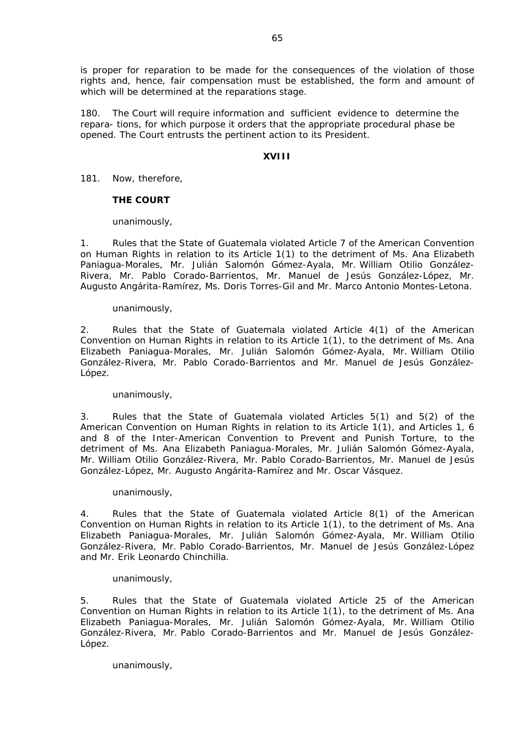is proper for reparation to be made for the consequences of the violation of those rights and, hence, fair compensation must be established, the form and amount of which will be determined at the reparations stage.

180. The Court will require information and sufficient evidence to determine the repara- tions, for which purpose it orders that the appropriate procedural phase be opened. The Court entrusts the pertinent action to its President.

# **XVIII**

181. Now, therefore,

# **THE COURT**

# unanimously,

1. Rules that the State of Guatemala violated Article 7 of the American Convention on Human Rights in relation to its Article 1(1) to the detriment of Ms. Ana Elizabeth Paniagua-Morales, Mr. Julián Salomón Gómez-Ayala, Mr. William Otilio González-Rivera, Mr. Pablo Corado-Barrientos, Mr. Manuel de Jesús González-López, Mr. Augusto Angárita-Ramírez, Ms. Doris Torres-Gil and Mr. Marco Antonio Montes-Letona.

## unanimously,

2. Rules that the State of Guatemala violated Article 4(1) of the American Convention on Human Rights in relation to its Article 1(1), to the detriment of Ms. Ana Elizabeth Paniagua-Morales, Mr. Julián Salomón Gómez-Ayala, Mr. William Otilio González-Rivera, Mr. Pablo Corado-Barrientos and Mr. Manuel de Jesús González-López.

## unanimously,

3. Rules that the State of Guatemala violated Articles 5(1) and 5(2) of the American Convention on Human Rights in relation to its Article 1(1), and Articles 1, 6 and 8 of the Inter-American Convention to Prevent and Punish Torture, to the detriment of Ms. Ana Elizabeth Paniagua-Morales, Mr. Julián Salomón Gómez-Ayala, Mr. William Otilio González-Rivera, Mr. Pablo Corado-Barrientos, Mr. Manuel de Jesús González-López, Mr. Augusto Angárita-Ramírez and Mr. Oscar Vásquez.

## unanimously,

4. Rules that the State of Guatemala violated Article 8(1) of the American Convention on Human Rights in relation to its Article 1(1), to the detriment of Ms. Ana Elizabeth Paniagua-Morales, Mr. Julián Salomón Gómez-Ayala, Mr. William Otilio González-Rivera, Mr. Pablo Corado-Barrientos, Mr. Manuel de Jesús González-López and Mr. Erik Leonardo Chinchilla.

## unanimously,

5. Rules that the State of Guatemala violated Article 25 of the American Convention on Human Rights in relation to its Article 1(1), to the detriment of Ms. Ana Elizabeth Paniagua-Morales, Mr. Julián Salomón Gómez-Ayala, Mr. William Otilio González-Rivera, Mr. Pablo Corado-Barrientos and Mr. Manuel de Jesús González-López.

# unanimously,